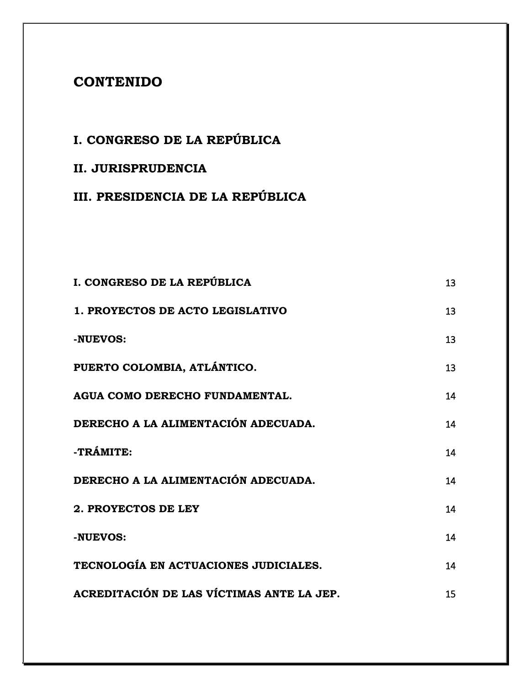## **CONTENIDO**

## **I. CONGRESO DE LA REPÚBLICA**

## **II. JURISPRUDENCIA**

## **III. PRESIDENCIA DE LA REPÚBLICA**

| I. CONGRESO DE LA REPÚBLICA               | 13 |
|-------------------------------------------|----|
| 1. PROYECTOS DE ACTO LEGISLATIVO          | 13 |
| -NUEVOS:                                  | 13 |
| PUERTO COLOMBIA, ATLÁNTICO.               | 13 |
| AGUA COMO DERECHO FUNDAMENTAL.            | 14 |
| DERECHO A LA ALIMENTACIÓN ADECUADA.       | 14 |
| -TRÁMITE:                                 | 14 |
| DERECHO A LA ALIMENTACIÓN ADECUADA.       | 14 |
| 2. PROYECTOS DE LEY                       | 14 |
| -NUEVOS:                                  | 14 |
| TECNOLOGÍA EN ACTUACIONES JUDICIALES.     | 14 |
| ACREDITACIÓN DE LAS VÍCTIMAS ANTE LA JEP. | 15 |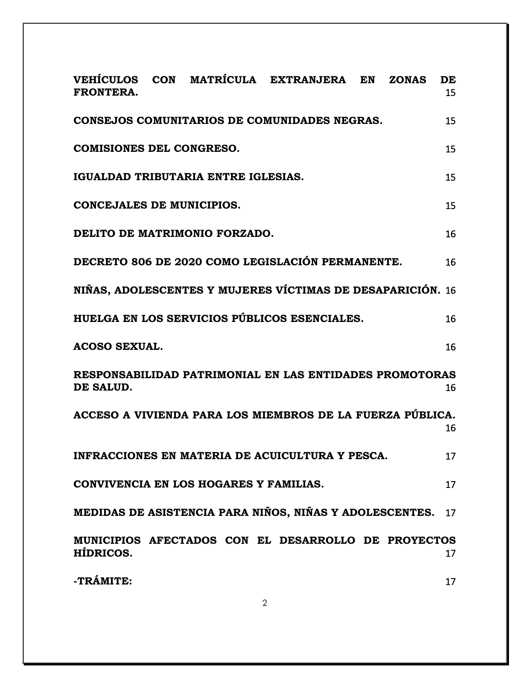| <b>FRONTERA.</b>                |                                        | VEHÍCULOS CON MATRÍCULA EXTRANJERA EN                      | <b>ZONAS</b> | DE<br>15 |
|---------------------------------|----------------------------------------|------------------------------------------------------------|--------------|----------|
|                                 |                                        | CONSEJOS COMUNITARIOS DE COMUNIDADES NEGRAS.               |              | 15       |
| <b>COMISIONES DEL CONGRESO.</b> |                                        |                                                            |              | 15       |
|                                 | IGUALDAD TRIBUTARIA ENTRE IGLESIAS.    |                                                            |              | 15       |
| CONCEJALES DE MUNICIPIOS.       |                                        |                                                            |              | 15       |
|                                 | DELITO DE MATRIMONIO FORZADO.          |                                                            |              | 16       |
|                                 |                                        | DECRETO 806 DE 2020 COMO LEGISLACIÓN PERMANENTE.           |              | 16       |
|                                 |                                        | NIÑAS, ADOLESCENTES Y MUJERES VÍCTIMAS DE DESAPARICIÓN.    |              | 16       |
|                                 |                                        | HUELGA EN LOS SERVICIOS PÚBLICOS ESENCIALES.               |              | 16       |
| <b>ACOSO SEXUAL.</b>            |                                        |                                                            |              | 16       |
| DE SALUD.                       |                                        | RESPONSABILIDAD PATRIMONIAL EN LAS ENTIDADES PROMOTORAS    |              | 16       |
|                                 |                                        | ACCESO A VIVIENDA PARA LOS MIEMBROS DE LA FUERZA PÚBLICA.  |              | 16       |
|                                 |                                        | INFRACCIONES EN MATERIA DE ACUICULTURA Y PESCA.            |              | 17       |
|                                 | CONVIVENCIA EN LOS HOGARES Y FAMILIAS. |                                                            |              | 17       |
|                                 |                                        | MEDIDAS DE ASISTENCIA PARA NIÑOS, NIÑAS Y ADOLESCENTES. 17 |              |          |
| HÍDRICOS.                       |                                        | MUNICIPIOS AFECTADOS CON EL DESARROLLO DE PROYECTOS        |              | 17       |
| -TRÁMITE:                       |                                        |                                                            |              | 17       |

2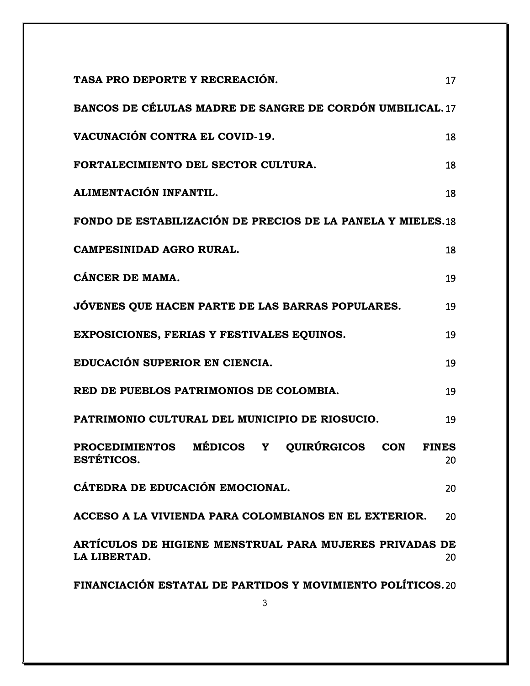| TASA PRO DEPORTE Y RECREACIÓN.                                          | 17                 |
|-------------------------------------------------------------------------|--------------------|
| BANCOS DE CÉLULAS MADRE DE SANGRE DE CORDÓN UMBILICAL. 17               |                    |
| VACUNACIÓN CONTRA EL COVID-19.                                          | 18                 |
| FORTALECIMIENTO DEL SECTOR CULTURA.                                     | 18                 |
| ALIMENTACIÓN INFANTIL.                                                  | 18                 |
| FONDO DE ESTABILIZACIÓN DE PRECIOS DE LA PANELA Y MIELES.18             |                    |
| CAMPESINIDAD AGRO RURAL.                                                | 18                 |
| CÁNCER DE MAMA.                                                         | 19                 |
| JÓVENES QUE HACEN PARTE DE LAS BARRAS POPULARES.                        | 19                 |
| EXPOSICIONES, FERIAS Y FESTIVALES EQUINOS.                              | 19                 |
| EDUCACIÓN SUPERIOR EN CIENCIA.                                          | 19                 |
| RED DE PUEBLOS PATRIMONIOS DE COLOMBIA.                                 | 19                 |
| PATRIMONIO CULTURAL DEL MUNICIPIO DE RIOSUCIO.                          | 19                 |
| PROCEDIMIENTOS MÉDICOS Y QUIRÚRGICOS CON<br><b>ESTETICOS.</b>           | <b>FINES</b><br>20 |
| CÁTEDRA DE EDUCACIÓN EMOCIONAL.                                         | 20                 |
| ACCESO A LA VIVIENDA PARA COLOMBIANOS EN EL EXTERIOR.                   | 20                 |
| ARTÍCULOS DE HIGIENE MENSTRUAL PARA MUJERES PRIVADAS DE<br>LA LIBERTAD. | 20                 |
| FINANCIACIÓN ESTATAL DE PARTIDOS Y MOVIMIENTO POLÍTICOS. 20             |                    |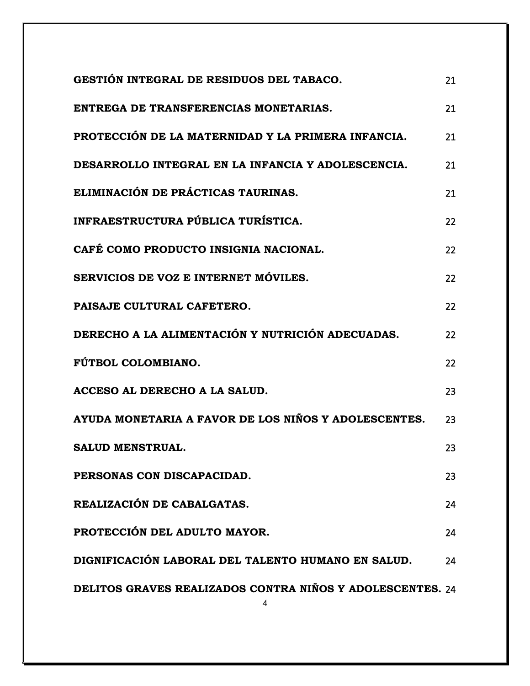| GESTIÓN INTEGRAL DE RESIDUOS DEL TABACO.                  | 21 |
|-----------------------------------------------------------|----|
| ENTREGA DE TRANSFERENCIAS MONETARIAS.                     | 21 |
| PROTECCIÓN DE LA MATERNIDAD Y LA PRIMERA INFANCIA.        | 21 |
| DESARROLLO INTEGRAL EN LA INFANCIA Y ADOLESCENCIA.        | 21 |
| ELIMINACIÓN DE PRÁCTICAS TAURINAS.                        | 21 |
| INFRAESTRUCTURA PÚBLICA TURÍSTICA.                        | 22 |
| CAFÉ COMO PRODUCTO INSIGNIA NACIONAL.                     | 22 |
| SERVICIOS DE VOZ E INTERNET MÓVILES.                      | 22 |
| PAISAJE CULTURAL CAFETERO.                                | 22 |
| DERECHO A LA ALIMENTACIÓN Y NUTRICIÓN ADECUADAS.          | 22 |
| FÚTBOL COLOMBIANO.                                        | 22 |
| ACCESO AL DERECHO A LA SALUD.                             | 23 |
| AYUDA MONETARIA A FAVOR DE LOS NIÑOS Y ADOLESCENTES.      | 23 |
| <b>SALUD MENSTRUAL.</b>                                   | 23 |
| PERSONAS CON DISCAPACIDAD.                                | 23 |
| REALIZACIÓN DE CABALGATAS.                                | 24 |
| PROTECCIÓN DEL ADULTO MAYOR.                              | 24 |
| DIGNIFICACIÓN LABORAL DEL TALENTO HUMANO EN SALUD.        | 24 |
| DELITOS GRAVES REALIZADOS CONTRA NIÑOS Y ADOLESCENTES. 24 |    |

4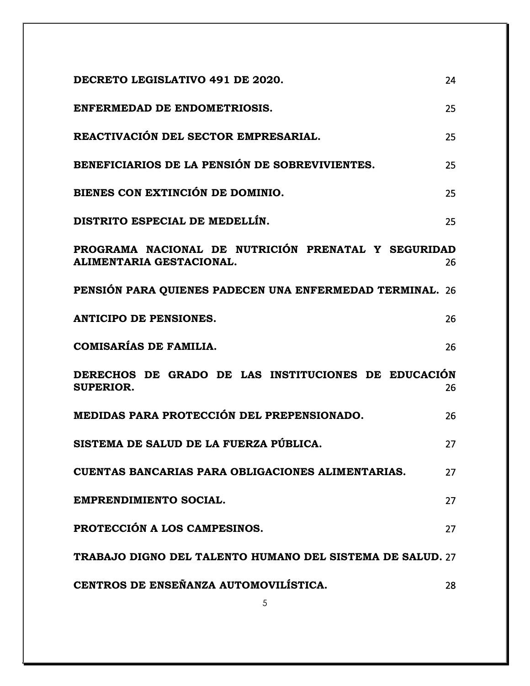| DECRETO LEGISLATIVO 491 DE 2020.                                                | 24 |
|---------------------------------------------------------------------------------|----|
| ENFERMEDAD DE ENDOMETRIOSIS.                                                    | 25 |
| REACTIVACIÓN DEL SECTOR EMPRESARIAL.                                            | 25 |
| BENEFICIARIOS DE LA PENSIÓN DE SOBREVIVIENTES.                                  | 25 |
| BIENES CON EXTINCIÓN DE DOMINIO.                                                | 25 |
| DISTRITO ESPECIAL DE MEDELLÍN.                                                  | 25 |
| PROGRAMA NACIONAL DE NUTRICIÓN PRENATAL Y SEGURIDAD<br>ALIMENTARIA GESTACIONAL. | 26 |
| PENSIÓN PARA QUIENES PADECEN UNA ENFERMEDAD TERMINAL.                           | 26 |
| <b>ANTICIPO DE PENSIONES.</b>                                                   | 26 |
| <b>COMISARÍAS DE FAMILIA.</b>                                                   | 26 |
| DERECHOS DE GRADO DE LAS INSTITUCIONES DE EDUCACIÓN<br><b>SUPERIOR.</b>         | 26 |
| MEDIDAS PARA PROTECCIÓN DEL PREPENSIONADO.                                      | 26 |
| SISTEMA DE SALUD DE LA FUERZA PÚBLICA.                                          | 27 |
| CUENTAS BANCARIAS PARA OBLIGACIONES ALIMENTARIAS.                               | 27 |
| <b>EMPRENDIMIENTO SOCIAL.</b>                                                   | 27 |
| PROTECCIÓN A LOS CAMPESINOS.                                                    | 27 |
| TRABAJO DIGNO DEL TALENTO HUMANO DEL SISTEMA DE SALUD. 27                       |    |
| CENTROS DE ENSEÑANZA AUTOMOVILÍSTICA.                                           | 28 |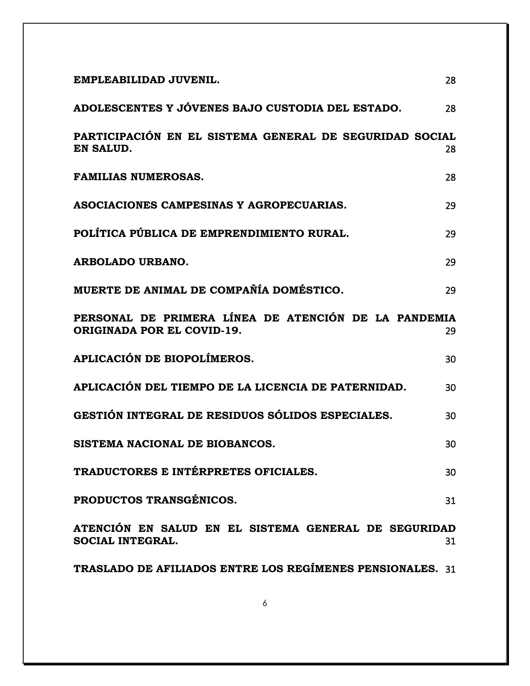| EMPLEABILIDAD JUVENIL.                                                             | 28 |
|------------------------------------------------------------------------------------|----|
| ADOLESCENTES Y JÓVENES BAJO CUSTODIA DEL ESTADO.                                   | 28 |
| PARTICIPACIÓN EN EL SISTEMA GENERAL DE SEGURIDAD SOCIAL<br>EN SALUD.               | 28 |
| <b>FAMILIAS NUMEROSAS.</b>                                                         | 28 |
| ASOCIACIONES CAMPESINAS Y AGROPECUARIAS.                                           | 29 |
| POLÍTICA PÚBLICA DE EMPRENDIMIENTO RURAL.                                          | 29 |
| <b>ARBOLADO URBANO.</b>                                                            | 29 |
| MUERTE DE ANIMAL DE COMPAÑÍA DOMÉSTICO.                                            | 29 |
| PERSONAL DE PRIMERA LÍNEA DE ATENCIÓN DE LA PANDEMIA<br>ORIGINADA POR EL COVID-19. | 29 |
| APLICACIÓN DE BIOPOLÍMEROS.                                                        | 30 |
| APLICACIÓN DEL TIEMPO DE LA LICENCIA DE PATERNIDAD.                                | 30 |
| GESTIÓN INTEGRAL DE RESIDUOS SÓLIDOS ESPECIALES.                                   | 30 |
| SISTEMA NACIONAL DE BIOBANCOS.                                                     | 30 |
| TRADUCTORES E INTÉRPRETES OFICIALES.                                               | 30 |
| PRODUCTOS TRANSGÉNICOS.                                                            | 31 |
| ATENCIÓN EN SALUD EN EL SISTEMA GENERAL DE SEGURIDAD<br><b>SOCIAL INTEGRAL.</b>    | 31 |
| TRASLADO DE AFILIADOS ENTRE LOS REGÍMENES PENSIONALES. 31                          |    |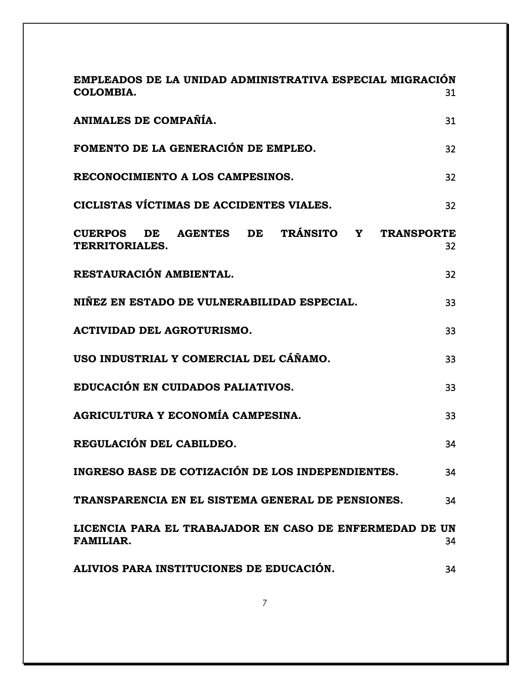| EMPLEADOS DE LA UNIDAD ADMINISTRATIVA ESPECIAL MIGRACIÓN<br>COLOMBIA.                                 | 31 |
|-------------------------------------------------------------------------------------------------------|----|
| ANIMALES DE COMPAÑÍA.                                                                                 | 31 |
| FOMENTO DE LA GENERACIÓN DE EMPLEO.                                                                   | 32 |
| RECONOCIMIENTO A LOS CAMPESINOS.                                                                      | 32 |
| CICLISTAS VÍCTIMAS DE ACCIDENTES VIALES.                                                              | 32 |
| DE TRÁNSITO Y<br><b>AGENTES</b><br>DE<br><b>TRANSPORTE</b><br><b>CUERPOS</b><br><b>TERRITORIALES.</b> | 32 |
| RESTAURACIÓN AMBIENTAL.                                                                               | 32 |
| NIÑEZ EN ESTADO DE VULNERABILIDAD ESPECIAL.                                                           | 33 |
| <b>ACTIVIDAD DEL AGROTURISMO.</b>                                                                     | 33 |
| USO INDUSTRIAL Y COMERCIAL DEL CÁÑAMO.                                                                | 33 |
| EDUCACIÓN EN CUIDADOS PALIATIVOS.                                                                     | 33 |
| AGRICULTURA Y ECONOMÍA CAMPESINA.                                                                     | 33 |
| REGULACIÓN DEL CABILDEO.                                                                              | 34 |
| INGRESO BASE DE COTIZACIÓN DE LOS INDEPENDIENTES.                                                     | 34 |
| TRANSPARENCIA EN EL SISTEMA GENERAL DE PENSIONES.                                                     | 34 |
| LICENCIA PARA EL TRABAJADOR EN CASO DE ENFERMEDAD DE UN<br><b>FAMILIAR.</b>                           | 34 |
| ALIVIOS PARA INSTITUCIONES DE EDUCACIÓN.                                                              | 34 |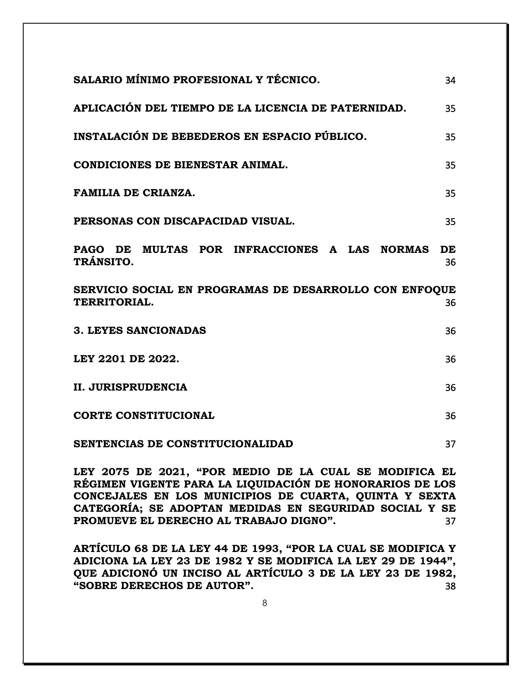| SALARIO MÍNIMO PROFESIONAL Y TÉCNICO.                                         | 34       |
|-------------------------------------------------------------------------------|----------|
| APLICACIÓN DEL TIEMPO DE LA LICENCIA DE PATERNIDAD.                           | 35       |
| INSTALACIÓN DE BEBEDEROS EN ESPACIO PÚBLICO.                                  | 35       |
| <b>CONDICIONES DE BIENESTAR ANIMAL.</b>                                       | 35       |
| <b>FAMILIA DE CRIANZA.</b>                                                    | 35       |
| PERSONAS CON DISCAPACIDAD VISUAL.                                             | 35       |
| PAGO DE MULTAS POR INFRACCIONES A LAS NORMAS<br>TRÁNSITO.                     | DE<br>36 |
| SERVICIO SOCIAL EN PROGRAMAS DE DESARROLLO CON ENFOOUE<br><b>TERRITORIAL.</b> | 36       |
| <b>3. LEYES SANCIONADAS</b>                                                   | 36       |
| LEY 2201 DE 2022.                                                             | 36       |
| <b>II. JURISPRUDENCIA</b>                                                     | 36       |
| <b>CORTE CONSTITUCIONAL</b>                                                   | 36       |
| SENTENCIAS DE CONSTITUCIONALIDAD                                              | 37       |
| LEV 2075 DE 2021 "POR MEDIO DE LA CHAL SE MODIFICA EL                         |          |

**LEY 2075 DE 2021, "P[OR MEDIO DE LA CUAL SE MODIFICA EL](#page-36-1)  RÉGIMEN VIGENTE PARA [LA LIQUIDACIÓN DE HONORARIOS DE LOS](#page-36-1)  [CONCEJALES EN LOS MUNICIPIOS DE CUARTA, QUINTA Y SEXTA](#page-36-1)  [CATEGORÍA; SE ADOPTAN MEDIDAS EN SEGURIDAD SOCIAL Y SE](#page-36-1)  [PROMUEVE EL DERECHO](#page-36-1) AL TRABAJO DIGNO".** 37

**[ARTÍCULO 68 DE LA LE](#page-37-0)Y 44 DE 1993, "POR LA CUAL SE MODIFICA Y [ADICIONA LA LEY 23 DE 1982 Y SE MODIFICA](#page-37-0) LA LEY 29 DE 1944", [QUE ADICIONÓ UN INCISO AL ARTÍCULO 3 DE LA LEY 23 DE 1982,](#page-37-0)  "SOBRE DERECHOS DE AUTOR".** [38](#page-37-0)

8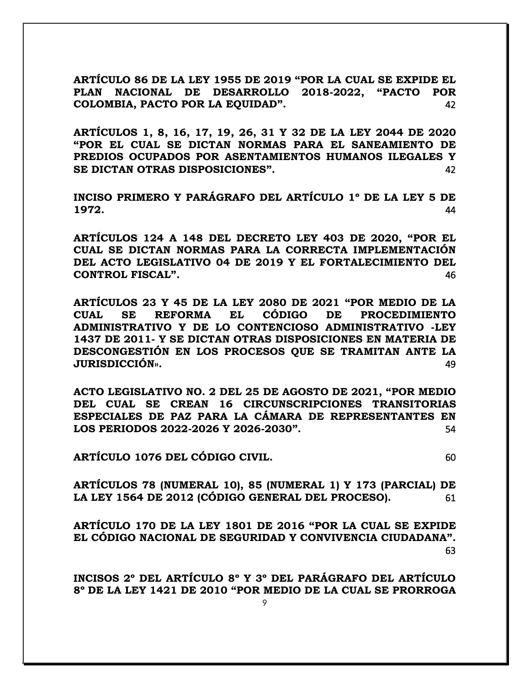**[ARTÍCULO 86 DE LA LE](#page-41-0)Y 1955 DE 2019 "POR LA CUAL SE EXPIDE EL [PLAN NACIONAL DE DESARROLLO 2018-](#page-41-0)2022, "PACTO POR COLOMBIA, PACTO POR LA EQUIDAD".** [42](#page-41-0)

**[ARTÍCULOS 1, 8, 16, 17, 19, 26, 31 Y 32 DE LA LEY 2044 DE 2020](#page-41-1)  "POR EL CUAL SE DICT[AN NORMAS PARA EL SANEAMIENTO DE](#page-41-1)  PREDIOS OCUPADOS POR [ASENTAMIENTOS HUMANOS ILEGALES Y](#page-41-1)  SE DICTAN OTRAS DISPOSICIONES".** [42](#page-41-1)

**[INCISO PRIMERO Y PARÁGRAFO DEL ARTÍCULO 1º DE LA LEY 5 DE](#page-43-0)  1972.** [44](#page-43-0)

**[ARTÍCULOS 124 A 148 DEL DECRETO LEY 403](#page-45-0) DE 2020, "POR EL [CUAL SE DICTAN NORMAS PARA LA CORRECTA IMPLEMENTACIÓN](#page-45-0)  DEL ACTO LEGISLATIVO [04 DE 2019 Y EL FORTALECIMIENTO DEL](#page-45-0)  CONTROL FISCAL".** [46](#page-45-0)

**[ARTÍCULOS 23 Y 45 DE](#page-48-0) LA LEY 2080 DE 2021 "POR MEDIO DE LA [CUAL SE REFORMA EL CÓDIGO DE PROCEDIMIENTO](#page-48-0)  [ADMINISTRATIVO Y DE LO CONTENCIOSO ADMINISTRATIVO -LEY](#page-48-0)  1437 DE 2011- [Y SE DICTAN OTRAS DISPOSICIONES EN MATERIA DE](#page-48-0)  DESCONGESTIÓN EN LOS [PROCESOS QUE SE TRAMITAN ANTE LA](#page-48-0)  JURISDICCIÓN».** [49](#page-48-0)

**[ACTO LEGISLATIVO NO. 2 DEL 25](#page-53-0) DE AGOSTO DE 2021, "POR MEDIO DEL CUAL SE CREAN 16 [CIRCUNSCRIPCIONES TRANSITORIAS](#page-53-0)  [ESPECIALES DE PAZ PARA LA CÁMARA DE REPRESENTANTES EN](#page-53-0)  [LOS PERIODOS 2022-2026 Y 2026-](#page-53-0)2030".** 54

**[ARTÍCULO 1076 DEL CÓDIGO CIVIL.](#page-59-0)** 60

**[ARTÍCULOS 78 \(NUMERAL 10\), 85 \(NUMERAL 1\) Y 173 \(PARCIAL\)](#page-60-0) DE [LA LEY 1564 DE 2012 \(CÓDIGO GENERAL DEL PROCESO\).](#page-60-0)** 61

**[ARTÍCULO 170 DE LA LEY 1801 DE 20](#page-62-0)16 "POR LA CUAL SE EXPIDE [EL CÓDIGO NACIONAL DE SEGURIDAD Y CONVIV](#page-62-0)ENCIA CIUDADANA".**  [63](#page-62-0)

**[INCISOS 2º DEL ARTÍCULO 8º Y 3º DEL PARÁGRAFO DEL ARTÍCULO](#page-68-0)  8º DE LA LEY 1421 DE 2010 "POR MEDIO DE [LA CUAL SE PRORROGA](#page-68-0)**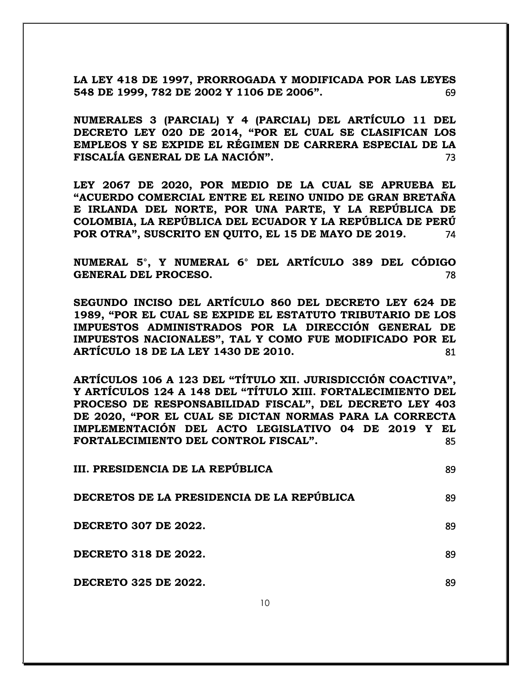**[LA LEY 418 DE 1997, PRORROGADA Y MODIFICADA POR LAS LEYES](#page-68-0)  548 DE 1999, 782 DE 2002 Y 1106 DE 2006".** [69](#page-68-0)

**[NUMERALES 3 \(PARCIAL\) Y 4 \(PARCIAL\) DEL ARTÍCULO 11 DEL](#page-72-0)  [DECRETO LEY 020 DE 2](#page-72-0)014, "POR EL CUAL SE CLASIFICAN LOS [EMPLEOS Y SE EXPIDE EL RÉGIMEN DE CARRERA ESPECIAL DE LA](#page-72-0)  FISCALÍA GENERAL DE LA NACIÓN".** [73](#page-72-0)

**[LEY 2067 DE 2020, POR MEDIO DE LA CUAL SE APRUEBA EL](#page-73-0)  "ACUERDO COMERCIAL E[NTRE EL REINO UNIDO DE GRAN BRETAÑA](#page-73-0)  [E IRLANDA DEL NORTE,](#page-73-0) POR UNA PARTE, Y LA REPÚBLICA DE [COLOMBIA, LA REPÚBLICA DEL ECUADOR Y LA REPÚBLICA DE PERÚ](#page-73-0)  POR OTRA", SUSCRITO [EN QUITO, EL 15 DE MAYO DE 2019.](#page-73-0)** 74

**[NUMERAL 5°, Y NUMERAL 6° DEL ARTÍCULO 389 DEL CÓDIGO](#page-77-0)  GENERAL DEL PROCESO.** [78](#page-77-0)

**SEGUNDO INCISO DEL ARTÍCULO 860 DEL [DECRETO LEY 624 DE](#page-80-0)  1989, "POR EL CUAL S[E EXPIDE EL ESTATUTO](#page-80-0) TRIBUTARIO DE LOS [IMPUESTOS ADMINISTRADOS POR LA DIRECCIÓN](#page-80-0) GENERAL DE [IMPUESTOS NACIONALES](#page-80-0)", TAL Y COMO FUE MODIFICADO POR EL [ARTÍCULO 18 DE LA LEY 1430 DE 2010.](#page-80-0)** 81

**ARTÍCULOS 106 A 123 [DEL "TÍTULO XII. JURISDICCIÓN COACTIVA",](#page-84-0) Y ARTÍCULOS 124 A 148 DEL "TÍTULO XIII. [FORTALECIMIENTO DEL](#page-84-0)  PROCESO DE RESPONSABILIDAD FIS[CAL", DEL DECRETO LE](#page-84-0)Y 403 DE 2020, "POR EL CUA[L SE DICTAN NORMAS PARA LA CORRECTA](#page-84-0)  [IMPLEMENTACIÓN DEL ACTO LEGISLATIVO 04 DE 2019 Y EL](#page-84-0)  [FORTALECIMIENTO DEL](#page-84-0) CONTROL FISCAL".** 85

| III. PRESIDENCIA DE LA REPÚBLICA           | 89 |
|--------------------------------------------|----|
| DECRETOS DE LA PRESIDENCIA DE LA REPÚBLICA | 89 |
| <b>DECRETO 307 DE 2022.</b>                | 89 |
| <b>DECRETO 318 DE 2022.</b>                | 89 |
| <b>DECRETO 325 DE 2022.</b>                | 89 |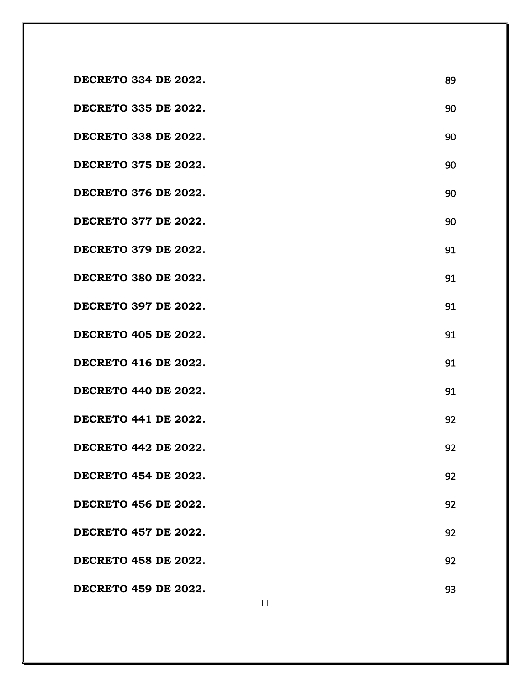| <b>DECRETO 334 DE 2022.</b> | 89 |
|-----------------------------|----|
| <b>DECRETO 335 DE 2022.</b> | 90 |
| <b>DECRETO 338 DE 2022.</b> | 90 |
| <b>DECRETO 375 DE 2022.</b> | 90 |
| <b>DECRETO 376 DE 2022.</b> | 90 |
| <b>DECRETO 377 DE 2022.</b> | 90 |
| <b>DECRETO 379 DE 2022.</b> | 91 |
| <b>DECRETO 380 DE 2022.</b> | 91 |
| <b>DECRETO 397 DE 2022.</b> | 91 |
| <b>DECRETO 405 DE 2022.</b> | 91 |
| <b>DECRETO 416 DE 2022.</b> | 91 |
| <b>DECRETO 440 DE 2022.</b> | 91 |
| <b>DECRETO 441 DE 2022.</b> | 92 |
| <b>DECRETO 442 DE 2022.</b> | 92 |
| <b>DECRETO 454 DE 2022.</b> | 92 |
| <b>DECRETO 456 DE 2022.</b> | 92 |
| <b>DECRETO 457 DE 2022.</b> | 92 |
| <b>DECRETO 458 DE 2022.</b> | 92 |
| <b>DECRETO 459 DE 2022.</b> | 93 |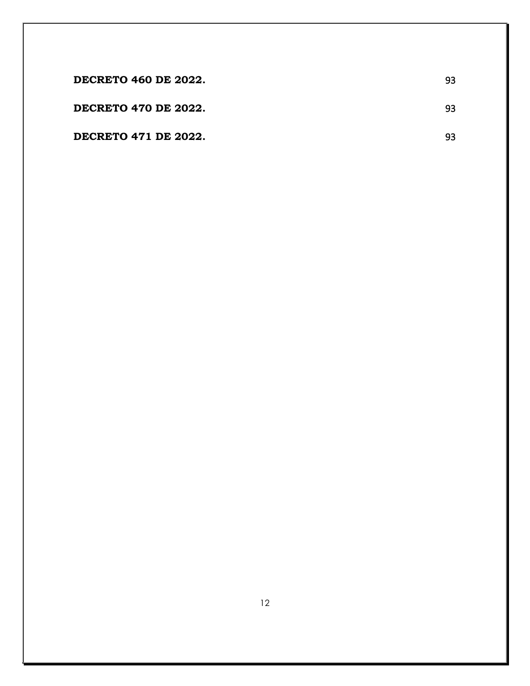| <b>DECRETO 460 DE 2022.</b> | 93 |
|-----------------------------|----|
| DECRETO 470 DE 2022.        | 93 |
| DECRETO 471 DE 2022.        | 93 |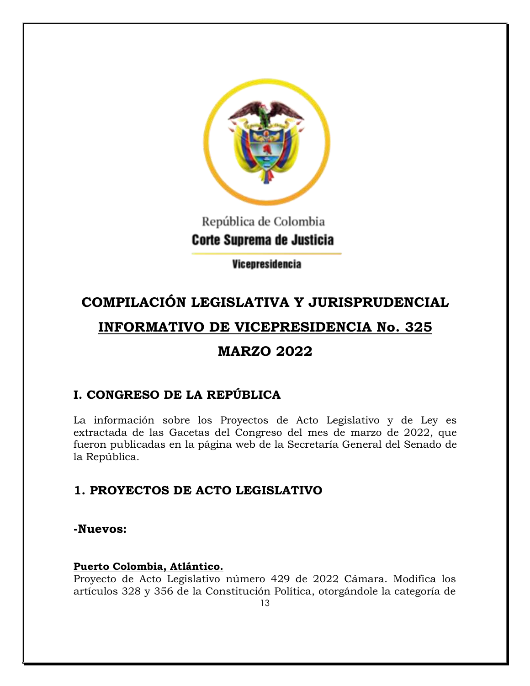

## República de Colombia Corte Suprema de Justicia

Vicepresidencia

# **COMPILACIÓN LEGISLATIVA Y JURISPRUDENCIAL**

## **INFORMATIVO DE VICEPRESIDENCIA No. 325**

## **MARZO 2022**

## <span id="page-12-0"></span>**I. CONGRESO DE LA REPÚBLICA**

La información sobre los Proyectos de Acto Legislativo y de Ley es extractada de las Gacetas del Congreso del mes de marzo de 2022, que fueron publicadas en la página web de la Secretaría General del Senado de la República.

## <span id="page-12-1"></span>**1. PROYECTOS DE ACTO LEGISLATIVO**

## <span id="page-12-2"></span>**-Nuevos:**

## <span id="page-12-3"></span>**Puerto Colombia, Atlántico.**

Proyecto de Acto Legislativo número 429 de 2022 Cámara. Modifica los artículos 328 y 356 de la Constitución Política, otorgándole la categoría de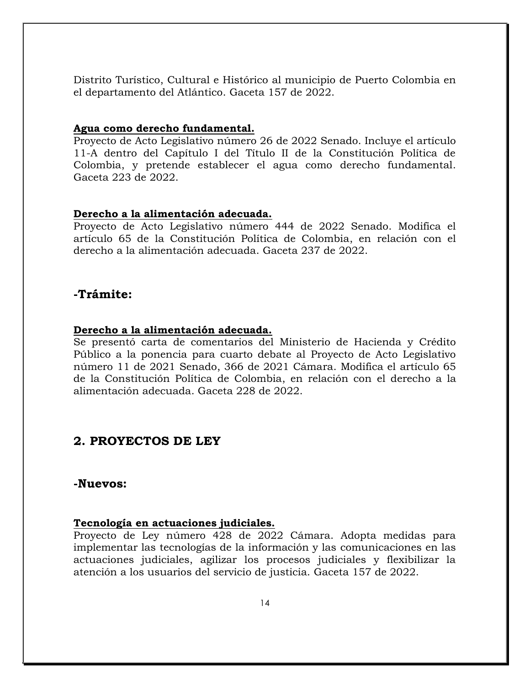Distrito Turístico, Cultural e Histórico al municipio de Puerto Colombia en el departamento del Atlántico. Gaceta 157 de 2022.

#### <span id="page-13-0"></span>**Agua como derecho fundamental.**

Proyecto de Acto Legislativo número 26 de 2022 Senado. Incluye el artículo 11-A dentro del Capítulo I del Título II de la Constitución Política de Colombia, y pretende establecer el agua como derecho fundamental. Gaceta 223 de 2022.

#### <span id="page-13-1"></span>**Derecho a la alimentación adecuada.**

Proyecto de Acto Legislativo número 444 de 2022 Senado. Modifica el artículo 65 de la Constitución Política de Colombia, en relación con el derecho a la alimentación adecuada. Gaceta 237 de 2022.

## <span id="page-13-2"></span>**-Trámite:**

### <span id="page-13-3"></span>**Derecho a la alimentación adecuada.**

Se presentó carta de comentarios del Ministerio de Hacienda y Crédito Público a la ponencia para cuarto debate al Proyecto de Acto Legislativo número 11 de 2021 Senado, 366 de 2021 Cámara. Modifica el artículo 65 de la Constitución Política de Colombia, en relación con el derecho a la alimentación adecuada. Gaceta 228 de 2022.

## <span id="page-13-4"></span>**2. PROYECTOS DE LEY**

### <span id="page-13-5"></span>**-Nuevos:**

#### <span id="page-13-6"></span>**Tecnología en actuaciones judiciales.**

Proyecto de Ley número 428 de 2022 Cámara. Adopta medidas para implementar las tecnologías de la información y las comunicaciones en las actuaciones judiciales, agilizar los procesos judiciales y flexibilizar la atención a los usuarios del servicio de justicia. Gaceta 157 de 2022.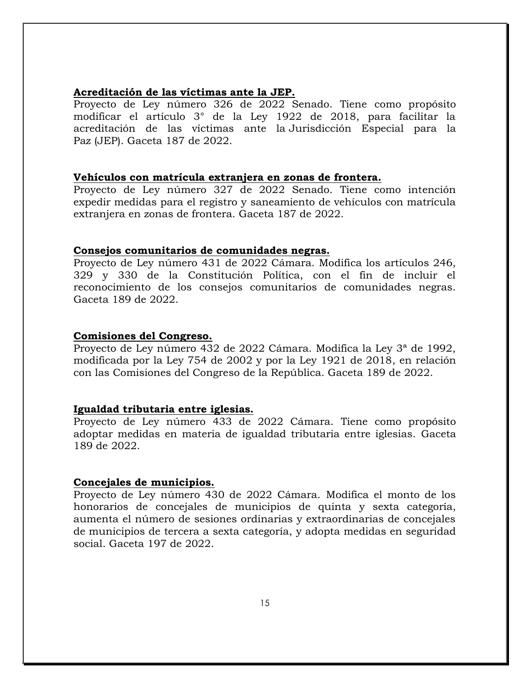#### <span id="page-14-0"></span>**Acreditación de las víctimas ante la JEP.**

Proyecto de Ley número 326 de 2022 Senado. Tiene como propósito modificar el artículo 3° de la Ley 1922 de 2018, para facilitar la acreditación de las víctimas ante la Jurisdicción Especial para la Paz (JEP). Gaceta 187 de 2022.

#### <span id="page-14-1"></span>**Vehículos con matrícula extranjera en zonas de frontera.**

Proyecto de Ley número 327 de 2022 Senado. Tiene como intención expedir medidas para el registro y saneamiento de vehículos con matrícula extranjera en zonas de frontera. Gaceta 187 de 2022.

#### <span id="page-14-2"></span>**Consejos comunitarios de comunidades negras.**

Proyecto de Ley número 431 de 2022 Cámara. Modifica los artículos 246, 329 y 330 de la Constitución Política, con el fin de incluir el reconocimiento de los consejos comunitarios de comunidades negras. Gaceta 189 de 2022.

#### <span id="page-14-3"></span>**Comisiones del Congreso.**

Proyecto de Ley número 432 de 2022 Cámara. Modifica la Ley 3ª de 1992, modificada por la Ley 754 de 2002 y por la Ley 1921 de 2018, en relación con las Comisiones del Congreso de la República. Gaceta 189 de 2022.

#### <span id="page-14-4"></span>**Igualdad tributaria entre iglesias.**

Proyecto de Ley número 433 de 2022 Cámara. Tiene como propósito adoptar medidas en materia de igualdad tributaria entre iglesias. Gaceta 189 de 2022.

#### <span id="page-14-5"></span>**Concejales de municipios.**

Proyecto de Ley número 430 de 2022 Cámara. Modifica el monto de los honorarios de concejales de municipios de quinta y sexta categoría, aumenta el número de sesiones ordinarias y extraordinarias de concejales de municipios de tercera a sexta categoría, y adopta medidas en seguridad social. Gaceta 197 de 2022.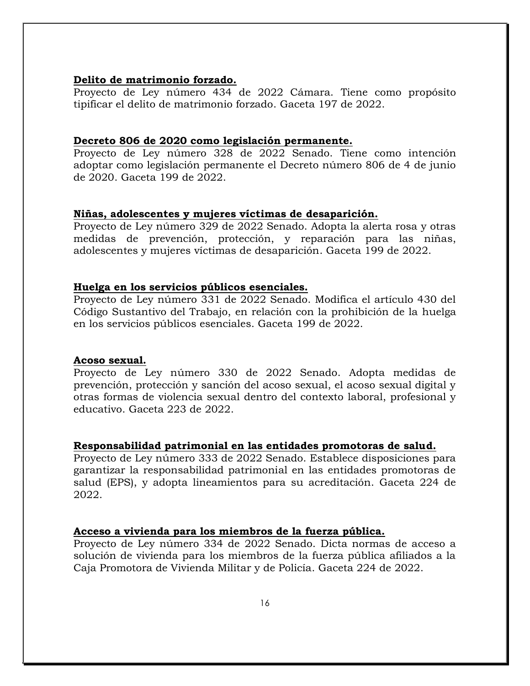#### <span id="page-15-0"></span>**Delito de matrimonio forzado.**

Proyecto de Ley número 434 de 2022 Cámara. Tiene como propósito tipificar el delito de matrimonio forzado. Gaceta 197 de 2022.

#### <span id="page-15-1"></span>**Decreto 806 de 2020 como legislación permanente.**

Proyecto de Ley número 328 de 2022 Senado. Tiene como intención adoptar como legislación permanente el Decreto número 806 de 4 de junio de 2020. Gaceta 199 de 2022.

#### <span id="page-15-2"></span>**Niñas, adolescentes y mujeres víctimas de desaparición.**

Proyecto de Ley número 329 de 2022 Senado. Adopta la alerta rosa y otras medidas de prevención, protección, y reparación para las niñas, adolescentes y mujeres víctimas de desaparición. Gaceta 199 de 2022.

#### <span id="page-15-3"></span>**Huelga en los servicios públicos esenciales.**

Proyecto de Ley número 331 de 2022 Senado. Modifica el artículo 430 del Código Sustantivo del Trabajo, en relación con la prohibición de la huelga en los servicios públicos esenciales. Gaceta 199 de 2022.

#### <span id="page-15-4"></span>**Acoso sexual.**

Proyecto de Ley número 330 de 2022 Senado. Adopta medidas de prevención, protección y sanción del acoso sexual, el acoso sexual digital y otras formas de violencia sexual dentro del contexto laboral, profesional y educativo. Gaceta 223 de 2022.

#### <span id="page-15-5"></span>**Responsabilidad patrimonial en las entidades promotoras de salud.**

Proyecto de Ley número 333 de 2022 Senado. Establece disposiciones para garantizar la responsabilidad patrimonial en las entidades promotoras de salud (EPS), y adopta lineamientos para su acreditación. Gaceta 224 de 2022.

#### <span id="page-15-6"></span>**Acceso a vivienda para los miembros de la fuerza pública.**

Proyecto de Ley número 334 de 2022 Senado. Dicta normas de acceso a solución de vivienda para los miembros de la fuerza pública afiliados a la Caja Promotora de Vivienda Militar y de Policía. Gaceta 224 de 2022.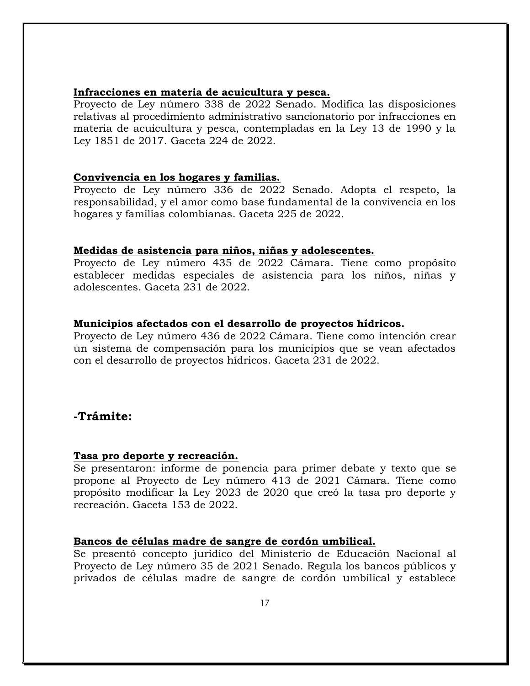#### <span id="page-16-0"></span>**Infracciones en materia de acuicultura y pesca.**

Proyecto de Ley número 338 de 2022 Senado. Modifica las disposiciones relativas al procedimiento administrativo sancionatorio por infracciones en materia de acuicultura y pesca, contempladas en la Ley 13 de 1990 y la Ley 1851 de 2017. Gaceta 224 de 2022.

#### <span id="page-16-1"></span>**Convivencia en los hogares y familias.**

Proyecto de Ley número 336 de 2022 Senado. Adopta el respeto, la responsabilidad, y el amor como base fundamental de la convivencia en los hogares y familias colombianas. Gaceta 225 de 2022.

#### <span id="page-16-2"></span>**Medidas de asistencia para niños, niñas y adolescentes.**

Proyecto de Ley número 435 de 2022 Cámara. Tiene como propósito establecer medidas especiales de asistencia para los niños, niñas y adolescentes. Gaceta 231 de 2022.

#### <span id="page-16-3"></span>**Municipios afectados con el desarrollo de proyectos hídricos.**

Proyecto de Ley número 436 de 2022 Cámara. Tiene como intención crear un sistema de compensación para los municipios que se vean afectados con el desarrollo de proyectos hídricos. Gaceta 231 de 2022.

### <span id="page-16-4"></span>**-Trámite:**

#### <span id="page-16-5"></span>**Tasa pro deporte y recreación.**

Se presentaron: informe de ponencia para primer debate y texto que se propone al Proyecto de Ley número 413 de 2021 Cámara. Tiene como propósito modificar la Ley 2023 de 2020 que creó la tasa pro deporte y recreación. Gaceta 153 de 2022.

#### <span id="page-16-6"></span>**Bancos de células madre de sangre de cordón umbilical.**

Se presentó concepto jurídico del Ministerio de Educación Nacional al Proyecto de Ley número 35 de 2021 Senado. Regula los bancos públicos y privados de células madre de sangre de cordón umbilical y establece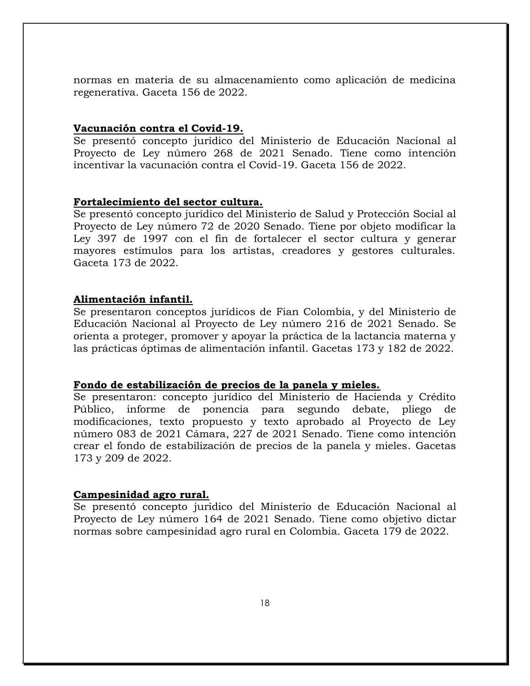normas en materia de su almacenamiento como aplicación de medicina regenerativa. Gaceta 156 de 2022.

#### <span id="page-17-0"></span>**Vacunación contra el Covid-19.**

Se presentó concepto jurídico del Ministerio de Educación Nacional al Proyecto de Ley número 268 de 2021 Senado. Tiene como intención incentivar la vacunación contra el Covid-19. Gaceta 156 de 2022.

#### <span id="page-17-1"></span>**Fortalecimiento del sector cultura.**

Se presentó concepto jurídico del Ministerio de Salud y Protección Social al Proyecto de Ley número 72 de 2020 Senado. Tiene por objeto modificar la Ley 397 de 1997 con el fin de fortalecer el sector cultura y generar mayores estímulos para los artistas, creadores y gestores culturales. Gaceta 173 de 2022.

#### <span id="page-17-2"></span>**Alimentación infantil.**

Se presentaron conceptos jurídicos de Fian Colombia, y del Ministerio de Educación Nacional al Proyecto de Ley número 216 de 2021 Senado. Se orienta a proteger, promover y apoyar la práctica de la lactancia materna y las prácticas óptimas de alimentación infantil. Gacetas 173 y 182 de 2022.

#### <span id="page-17-3"></span>**Fondo de estabilización de precios de la panela y mieles.**

Se presentaron: concepto jurídico del Ministerio de Hacienda y Crédito Público, informe de ponencia para segundo debate, pliego de modificaciones, texto propuesto y texto aprobado al Proyecto de Ley número 083 de 2021 Cámara, 227 de 2021 Senado. Tiene como intención crear el fondo de estabilización de precios de la panela y mieles. Gacetas 173 y 209 de 2022.

#### <span id="page-17-4"></span>**Campesinidad agro rural.**

Se presentó concepto jurídico del Ministerio de Educación Nacional al Proyecto de Ley número 164 de 2021 Senado. Tiene como objetivo dictar normas sobre campesinidad agro rural en Colombia. Gaceta 179 de 2022.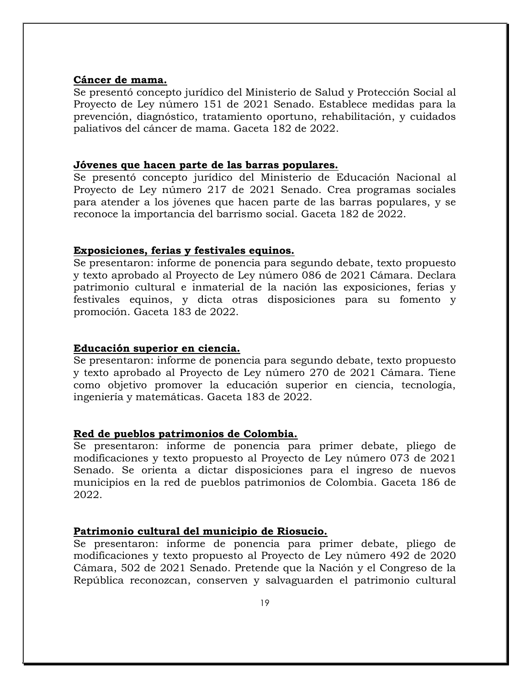#### <span id="page-18-0"></span>**Cáncer de mama.**

Se presentó concepto jurídico del Ministerio de Salud y Protección Social al Proyecto de Ley número 151 de 2021 Senado. Establece medidas para la prevención, diagnóstico, tratamiento oportuno, rehabilitación, y cuidados paliativos del cáncer de mama. Gaceta 182 de 2022.

#### <span id="page-18-1"></span>**Jóvenes que hacen parte de las barras populares.**

Se presentó concepto jurídico del Ministerio de Educación Nacional al Proyecto de Ley número 217 de 2021 Senado. Crea programas sociales para atender a los jóvenes que hacen parte de las barras populares, y se reconoce la importancia del barrismo social. Gaceta 182 de 2022.

#### <span id="page-18-2"></span>**Exposiciones, ferias y festivales equinos.**

Se presentaron: informe de ponencia para segundo debate, texto propuesto y texto aprobado al Proyecto de Ley número 086 de 2021 Cámara. Declara patrimonio cultural e inmaterial de la nación las exposiciones, ferias y festivales equinos, y dicta otras disposiciones para su fomento y promoción. Gaceta 183 de 2022.

#### <span id="page-18-3"></span>**Educación superior en ciencia.**

Se presentaron: informe de ponencia para segundo debate, texto propuesto y texto aprobado al Proyecto de Ley número 270 de 2021 Cámara. Tiene como objetivo promover la educación superior en ciencia, tecnología, ingeniería y matemáticas. Gaceta 183 de 2022.

#### <span id="page-18-4"></span>**Red de pueblos patrimonios de Colombia.**

Se presentaron: informe de ponencia para primer debate, pliego de modificaciones y texto propuesto al Proyecto de Ley número 073 de 2021 Senado. Se orienta a dictar disposiciones para el ingreso de nuevos municipios en la red de pueblos patrimonios de Colombia. Gaceta 186 de 2022.

#### <span id="page-18-5"></span>**Patrimonio cultural del municipio de Riosucio.**

Se presentaron: informe de ponencia para primer debate, pliego de modificaciones y texto propuesto al Proyecto de Ley número 492 de 2020 Cámara, 502 de 2021 Senado. Pretende que la Nación y el Congreso de la República reconozcan, conserven y salvaguarden el patrimonio cultural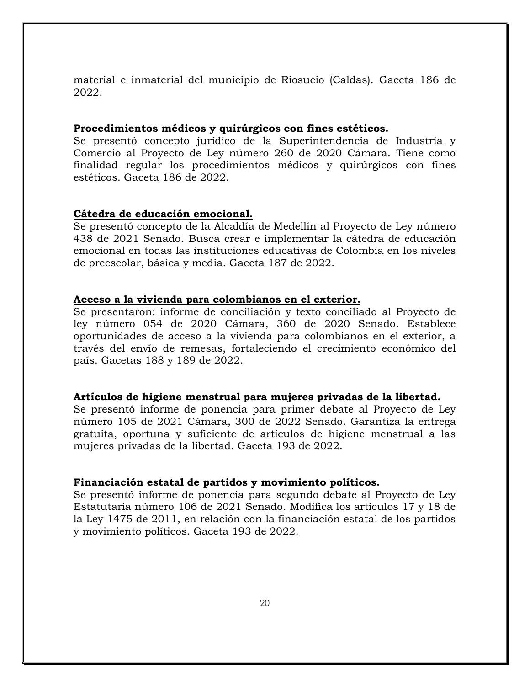material e inmaterial del municipio de Riosucio (Caldas). Gaceta 186 de 2022.

#### <span id="page-19-0"></span>**Procedimientos médicos y quirúrgicos con fines estéticos.**

Se presentó concepto jurídico de la Superintendencia de Industria y Comercio al Proyecto de Ley número 260 de 2020 Cámara. Tiene como finalidad regular los procedimientos médicos y quirúrgicos con fines estéticos. Gaceta 186 de 2022.

#### <span id="page-19-1"></span>**Cátedra de educación emocional.**

Se presentó concepto de la Alcaldía de Medellín al Proyecto de Ley número 438 de 2021 Senado. Busca crear e implementar la cátedra de educación emocional en todas las instituciones educativas de Colombia en los niveles de preescolar, básica y media. Gaceta 187 de 2022.

#### <span id="page-19-2"></span>**Acceso a la vivienda para colombianos en el exterior.**

Se presentaron: informe de conciliación y texto conciliado al Proyecto de ley número 054 de 2020 Cámara, 360 de 2020 Senado. Establece oportunidades de acceso a la vivienda para colombianos en el exterior, a través del envío de remesas, fortaleciendo el crecimiento económico del país. Gacetas 188 y 189 de 2022.

#### <span id="page-19-3"></span>**Artículos de higiene menstrual para mujeres privadas de la libertad.**

Se presentó informe de ponencia para primer debate al Proyecto de Ley número 105 de 2021 Cámara, 300 de 2022 Senado. Garantiza la entrega gratuita, oportuna y suficiente de artículos de higiene menstrual a las mujeres privadas de la libertad. Gaceta 193 de 2022.

#### <span id="page-19-4"></span>**Financiación estatal de partidos y movimiento políticos.**

Se presentó informe de ponencia para segundo debate al Proyecto de Ley Estatutaria número 106 de 2021 Senado. Modifica los artículos 17 y 18 de la Ley 1475 de 2011, en relación con la financiación estatal de los partidos y movimiento políticos. Gaceta 193 de 2022.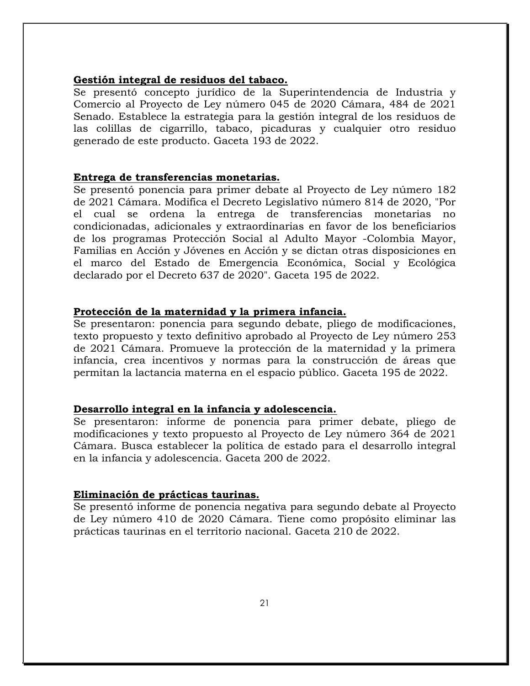#### <span id="page-20-0"></span>**Gestión integral de residuos del tabaco.**

Se presentó concepto jurídico de la Superintendencia de Industria y Comercio al Proyecto de Ley número 045 de 2020 Cámara, 484 de 2021 Senado. Establece la estrategia para la gestión integral de los residuos de las colillas de cigarrillo, tabaco, picaduras y cualquier otro residuo generado de este producto. Gaceta 193 de 2022.

#### <span id="page-20-1"></span>**Entrega de transferencias monetarias.**

Se presentó ponencia para primer debate al Proyecto de Ley número 182 de 2021 Cámara. Modifica el Decreto Legislativo número 814 de 2020, "Por el cual se ordena la entrega de transferencias monetarias no condicionadas, adicionales y extraordinarias en favor de los beneficiarios de los programas Protección Social al Adulto Mayor -Colombia Mayor, Familias en Acción y Jóvenes en Acción y se dictan otras disposiciones en el marco del Estado de Emergencia Económica, Social y Ecológica declarado por el Decreto 637 de 2020". Gaceta 195 de 2022.

#### <span id="page-20-2"></span>**Protección de la maternidad y la primera infancia.**

Se presentaron: ponencia para segundo debate, pliego de modificaciones, texto propuesto y texto definitivo aprobado al Proyecto de Ley número 253 de 2021 Cámara. Promueve la protección de la maternidad y la primera infancia, crea incentivos y normas para la construcción de áreas que permitan la lactancia materna en el espacio público. Gaceta 195 de 2022.

#### <span id="page-20-3"></span>**Desarrollo integral en la infancia y adolescencia.**

Se presentaron: informe de ponencia para primer debate, pliego de modificaciones y texto propuesto al Proyecto de Ley número 364 de 2021 Cámara. Busca establecer la política de estado para el desarrollo integral en la infancia y adolescencia. Gaceta 200 de 2022.

#### <span id="page-20-4"></span>**Eliminación de prácticas taurinas.**

Se presentó informe de ponencia negativa para segundo debate al Proyecto de Ley número 410 de 2020 Cámara. Tiene como propósito eliminar las prácticas taurinas en el territorio nacional. Gaceta 210 de 2022.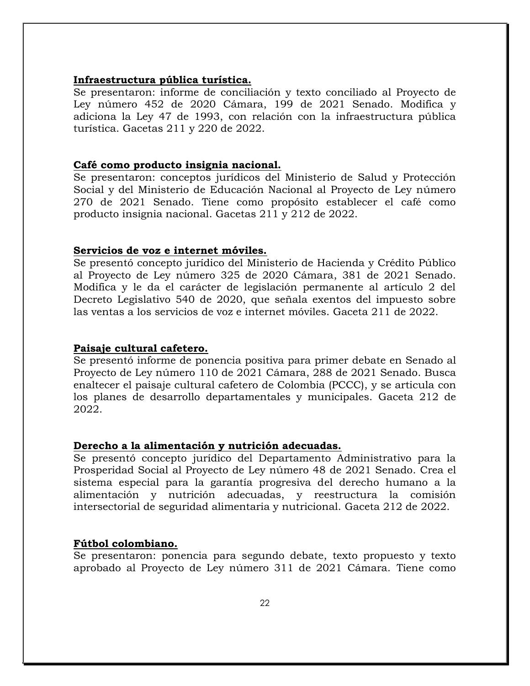#### <span id="page-21-0"></span>**Infraestructura pública turística.**

Se presentaron: informe de conciliación y texto conciliado al Proyecto de Ley número 452 de 2020 Cámara, 199 de 2021 Senado. Modifica y adiciona la Ley 47 de 1993, con relación con la infraestructura pública turística. Gacetas 211 y 220 de 2022.

#### <span id="page-21-1"></span>**Café como producto insignia nacional.**

Se presentaron: conceptos jurídicos del Ministerio de Salud y Protección Social y del Ministerio de Educación Nacional al Proyecto de Ley número 270 de 2021 Senado. Tiene como propósito establecer el café como producto insignia nacional. Gacetas 211 y 212 de 2022.

#### <span id="page-21-2"></span>**Servicios de voz e internet móviles.**

Se presentó concepto jurídico del Ministerio de Hacienda y Crédito Público al Proyecto de Ley número 325 de 2020 Cámara, 381 de 2021 Senado. Modifica y le da el carácter de legislación permanente al artículo 2 del Decreto Legislativo 540 de 2020, que señala exentos del impuesto sobre las ventas a los servicios de voz e internet móviles. Gaceta 211 de 2022.

#### <span id="page-21-3"></span>**Paisaje cultural cafetero.**

Se presentó informe de ponencia positiva para primer debate en Senado al Proyecto de Ley número 110 de 2021 Cámara, 288 de 2021 Senado. Busca enaltecer el paisaje cultural cafetero de Colombia (PCCC), y se articula con los planes de desarrollo departamentales y municipales. Gaceta 212 de 2022.

#### <span id="page-21-4"></span>**Derecho a la alimentación y nutrición adecuadas.**

Se presentó concepto jurídico del Departamento Administrativo para la Prosperidad Social al Proyecto de Ley número 48 de 2021 Senado. Crea el sistema especial para la garantía progresiva del derecho humano a la alimentación y nutrición adecuadas, y reestructura la comisión intersectorial de seguridad alimentaria y nutricional. Gaceta 212 de 2022.

#### <span id="page-21-5"></span>**Fútbol colombiano.**

Se presentaron: ponencia para segundo debate, texto propuesto y texto aprobado al Proyecto de Ley número 311 de 2021 Cámara. Tiene como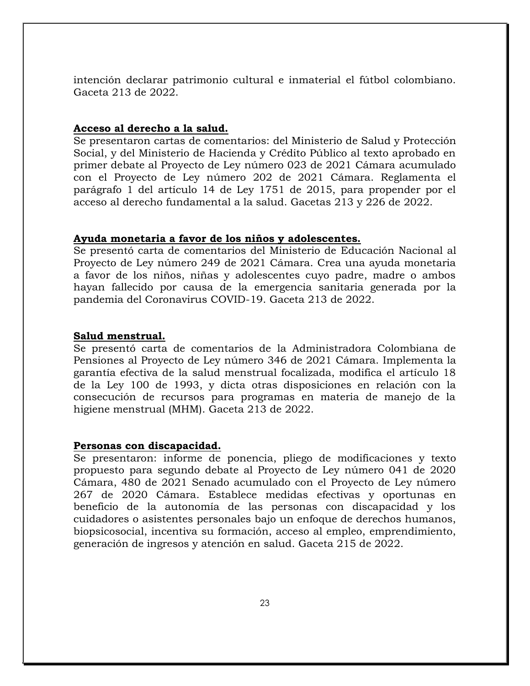intención declarar patrimonio cultural e inmaterial el fútbol colombiano. Gaceta 213 de 2022.

#### <span id="page-22-0"></span>**Acceso al derecho a la salud.**

Se presentaron cartas de comentarios: del Ministerio de Salud y Protección Social, y del Ministerio de Hacienda y Crédito Público al texto aprobado en primer debate al Proyecto de Ley número 023 de 2021 Cámara acumulado con el Proyecto de Ley número 202 de 2021 Cámara. Reglamenta el parágrafo 1 del artículo 14 de Ley 1751 de 2015, para propender por el acceso al derecho fundamental a la salud. Gacetas 213 y 226 de 2022.

#### <span id="page-22-1"></span>**Ayuda monetaria a favor de los niños y adolescentes.**

Se presentó carta de comentarios del Ministerio de Educación Nacional al Proyecto de Ley número 249 de 2021 Cámara. Crea una ayuda monetaria a favor de los niños, niñas y adolescentes cuyo padre, madre o ambos hayan fallecido por causa de la emergencia sanitaria generada por la pandemia del Coronavirus COVID-19. Gaceta 213 de 2022.

#### <span id="page-22-2"></span>**Salud menstrual.**

Se presentó carta de comentarios de la Administradora Colombiana de Pensiones al Proyecto de Ley número 346 de 2021 Cámara. Implementa la garantía efectiva de la salud menstrual focalizada, modifica el artículo 18 de la Ley 100 de 1993, y dicta otras disposiciones en relación con la consecución de recursos para programas en materia de manejo de la higiene menstrual (MHM). Gaceta 213 de 2022.

#### <span id="page-22-3"></span>**Personas con discapacidad.**

Se presentaron: informe de ponencia, pliego de modificaciones y texto propuesto para segundo debate al Proyecto de Ley número 041 de 2020 Cámara, 480 de 2021 Senado acumulado con el Proyecto de Ley número 267 de 2020 Cámara. Establece medidas efectivas y oportunas en beneficio de la autonomía de las personas con discapacidad y los cuidadores o asistentes personales bajo un enfoque de derechos humanos, biopsicosocial, incentiva su formación, acceso al empleo, emprendimiento, generación de ingresos y atención en salud. Gaceta 215 de 2022.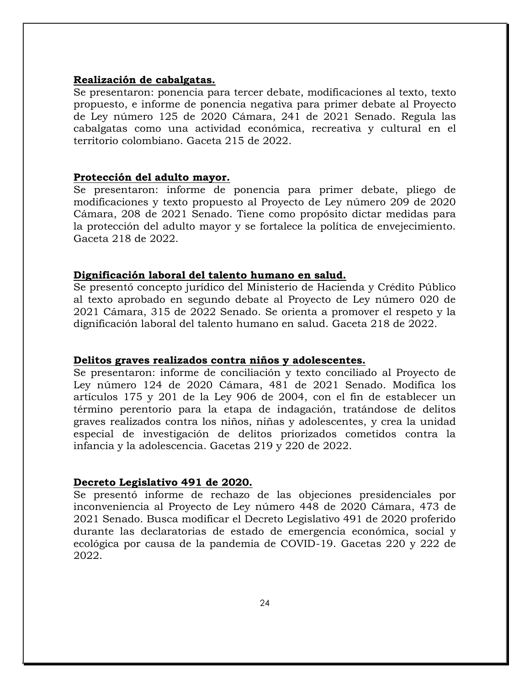#### <span id="page-23-0"></span>**Realización de cabalgatas.**

Se presentaron: ponencia para tercer debate, modificaciones al texto, texto propuesto, e informe de ponencia negativa para primer debate al Proyecto de Ley número 125 de 2020 Cámara, 241 de 2021 Senado. Regula las cabalgatas como una actividad económica, recreativa y cultural en el territorio colombiano. Gaceta 215 de 2022.

#### <span id="page-23-1"></span>**Protección del adulto mayor.**

Se presentaron: informe de ponencia para primer debate, pliego de modificaciones y texto propuesto al Proyecto de Ley número 209 de 2020 Cámara, 208 de 2021 Senado. Tiene como propósito dictar medidas para la protección del adulto mayor y se fortalece la política de envejecimiento. Gaceta 218 de 2022.

#### <span id="page-23-2"></span>**Dignificación laboral del talento humano en salud.**

Se presentó concepto jurídico del Ministerio de Hacienda y Crédito Público al texto aprobado en segundo debate al Proyecto de Ley número 020 de 2021 Cámara, 315 de 2022 Senado. Se orienta a promover el respeto y la dignificación laboral del talento humano en salud. Gaceta 218 de 2022.

#### <span id="page-23-3"></span>**Delitos graves realizados contra niños y adolescentes.**

Se presentaron: informe de conciliación y texto conciliado al Proyecto de Ley número 124 de 2020 Cámara, 481 de 2021 Senado. Modifica los artículos 175 y 201 de la Ley 906 de 2004, con el fin de establecer un término perentorio para la etapa de indagación, tratándose de delitos graves realizados contra los niños, niñas y adolescentes, y crea la unidad especial de investigación de delitos priorizados cometidos contra la infancia y la adolescencia. Gacetas 219 y 220 de 2022.

#### <span id="page-23-4"></span>**Decreto Legislativo 491 de 2020.**

Se presentó informe de rechazo de las objeciones presidenciales por inconveniencia al Proyecto de Ley número 448 de 2020 Cámara, 473 de 2021 Senado. Busca modificar el Decreto Legislativo 491 de 2020 proferido durante las declaratorias de estado de emergencia económica, social y ecológica por causa de la pandemia de COVID-19. Gacetas 220 y 222 de 2022.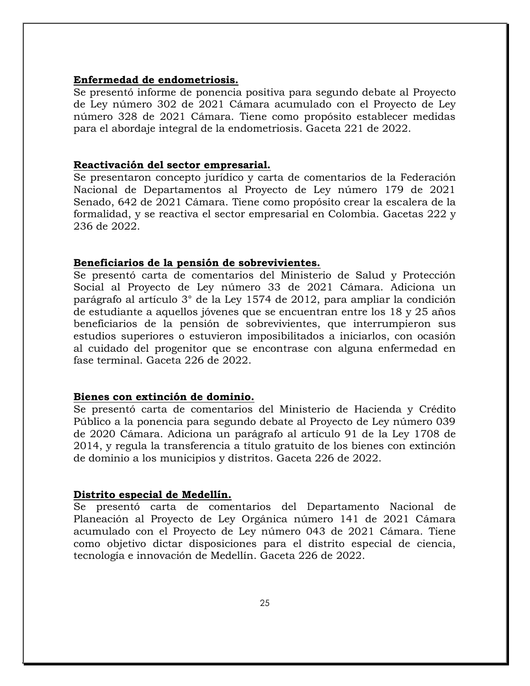#### <span id="page-24-0"></span>**Enfermedad de endometriosis.**

Se presentó informe de ponencia positiva para segundo debate al Proyecto de Ley número 302 de 2021 Cámara acumulado con el Proyecto de Ley número 328 de 2021 Cámara. Tiene como propósito establecer medidas para el abordaje integral de la endometriosis. Gaceta 221 de 2022.

#### <span id="page-24-1"></span>**Reactivación del sector empresarial.**

Se presentaron concepto jurídico y carta de comentarios de la Federación Nacional de Departamentos al Proyecto de Ley número 179 de 2021 Senado, 642 de 2021 Cámara. Tiene como propósito crear la escalera de la formalidad, y se reactiva el sector empresarial en Colombia. Gacetas 222 y 236 de 2022.

#### <span id="page-24-2"></span>**Beneficiarios de la pensión de sobrevivientes.**

Se presentó carta de comentarios del Ministerio de Salud y Protección Social al Proyecto de Ley número 33 de 2021 Cámara. Adiciona un parágrafo al artículo 3° de la Ley 1574 de 2012, para ampliar la condición de estudiante a aquellos jóvenes que se encuentran entre los 18 y 25 años beneficiarios de la pensión de sobrevivientes, que interrumpieron sus estudios superiores o estuvieron imposibilitados a iniciarlos, con ocasión al cuidado del progenitor que se encontrase con alguna enfermedad en fase terminal. Gaceta 226 de 2022.

#### <span id="page-24-3"></span>**Bienes con extinción de dominio.**

Se presentó carta de comentarios del Ministerio de Hacienda y Crédito Público a la ponencia para segundo debate al Proyecto de Ley número 039 de 2020 Cámara. Adiciona un parágrafo al artículo 91 de la Ley 1708 de 2014, y regula la transferencia a título gratuito de los bienes con extinción de dominio a los municipios y distritos. Gaceta 226 de 2022.

#### <span id="page-24-4"></span>**Distrito especial de Medellín.**

Se presentó carta de comentarios del Departamento Nacional de Planeación al Proyecto de Ley Orgánica número 141 de 2021 Cámara acumulado con el Proyecto de Ley número 043 de 2021 Cámara. Tiene como objetivo dictar disposiciones para el distrito especial de ciencia, tecnología e innovación de Medellín. Gaceta 226 de 2022.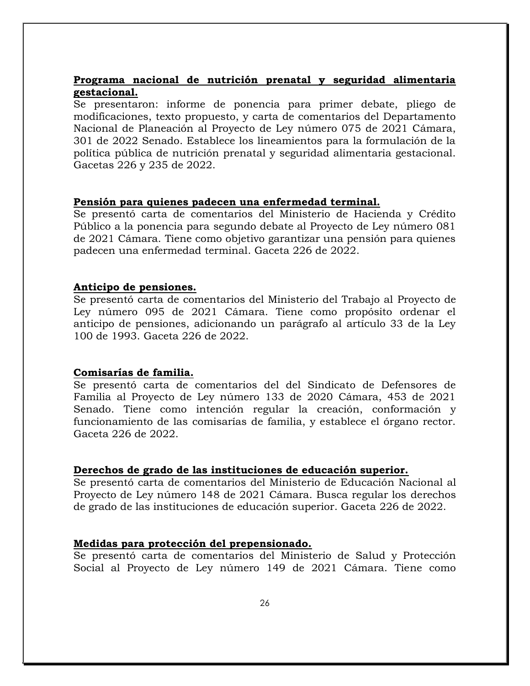### <span id="page-25-0"></span>**Programa nacional de nutrición prenatal y seguridad alimentaria gestacional.**

Se presentaron: informe de ponencia para primer debate, pliego de modificaciones, texto propuesto, y carta de comentarios del Departamento Nacional de Planeación al Proyecto de Ley número 075 de 2021 Cámara, 301 de 2022 Senado. Establece los lineamientos para la formulación de la política pública de nutrición prenatal y seguridad alimentaria gestacional. Gacetas 226 y 235 de 2022.

#### <span id="page-25-1"></span>**Pensión para quienes padecen una enfermedad terminal.**

Se presentó carta de comentarios del Ministerio de Hacienda y Crédito Público a la ponencia para segundo debate al Proyecto de Ley número 081 de 2021 Cámara. Tiene como objetivo garantizar una pensión para quienes padecen una enfermedad terminal. Gaceta 226 de 2022.

#### <span id="page-25-2"></span>**Anticipo de pensiones.**

Se presentó carta de comentarios del Ministerio del Trabajo al Proyecto de Ley número 095 de 2021 Cámara. Tiene como propósito ordenar el anticipo de pensiones, adicionando un parágrafo al artículo 33 de la Ley 100 de 1993. Gaceta 226 de 2022.

#### <span id="page-25-3"></span>**Comisarías de familia.**

Se presentó carta de comentarios del del Sindicato de Defensores de Familia al Proyecto de Ley número 133 de 2020 Cámara, 453 de 2021 Senado. Tiene como intención regular la creación, conformación y funcionamiento de las comisarías de familia, y establece el órgano rector. Gaceta 226 de 2022.

#### <span id="page-25-4"></span>**Derechos de grado de las instituciones de educación superior.**

Se presentó carta de comentarios del Ministerio de Educación Nacional al Proyecto de Ley número 148 de 2021 Cámara. Busca regular los derechos de grado de las instituciones de educación superior. Gaceta 226 de 2022.

#### <span id="page-25-5"></span>**Medidas para protección del prepensionado.**

Se presentó carta de comentarios del Ministerio de Salud y Protección Social al Proyecto de Ley número 149 de 2021 Cámara. Tiene como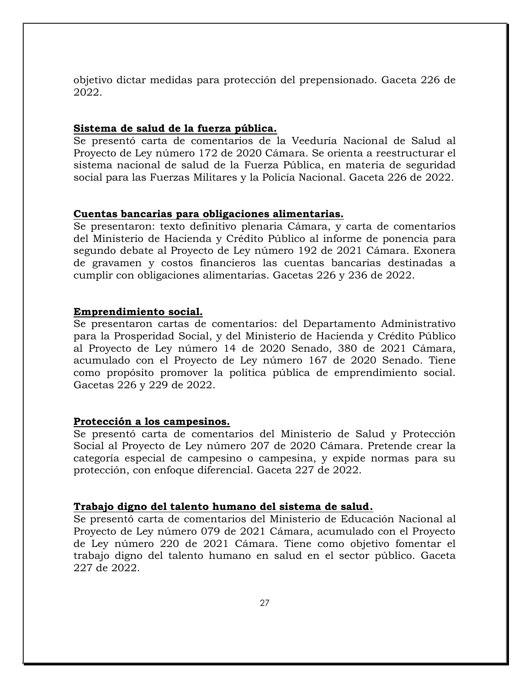objetivo dictar medidas para protección del prepensionado. Gaceta 226 de 2022.

#### <span id="page-26-0"></span>**Sistema de salud de la fuerza pública.**

Se presentó carta de comentarios de la Veeduría Nacional de Salud al Proyecto de Ley número 172 de 2020 Cámara. Se orienta a reestructurar el sistema nacional de salud de la Fuerza Pública, en materia de seguridad social para las Fuerzas Militares y la Policía Nacional. Gaceta 226 de 2022.

#### <span id="page-26-1"></span>**Cuentas bancarias para obligaciones alimentarias.**

Se presentaron: texto definitivo plenaria Cámara, y carta de comentarios del Ministerio de Hacienda y Crédito Público al informe de ponencia para segundo debate al Proyecto de Ley número 192 de 2021 Cámara. Exonera de gravamen y costos financieros las cuentas bancarias destinadas a cumplir con obligaciones alimentarias. Gacetas 226 y 236 de 2022.

#### <span id="page-26-2"></span>**Emprendimiento social.**

Se presentaron cartas de comentarios: del Departamento Administrativo para la Prosperidad Social, y del Ministerio de Hacienda y Crédito Público al Proyecto de Ley número 14 de 2020 Senado, 380 de 2021 Cámara, acumulado con el Proyecto de Ley número 167 de 2020 Senado. Tiene como propósito promover la política pública de emprendimiento social. Gacetas 226 y 229 de 2022.

#### <span id="page-26-3"></span>**Protección a los campesinos.**

Se presentó carta de comentarios del Ministerio de Salud y Protección Social al Proyecto de Ley número 207 de 2020 Cámara. Pretende crear la categoría especial de campesino o campesina, y expide normas para su protección, con enfoque diferencial. Gaceta 227 de 2022.

#### <span id="page-26-4"></span>**Trabajo digno del talento humano del sistema de salud.**

Se presentó carta de comentarios del Ministerio de Educación Nacional al Proyecto de Ley número 079 de 2021 Cámara, acumulado con el Proyecto de Ley número 220 de 2021 Cámara. Tiene como objetivo fomentar el trabajo digno del talento humano en salud en el sector público. Gaceta 227 de 2022.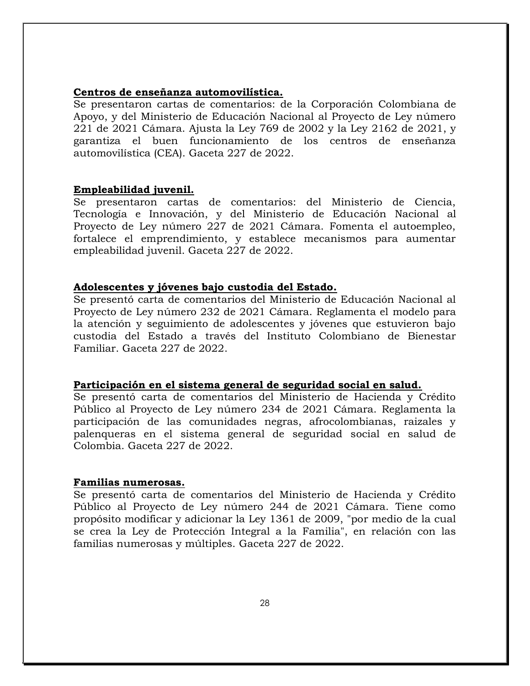#### <span id="page-27-0"></span>**Centros de enseñanza automovilística.**

Se presentaron cartas de comentarios: de la Corporación Colombiana de Apoyo, y del Ministerio de Educación Nacional al Proyecto de Ley número 221 de 2021 Cámara. Ajusta la Ley 769 de 2002 y la Ley 2162 de 2021, y garantiza el buen funcionamiento de los centros de enseñanza automovilística (CEA). Gaceta 227 de 2022.

#### <span id="page-27-1"></span>**Empleabilidad juvenil.**

Se presentaron cartas de comentarios: del Ministerio de Ciencia, Tecnología e Innovación, y del Ministerio de Educación Nacional al Proyecto de Ley número 227 de 2021 Cámara. Fomenta el autoempleo, fortalece el emprendimiento, y establece mecanismos para aumentar empleabilidad juvenil. Gaceta 227 de 2022.

#### <span id="page-27-2"></span>**Adolescentes y jóvenes bajo custodia del Estado.**

Se presentó carta de comentarios del Ministerio de Educación Nacional al Proyecto de Ley número 232 de 2021 Cámara. Reglamenta el modelo para la atención y seguimiento de adolescentes y jóvenes que estuvieron bajo custodia del Estado a través del Instituto Colombiano de Bienestar Familiar. Gaceta 227 de 2022.

#### <span id="page-27-3"></span>**Participación en el sistema general de seguridad social en salud.**

Se presentó carta de comentarios del Ministerio de Hacienda y Crédito Público al Proyecto de Ley número 234 de 2021 Cámara. Reglamenta la participación de las comunidades negras, afrocolombianas, raizales y palenqueras en el sistema general de seguridad social en salud de Colombia. Gaceta 227 de 2022.

#### <span id="page-27-4"></span>**Familias numerosas.**

Se presentó carta de comentarios del Ministerio de Hacienda y Crédito Público al Proyecto de Ley número 244 de 2021 Cámara. Tiene como propósito modificar y adicionar la Ley 1361 de 2009, "por medio de la cual se crea la Ley de Protección Integral a la Familia", en relación con las familias numerosas y múltiples. Gaceta 227 de 2022.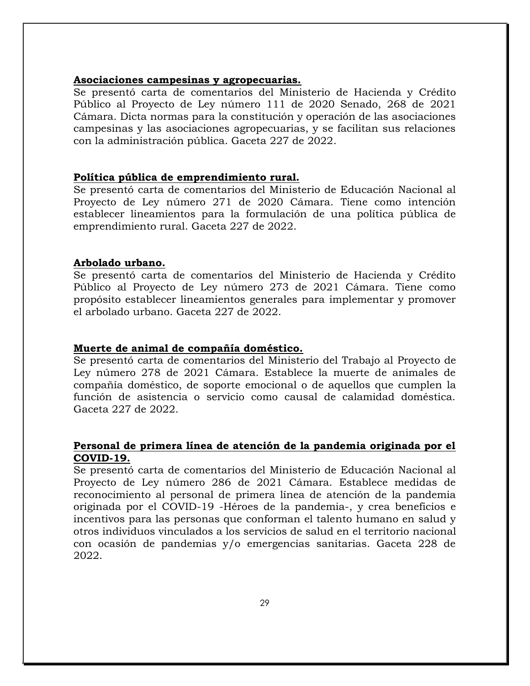#### <span id="page-28-0"></span>**Asociaciones campesinas y agropecuarias.**

Se presentó carta de comentarios del Ministerio de Hacienda y Crédito Público al Proyecto de Ley número 111 de 2020 Senado, 268 de 2021 Cámara. Dicta normas para la constitución y operación de las asociaciones campesinas y las asociaciones agropecuarias, y se facilitan sus relaciones con la administración pública. Gaceta 227 de 2022.

#### <span id="page-28-1"></span>**Política pública de emprendimiento rural.**

Se presentó carta de comentarios del Ministerio de Educación Nacional al Proyecto de Ley número 271 de 2020 Cámara. Tiene como intención establecer lineamientos para la formulación de una política pública de emprendimiento rural. Gaceta 227 de 2022.

#### <span id="page-28-2"></span>**Arbolado urbano.**

Se presentó carta de comentarios del Ministerio de Hacienda y Crédito Público al Proyecto de Ley número 273 de 2021 Cámara. Tiene como propósito establecer lineamientos generales para implementar y promover el arbolado urbano. Gaceta 227 de 2022.

#### <span id="page-28-3"></span>**Muerte de animal de compañía doméstico.**

Se presentó carta de comentarios del Ministerio del Trabajo al Proyecto de Ley número 278 de 2021 Cámara. Establece la muerte de animales de compañía doméstico, de soporte emocional o de aquellos que cumplen la función de asistencia o servicio como causal de calamidad doméstica. Gaceta 227 de 2022.

### <span id="page-28-4"></span>**Personal de primera línea de atención de la pandemia originada por el COVID-19.**

Se presentó carta de comentarios del Ministerio de Educación Nacional al Proyecto de Ley número 286 de 2021 Cámara. Establece medidas de reconocimiento al personal de primera línea de atención de la pandemia originada por el COVID-19 -Héroes de la pandemia-, y crea beneficios e incentivos para las personas que conforman el talento humano en salud y otros individuos vinculados a los servicios de salud en el territorio nacional con ocasión de pandemias y/o emergencias sanitarias. Gaceta 228 de 2022.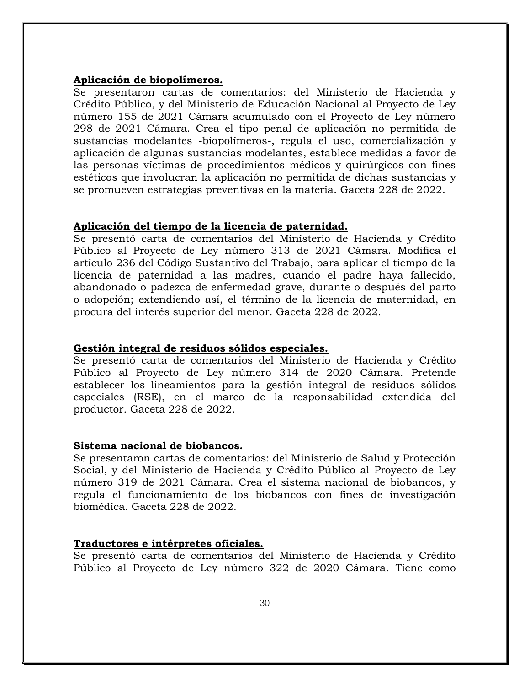#### <span id="page-29-0"></span>**Aplicación de biopolímeros.**

Se presentaron cartas de comentarios: del Ministerio de Hacienda y Crédito Público, y del Ministerio de Educación Nacional al Proyecto de Ley número 155 de 2021 Cámara acumulado con el Proyecto de Ley número 298 de 2021 Cámara. Crea el tipo penal de aplicación no permitida de sustancias modelantes -biopolímeros-, regula el uso, comercialización y aplicación de algunas sustancias modelantes, establece medidas a favor de las personas víctimas de procedimientos médicos y quirúrgicos con fines estéticos que involucran la aplicación no permitida de dichas sustancias y se promueven estrategias preventivas en la materia. Gaceta 228 de 2022.

#### <span id="page-29-1"></span>**Aplicación del tiempo de la licencia de paternidad.**

Se presentó carta de comentarios del Ministerio de Hacienda y Crédito Público al Proyecto de Ley número 313 de 2021 Cámara. Modifica el artículo 236 del Código Sustantivo del Trabajo, para aplicar el tiempo de la licencia de paternidad a las madres, cuando el padre haya fallecido, abandonado o padezca de enfermedad grave, durante o después del parto o adopción; extendiendo así, el término de la licencia de maternidad, en procura del interés superior del menor. Gaceta 228 de 2022.

#### <span id="page-29-2"></span>**Gestión integral de residuos sólidos especiales.**

Se presentó carta de comentarios del Ministerio de Hacienda y Crédito Público al Proyecto de Ley número 314 de 2020 Cámara. Pretende establecer los lineamientos para la gestión integral de residuos sólidos especiales (RSE), en el marco de la responsabilidad extendida del productor. Gaceta 228 de 2022.

#### <span id="page-29-3"></span>**Sistema nacional de biobancos.**

Se presentaron cartas de comentarios: del Ministerio de Salud y Protección Social, y del Ministerio de Hacienda y Crédito Público al Proyecto de Ley número 319 de 2021 Cámara. Crea el sistema nacional de biobancos, y regula el funcionamiento de los biobancos con fines de investigación biomédica. Gaceta 228 de 2022.

#### <span id="page-29-4"></span>**Traductores e intérpretes oficiales.**

Se presentó carta de comentarios del Ministerio de Hacienda y Crédito Público al Proyecto de Ley número 322 de 2020 Cámara. Tiene como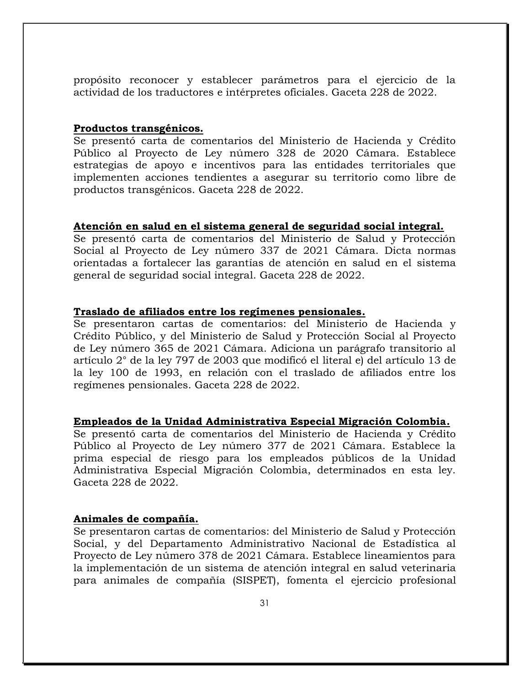propósito reconocer y establecer parámetros para el ejercicio de la actividad de los traductores e intérpretes oficiales. Gaceta 228 de 2022.

#### <span id="page-30-0"></span>**Productos transgénicos.**

Se presentó carta de comentarios del Ministerio de Hacienda y Crédito Público al Proyecto de Ley número 328 de 2020 Cámara. Establece estrategias de apoyo e incentivos para las entidades territoriales que implementen acciones tendientes a asegurar su territorio como libre de productos transgénicos. Gaceta 228 de 2022.

#### <span id="page-30-1"></span>**Atención en salud en el sistema general de seguridad social integral.**

Se presentó carta de comentarios del Ministerio de Salud y Protección Social al Proyecto de Ley número 337 de 2021 Cámara. Dicta normas orientadas a fortalecer las garantías de atención en salud en el sistema general de seguridad social integral. Gaceta 228 de 2022.

#### <span id="page-30-2"></span>**Traslado de afiliados entre los regímenes pensionales.**

Se presentaron cartas de comentarios: del Ministerio de Hacienda y Crédito Público, y del Ministerio de Salud y Protección Social al Proyecto de Ley número 365 de 2021 Cámara. Adiciona un parágrafo transitorio al artículo 2° de la ley 797 de 2003 que modificó el literal e) del artículo 13 de la ley 100 de 1993, en relación con el traslado de afiliados entre los regímenes pensionales. Gaceta 228 de 2022.

#### <span id="page-30-3"></span>**Empleados de la Unidad Administrativa Especial Migración Colombia.**

Se presentó carta de comentarios del Ministerio de Hacienda y Crédito Público al Proyecto de Ley número 377 de 2021 Cámara. Establece la prima especial de riesgo para los empleados públicos de la Unidad Administrativa Especial Migración Colombia, determinados en esta ley. Gaceta 228 de 2022.

#### <span id="page-30-4"></span>**Animales de compañía.**

Se presentaron cartas de comentarios: del Ministerio de Salud y Protección Social, y del Departamento Administrativo Nacional de Estadística al Proyecto de Ley número 378 de 2021 Cámara. Establece lineamientos para la implementación de un sistema de atención integral en salud veterinaria para animales de compañía (SISPET), fomenta el ejercicio profesional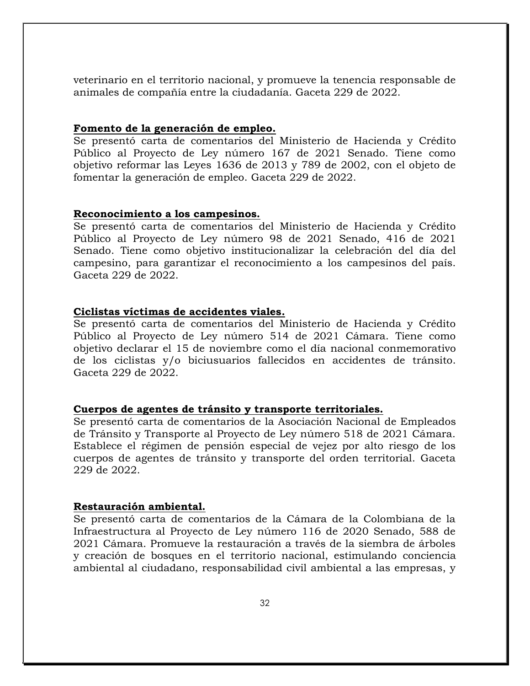veterinario en el territorio nacional, y promueve la tenencia responsable de animales de compañía entre la ciudadanía. Gaceta 229 de 2022.

#### <span id="page-31-0"></span>**Fomento de la generación de empleo.**

Se presentó carta de comentarios del Ministerio de Hacienda y Crédito Público al Proyecto de Ley número 167 de 2021 Senado. Tiene como objetivo reformar las Leyes 1636 de 2013 y 789 de 2002, con el objeto de fomentar la generación de empleo. Gaceta 229 de 2022.

#### <span id="page-31-1"></span>**Reconocimiento a los campesinos.**

Se presentó carta de comentarios del Ministerio de Hacienda y Crédito Público al Proyecto de Ley número 98 de 2021 Senado, 416 de 2021 Senado. Tiene como objetivo institucionalizar la celebración del día del campesino, para garantizar el reconocimiento a los campesinos del país. Gaceta 229 de 2022.

#### <span id="page-31-2"></span>**Ciclistas víctimas de accidentes viales.**

Se presentó carta de comentarios del Ministerio de Hacienda y Crédito Público al Proyecto de Ley número 514 de 2021 Cámara. Tiene como objetivo declarar el 15 de noviembre como el día nacional conmemorativo de los ciclistas y/o biciusuarios fallecidos en accidentes de tránsito. Gaceta 229 de 2022.

#### <span id="page-31-3"></span>**Cuerpos de agentes de tránsito y transporte territoriales.**

Se presentó carta de comentarios de la Asociación Nacional de Empleados de Tránsito y Transporte al Proyecto de Ley número 518 de 2021 Cámara. Establece el régimen de pensión especial de vejez por alto riesgo de los cuerpos de agentes de tránsito y transporte del orden territorial. Gaceta 229 de 2022.

#### <span id="page-31-4"></span>**Restauración ambiental.**

Se presentó carta de comentarios de la Cámara de la Colombiana de la Infraestructura al Proyecto de Ley número 116 de 2020 Senado, 588 de 2021 Cámara. Promueve la restauración a través de la siembra de árboles y creación de bosques en el territorio nacional, estimulando conciencia ambiental al ciudadano, responsabilidad civil ambiental a las empresas, y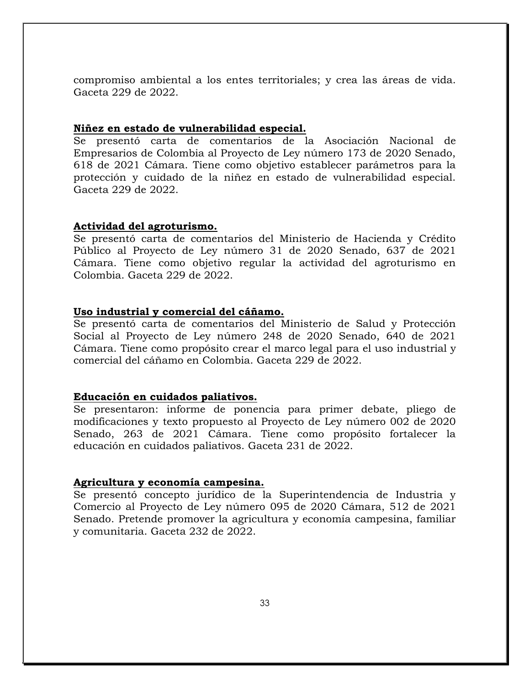compromiso ambiental a los entes territoriales; y crea las áreas de vida. Gaceta 229 de 2022.

#### <span id="page-32-0"></span>**Niñez en estado de vulnerabilidad especial.**

Se presentó carta de comentarios de la Asociación Nacional de Empresarios de Colombia al Proyecto de Ley número 173 de 2020 Senado, 618 de 2021 Cámara. Tiene como objetivo establecer parámetros para la protección y cuidado de la niñez en estado de vulnerabilidad especial. Gaceta 229 de 2022.

#### <span id="page-32-1"></span>**Actividad del agroturismo.**

Se presentó carta de comentarios del Ministerio de Hacienda y Crédito Público al Proyecto de Ley número 31 de 2020 Senado, 637 de 2021 Cámara. Tiene como objetivo regular la actividad del agroturismo en Colombia. Gaceta 229 de 2022.

#### <span id="page-32-2"></span>**Uso industrial y comercial del cáñamo.**

Se presentó carta de comentarios del Ministerio de Salud y Protección Social al Proyecto de Ley número 248 de 2020 Senado, 640 de 2021 Cámara. Tiene como propósito crear el marco legal para el uso industrial y comercial del cáñamo en Colombia. Gaceta 229 de 2022.

#### <span id="page-32-3"></span>**Educación en cuidados paliativos.**

Se presentaron: informe de ponencia para primer debate, pliego de modificaciones y texto propuesto al Proyecto de Ley número 002 de 2020 Senado, 263 de 2021 Cámara. Tiene como propósito fortalecer la educación en cuidados paliativos. Gaceta 231 de 2022.

#### <span id="page-32-4"></span>**Agricultura y economía campesina.**

Se presentó concepto jurídico de la Superintendencia de Industria y Comercio al Proyecto de Ley número 095 de 2020 Cámara, 512 de 2021 Senado. Pretende promover la agricultura y economía campesina, familiar y comunitaria. Gaceta 232 de 2022.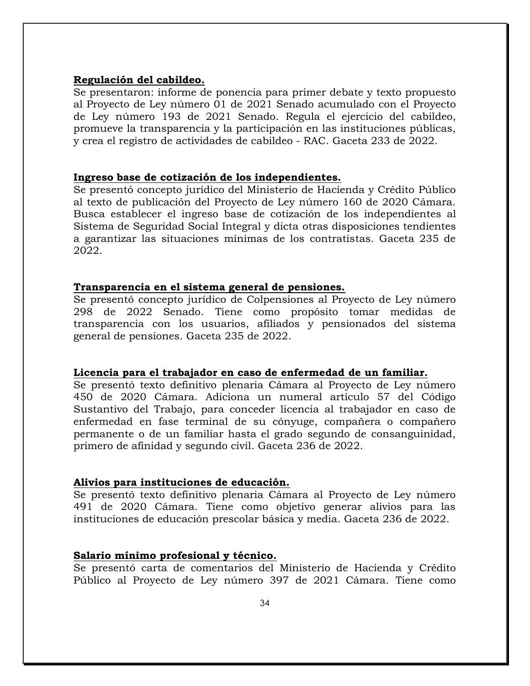#### <span id="page-33-0"></span>**Regulación del cabildeo.**

Se presentaron: informe de ponencia para primer debate y texto propuesto al Proyecto de Ley número 01 de 2021 Senado acumulado con el Proyecto de Ley número 193 de 2021 Senado. Regula el ejercicio del cabildeo, promueve la transparencia y la participación en las instituciones públicas, y crea el registro de actividades de cabildeo - RAC. Gaceta 233 de 2022.

#### <span id="page-33-1"></span>**Ingreso base de cotización de los independientes.**

Se presentó concepto jurídico del Ministerio de Hacienda y Crédito Público al texto de publicación del Proyecto de Ley número 160 de 2020 Cámara. Busca establecer el ingreso base de cotización de los independientes al Sistema de Seguridad Social Integral y dicta otras disposiciones tendientes a garantizar las situaciones mínimas de los contratistas. Gaceta 235 de 2022.

#### <span id="page-33-2"></span>**Transparencia en el sistema general de pensiones.**

Se presentó concepto jurídico de Colpensiones al Proyecto de Ley número 298 de 2022 Senado. Tiene como propósito tomar medidas de transparencia con los usuarios, afiliados y pensionados del sistema general de pensiones. Gaceta 235 de 2022.

#### <span id="page-33-3"></span>**Licencia para el trabajador en caso de enfermedad de un familiar.**

Se presentó texto definitivo plenaria Cámara al Proyecto de Ley número 450 de 2020 Cámara. Adiciona un numeral artículo 57 del Código Sustantivo del Trabajo, para conceder licencia al trabajador en caso de enfermedad en fase terminal de su cónyuge, compañera o compañero permanente o de un familiar hasta el grado segundo de consanguinidad, primero de afinidad y segundo civil. Gaceta 236 de 2022.

#### <span id="page-33-4"></span>**Alivios para instituciones de educación.**

Se presentó texto definitivo plenaria Cámara al Proyecto de Ley número 491 de 2020 Cámara. Tiene como objetivo generar alivios para las instituciones de educación prescolar básica y media. Gaceta 236 de 2022.

#### <span id="page-33-5"></span>**Salario mínimo profesional y técnico.**

Se presentó carta de comentarios del Ministerio de Hacienda y Crédito Público al Proyecto de Ley número 397 de 2021 Cámara. Tiene como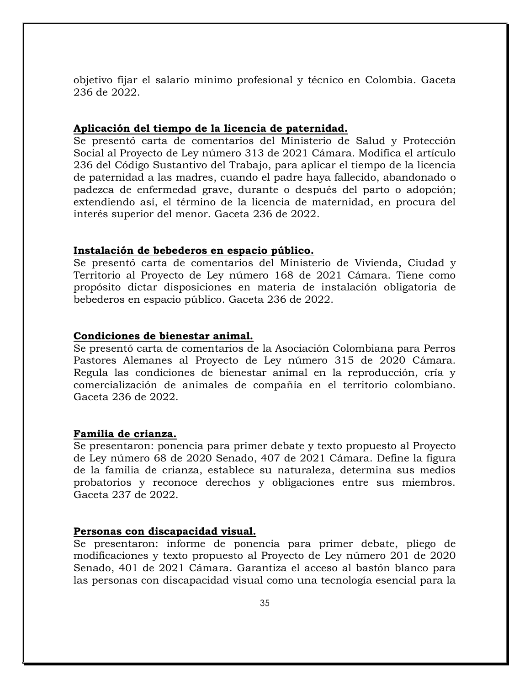objetivo fijar el salario mínimo profesional y técnico en Colombia. Gaceta 236 de 2022.

#### <span id="page-34-0"></span>**Aplicación del tiempo de la licencia de paternidad.**

Se presentó carta de comentarios del Ministerio de Salud y Protección Social al Proyecto de Ley número 313 de 2021 Cámara. Modifica el artículo 236 del Código Sustantivo del Trabajo, para aplicar el tiempo de la licencia de paternidad a las madres, cuando el padre haya fallecido, abandonado o padezca de enfermedad grave, durante o después del parto o adopción; extendiendo así, el término de la licencia de maternidad, en procura del interés superior del menor. Gaceta 236 de 2022.

#### <span id="page-34-1"></span>**Instalación de bebederos en espacio público.**

Se presentó carta de comentarios del Ministerio de Vivienda, Ciudad y Territorio al Proyecto de Ley número 168 de 2021 Cámara. Tiene como propósito dictar disposiciones en materia de instalación obligatoria de bebederos en espacio público. Gaceta 236 de 2022.

#### <span id="page-34-2"></span>**Condiciones de bienestar animal.**

Se presentó carta de comentarios de la Asociación Colombiana para Perros Pastores Alemanes al Proyecto de Ley número 315 de 2020 Cámara. Regula las condiciones de bienestar animal en la reproducción, cría y comercialización de animales de compañía en el territorio colombiano. Gaceta 236 de 2022.

#### <span id="page-34-3"></span>**Familia de crianza.**

Se presentaron: ponencia para primer debate y texto propuesto al Proyecto de Ley número 68 de 2020 Senado, 407 de 2021 Cámara. Define la figura de la familia de crianza, establece su naturaleza, determina sus medios probatorios y reconoce derechos y obligaciones entre sus miembros. Gaceta 237 de 2022.

#### <span id="page-34-4"></span>**Personas con discapacidad visual.**

Se presentaron: informe de ponencia para primer debate, pliego de modificaciones y texto propuesto al Proyecto de Ley número 201 de 2020 Senado, 401 de 2021 Cámara. Garantiza el acceso al bastón blanco para las personas con discapacidad visual como una tecnología esencial para la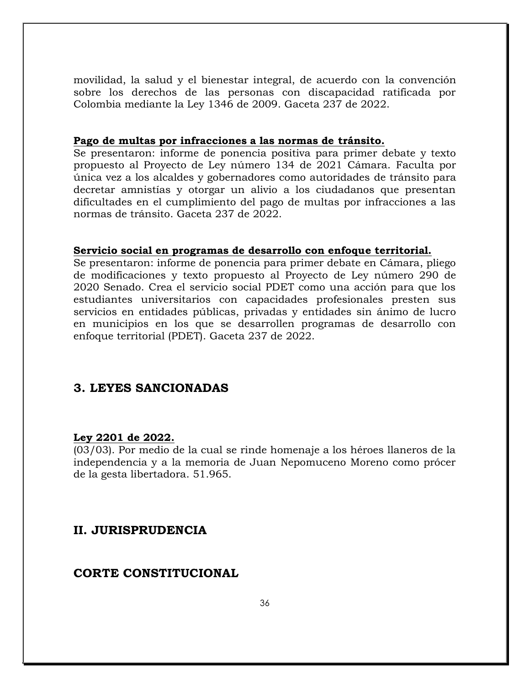movilidad, la salud y el bienestar integral, de acuerdo con la convención sobre los derechos de las personas con discapacidad ratificada por Colombia mediante la Ley 1346 de 2009. Gaceta 237 de 2022.

#### <span id="page-35-0"></span>**Pago de multas por infracciones a las normas de tránsito.**

Se presentaron: informe de ponencia positiva para primer debate y texto propuesto al Proyecto de Ley número 134 de 2021 Cámara. Faculta por única vez a los alcaldes y gobernadores como autoridades de tránsito para decretar amnistías y otorgar un alivio a los ciudadanos que presentan dificultades en el cumplimiento del pago de multas por infracciones a las normas de tránsito. Gaceta 237 de 2022.

#### <span id="page-35-1"></span>**Servicio social en programas de desarrollo con enfoque territorial.**

Se presentaron: informe de ponencia para primer debate en Cámara, pliego de modificaciones y texto propuesto al Proyecto de Ley número 290 de 2020 Senado. Crea el servicio social PDET como una acción para que los estudiantes universitarios con capacidades profesionales presten sus servicios en entidades públicas, privadas y entidades sin ánimo de lucro en municipios en los que se desarrollen programas de desarrollo con enfoque territorial (PDET). Gaceta 237 de 2022.

### <span id="page-35-2"></span>**3. LEYES SANCIONADAS**

#### <span id="page-35-3"></span>**Ley 2201 de 2022.**

(03/03). Por medio de la cual se rinde homenaje a los héroes llaneros de la independencia y a la memoria de Juan Nepomuceno Moreno como prócer de la gesta libertadora. 51.965.

### <span id="page-35-4"></span>**II. JURISPRUDENCIA**

### <span id="page-35-5"></span>**CORTE CONSTITUCIONAL**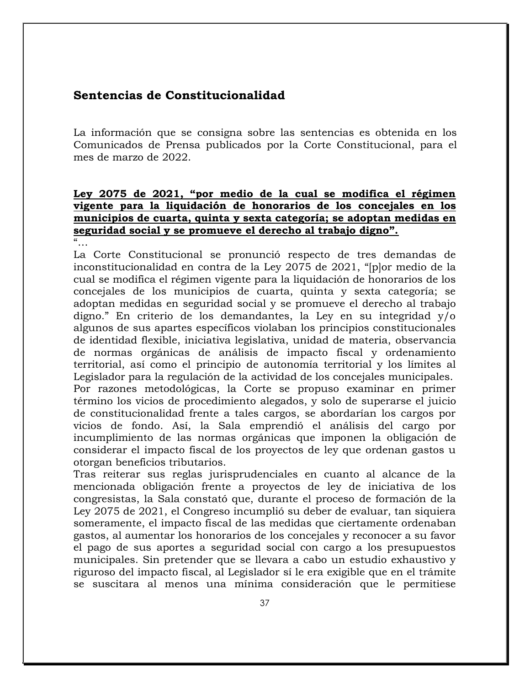# **Sentencias de Constitucionalidad**

La información que se consigna sobre las sentencias es obtenida en los Comunicados de Prensa publicados por la Corte Constitucional, para el mes de marzo de 2022.

# **Ley 2075 de 2021, "por medio de la cual se modifica el régimen vigente para la liquidación de honorarios de los concejales en los municipios de cuarta, quinta y sexta categoría; se adoptan medidas en seguridad social y se promueve el derecho al trabajo digno".**

 $\alpha$ 

La Corte Constitucional se pronunció respecto de tres demandas de inconstitucionalidad en contra de la Ley 2075 de 2021, "[p]or medio de la cual se modifica el régimen vigente para la liquidación de honorarios de los concejales de los municipios de cuarta, quinta y sexta categoría; se adoptan medidas en seguridad social y se promueve el derecho al trabajo digno." En criterio de los demandantes, la Ley en su integridad y/o algunos de sus apartes específicos violaban los principios constitucionales de identidad flexible, iniciativa legislativa, unidad de materia, observancia de normas orgánicas de análisis de impacto fiscal y ordenamiento territorial, así como el principio de autonomía territorial y los límites al Legislador para la regulación de la actividad de los concejales municipales. Por razones metodológicas, la Corte se propuso examinar en primer

término los vicios de procedimiento alegados, y solo de superarse el juicio de constitucionalidad frente a tales cargos, se abordarían los cargos por vicios de fondo. Así, la Sala emprendió el análisis del cargo por incumplimiento de las normas orgánicas que imponen la obligación de considerar el impacto fiscal de los proyectos de ley que ordenan gastos u otorgan beneficios tributarios.

Tras reiterar sus reglas jurisprudenciales en cuanto al alcance de la mencionada obligación frente a proyectos de ley de iniciativa de los congresistas, la Sala constató que, durante el proceso de formación de la Ley 2075 de 2021, el Congreso incumplió su deber de evaluar, tan siquiera someramente, el impacto fiscal de las medidas que ciertamente ordenaban gastos, al aumentar los honorarios de los concejales y reconocer a su favor el pago de sus aportes a seguridad social con cargo a los presupuestos municipales. Sin pretender que se llevara a cabo un estudio exhaustivo y riguroso del impacto fiscal, al Legislador sí le era exigible que en el trámite se suscitara al menos una mínima consideración que le permitiese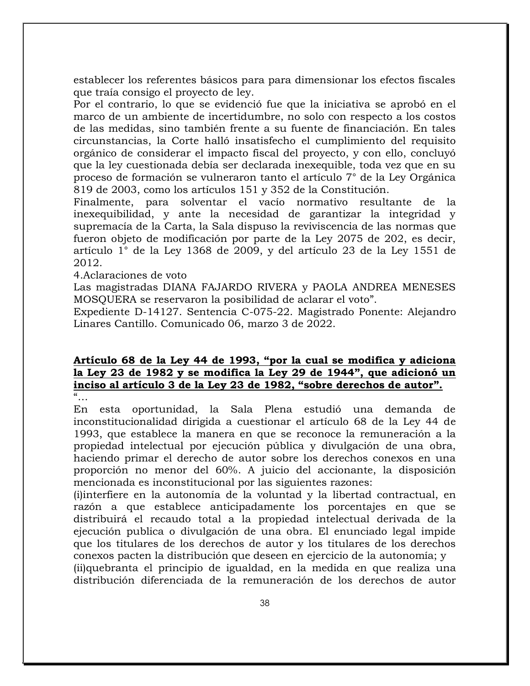establecer los referentes básicos para para dimensionar los efectos fiscales que traía consigo el proyecto de ley.

Por el contrario, lo que se evidenció fue que la iniciativa se aprobó en el marco de un ambiente de incertidumbre, no solo con respecto a los costos de las medidas, sino también frente a su fuente de financiación. En tales circunstancias, la Corte halló insatisfecho el cumplimiento del requisito orgánico de considerar el impacto fiscal del proyecto, y con ello, concluyó que la ley cuestionada debía ser declarada inexequible, toda vez que en su proceso de formación se vulneraron tanto el artículo 7° de la Ley Orgánica 819 de 2003, como los artículos 151 y 352 de la Constitución.

Finalmente, para solventar el vacío normativo resultante de la inexequibilidad, y ante la necesidad de garantizar la integridad y supremacía de la Carta, la Sala dispuso la reviviscencia de las normas que fueron objeto de modificación por parte de la Ley 2075 de 202, es decir, artículo 1° de la Ley 1368 de 2009, y del artículo 23 de la Ley 1551 de 2012.

4.Aclaraciones de voto

Las magistradas DIANA FAJARDO RIVERA y PAOLA ANDREA MENESES MOSQUERA se reservaron la posibilidad de aclarar el voto".

Expediente D-14127. Sentencia C-075-22. Magistrado Ponente: Alejandro Linares Cantillo. Comunicado 06, marzo 3 de 2022.

# **Artículo 68 de la Ley 44 de 1993, "por la cual se modifica y adiciona la Ley 23 de 1982 y se modifica la Ley 29 de 1944", que adicionó un inciso al artículo 3 de la Ley 23 de 1982, "sobre derechos de autor".**

"…

En esta oportunidad, la Sala Plena estudió una demanda de inconstitucionalidad dirigida a cuestionar el artículo 68 de la Ley 44 de 1993, que establece la manera en que se reconoce la remuneración a la propiedad intelectual por ejecución pública y divulgación de una obra, haciendo primar el derecho de autor sobre los derechos conexos en una proporción no menor del 60%. A juicio del accionante, la disposición mencionada es inconstitucional por las siguientes razones:

(i)interfiere en la autonomía de la voluntad y la libertad contractual, en razón a que establece anticipadamente los porcentajes en que se distribuirá el recaudo total a la propiedad intelectual derivada de la ejecución publica o divulgación de una obra. El enunciado legal impide que los titulares de los derechos de autor y los titulares de los derechos conexos pacten la distribución que deseen en ejercicio de la autonomía; y

(ii)quebranta el principio de igualdad, en la medida en que realiza una distribución diferenciada de la remuneración de los derechos de autor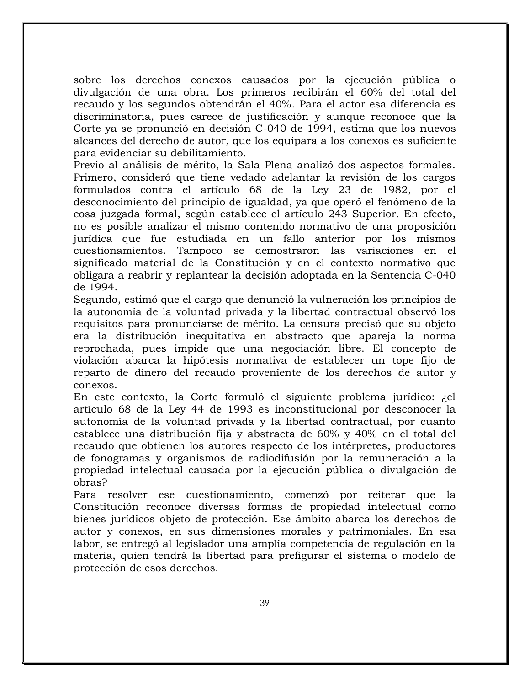sobre los derechos conexos causados por la ejecución pública o divulgación de una obra. Los primeros recibirán el 60% del total del recaudo y los segundos obtendrán el 40%. Para el actor esa diferencia es discriminatoria, pues carece de justificación y aunque reconoce que la Corte ya se pronunció en decisión C-040 de 1994, estima que los nuevos alcances del derecho de autor, que los equipara a los conexos es suficiente para evidenciar su debilitamiento.

Previo al análisis de mérito, la Sala Plena analizó dos aspectos formales. Primero, consideró que tiene vedado adelantar la revisión de los cargos formulados contra el artículo 68 de la Ley 23 de 1982, por el desconocimiento del principio de igualdad, ya que operó el fenómeno de la cosa juzgada formal, según establece el artículo 243 Superior. En efecto, no es posible analizar el mismo contenido normativo de una proposición jurídica que fue estudiada en un fallo anterior por los mismos cuestionamientos. Tampoco se demostraron las variaciones en el significado material de la Constitución y en el contexto normativo que obligara a reabrir y replantear la decisión adoptada en la Sentencia C-040 de 1994.

Segundo, estimó que el cargo que denunció la vulneración los principios de la autonomía de la voluntad privada y la libertad contractual observó los requisitos para pronunciarse de mérito. La censura precisó que su objeto era la distribución inequitativa en abstracto que apareja la norma reprochada, pues impide que una negociación libre. El concepto de violación abarca la hipótesis normativa de establecer un tope fijo de reparto de dinero del recaudo proveniente de los derechos de autor y conexos.

En este contexto, la Corte formuló el siguiente problema jurídico: ¿el artículo 68 de la Ley 44 de 1993 es inconstitucional por desconocer la autonomía de la voluntad privada y la libertad contractual, por cuanto establece una distribución fija y abstracta de 60% y 40% en el total del recaudo que obtienen los autores respecto de los intérpretes, productores de fonogramas y organismos de radiodifusión por la remuneración a la propiedad intelectual causada por la ejecución pública o divulgación de obras?

Para resolver ese cuestionamiento, comenzó por reiterar que la Constitución reconoce diversas formas de propiedad intelectual como bienes jurídicos objeto de protección. Ese ámbito abarca los derechos de autor y conexos, en sus dimensiones morales y patrimoniales. En esa labor, se entregó al legislador una amplia competencia de regulación en la materia, quien tendrá la libertad para prefigurar el sistema o modelo de protección de esos derechos.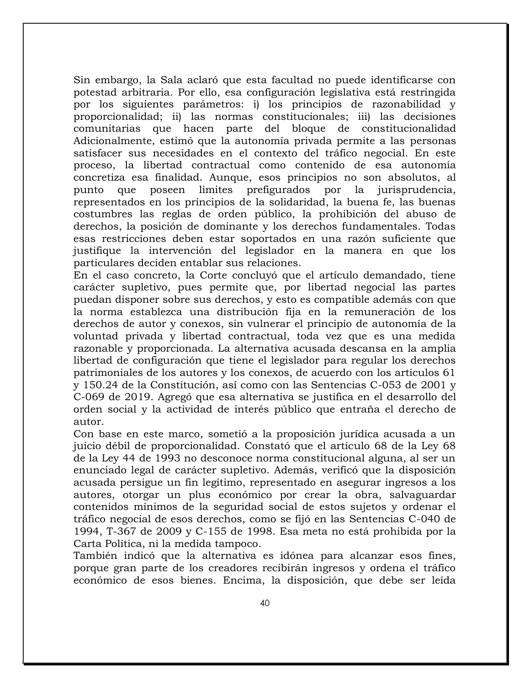Sin embargo, la Sala aclaró que esta facultad no puede identificarse con potestad arbitraria. Por ello, esa configuración legislativa está restringida por los siguientes parámetros: i) los principios de razonabilidad y proporcionalidad; ii) las normas constitucionales; iii) las decisiones comunitarias que hacen parte del bloque de constitucionalidad Adicionalmente, estimó que la autonomía privada permite a las personas satisfacer sus necesidades en el contexto del tráfico negocial. En este proceso, la libertad contractual como contenido de esa autonomía concretiza esa finalidad. Aunque, esos principios no son absolutos, al punto que poseen limites prefigurados por la jurisprudencia, representados en los principios de la solidaridad, la buena fe, las buenas costumbres las reglas de orden público, la prohibición del abuso de derechos, la posición de dominante y los derechos fundamentales. Todas esas restricciones deben estar soportados en una razón suficiente que justifique la intervención del legislador en la manera en que los particulares deciden entablar sus relaciones.

En el caso concreto, la Corte concluyó que el artículo demandado, tiene carácter supletivo, pues permite que, por libertad negocial las partes puedan disponer sobre sus derechos, y esto es compatible además con que la norma establezca una distribución fija en la remuneración de los derechos de autor y conexos, sin vulnerar el principio de autonomía de la voluntad privada y libertad contractual, toda vez que es una medida razonable y proporcionada. La alternativa acusada descansa en la amplia libertad de configuración que tiene el legislador para regular los derechos patrimoniales de los autores y los conexos, de acuerdo con los artículos 61 y 150.24 de la Constitución, así como con las Sentencias C-053 de 2001 y C-069 de 2019. Agregó que esa alternativa se justifica en el desarrollo del orden social y la actividad de interés público que entraña el derecho de autor.

Con base en este marco, sometió a la proposición jurídica acusada a un juicio débil de proporcionalidad. Constató que el artículo 68 de la Ley 68 de la Ley 44 de 1993 no desconoce norma constitucional alguna, al ser un enunciado legal de carácter supletivo. Además, verificó que la disposición acusada persigue un fin legítimo, representado en asegurar ingresos a los autores, otorgar un plus económico por crear la obra, salvaguardar contenidos mínimos de la seguridad social de estos sujetos y ordenar el tráfico negocial de esos derechos, como se fijó en las Sentencias C-040 de 1994, T-367 de 2009 y C-155 de 1998. Esa meta no está prohibida por la Carta Política, ni la medida tampoco.

También indicó que la alternativa es idónea para alcanzar esos fines, porque gran parte de los creadores recibirán ingresos y ordena el tráfico económico de esos bienes. Encima, la disposición, que debe ser leída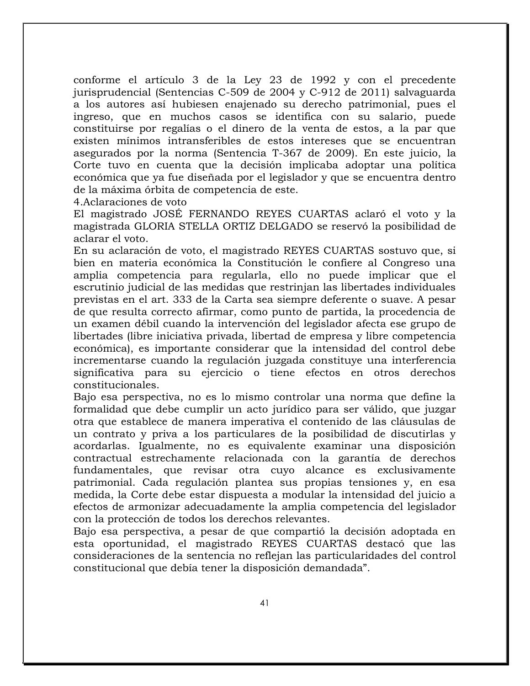conforme el artículo 3 de la Ley 23 de 1992 y con el precedente jurisprudencial (Sentencias C-509 de 2004 y C-912 de 2011) salvaguarda a los autores así hubiesen enajenado su derecho patrimonial, pues el ingreso, que en muchos casos se identifica con su salario, puede constituirse por regalías o el dinero de la venta de estos, a la par que existen mínimos intransferibles de estos intereses que se encuentran asegurados por la norma (Sentencia T-367 de 2009). En este juicio, la Corte tuvo en cuenta que la decisión implicaba adoptar una política económica que ya fue diseñada por el legislador y que se encuentra dentro de la máxima órbita de competencia de este.

4.Aclaraciones de voto

El magistrado JOSÉ FERNANDO REYES CUARTAS aclaró el voto y la magistrada GLORIA STELLA ORTIZ DELGADO se reservó la posibilidad de aclarar el voto.

En su aclaración de voto, el magistrado REYES CUARTAS sostuvo que, si bien en materia económica la Constitución le confiere al Congreso una amplia competencia para regularla, ello no puede implicar que el escrutinio judicial de las medidas que restrinjan las libertades individuales previstas en el art. 333 de la Carta sea siempre deferente o suave. A pesar de que resulta correcto afirmar, como punto de partida, la procedencia de un examen débil cuando la intervención del legislador afecta ese grupo de libertades (libre iniciativa privada, libertad de empresa y libre competencia económica), es importante considerar que la intensidad del control debe incrementarse cuando la regulación juzgada constituye una interferencia significativa para su ejercicio o tiene efectos en otros derechos constitucionales.

Bajo esa perspectiva, no es lo mismo controlar una norma que define la formalidad que debe cumplir un acto jurídico para ser válido, que juzgar otra que establece de manera imperativa el contenido de las cláusulas de un contrato y priva a los particulares de la posibilidad de discutirlas y acordarlas. Igualmente, no es equivalente examinar una disposición contractual estrechamente relacionada con la garantía de derechos fundamentales, que revisar otra cuyo alcance es exclusivamente patrimonial. Cada regulación plantea sus propias tensiones y, en esa medida, la Corte debe estar dispuesta a modular la intensidad del juicio a efectos de armonizar adecuadamente la amplia competencia del legislador con la protección de todos los derechos relevantes.

Bajo esa perspectiva, a pesar de que compartió la decisión adoptada en esta oportunidad, el magistrado REYES CUARTAS destacó que las consideraciones de la sentencia no reflejan las particularidades del control constitucional que debía tener la disposición demandada".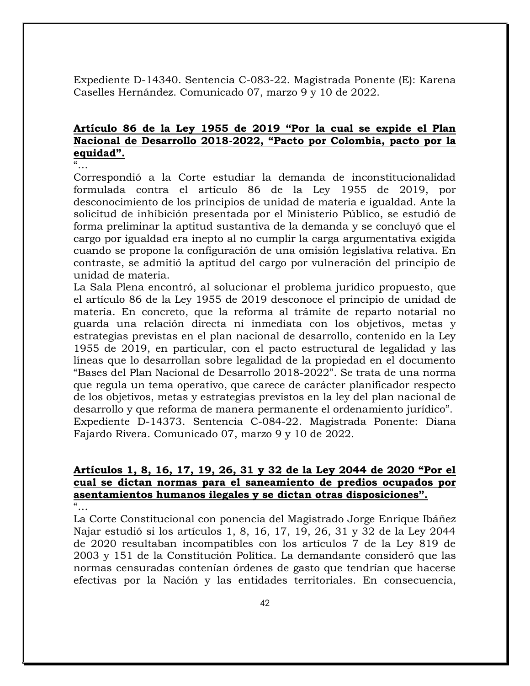Expediente D-14340. Sentencia C-083-22. Magistrada Ponente (E): Karena Caselles Hernández. Comunicado 07, marzo 9 y 10 de 2022.

# **Artículo 86 de la Ley 1955 de 2019 "Por la cual se expide el Plan Nacional de Desarrollo 2018-2022, "Pacto por Colombia, pacto por la equidad".**

"…

Correspondió a la Corte estudiar la demanda de inconstitucionalidad formulada contra el artículo 86 de la Ley 1955 de 2019, por desconocimiento de los principios de unidad de materia e igualdad. Ante la solicitud de inhibición presentada por el Ministerio Público, se estudió de forma preliminar la aptitud sustantiva de la demanda y se concluyó que el cargo por igualdad era inepto al no cumplir la carga argumentativa exigida cuando se propone la configuración de una omisión legislativa relativa. En contraste, se admitió la aptitud del cargo por vulneración del principio de unidad de materia.

La Sala Plena encontró, al solucionar el problema jurídico propuesto, que el artículo 86 de la Ley 1955 de 2019 desconoce el principio de unidad de materia. En concreto, que la reforma al trámite de reparto notarial no guarda una relación directa ni inmediata con los objetivos, metas y estrategias previstas en el plan nacional de desarrollo, contenido en la Ley 1955 de 2019, en particular, con el pacto estructural de legalidad y las líneas que lo desarrollan sobre legalidad de la propiedad en el documento "Bases del Plan Nacional de Desarrollo 2018-2022". Se trata de una norma que regula un tema operativo, que carece de carácter planificador respecto de los objetivos, metas y estrategias previstos en la ley del plan nacional de desarrollo y que reforma de manera permanente el ordenamiento jurídico". Expediente D-14373. Sentencia C-084-22. Magistrada Ponente: Diana Fajardo Rivera. Comunicado 07, marzo 9 y 10 de 2022.

#### **Artículos 1, 8, 16, 17, 19, 26, 31 y 32 de la Ley 2044 de 2020 "Por el cual se dictan normas para el saneamiento de predios ocupados por asentamientos humanos ilegales y se dictan otras disposiciones".**  $\alpha$

La Corte Constitucional con ponencia del Magistrado Jorge Enrique Ibáñez Najar estudió si los artículos 1, 8, 16, 17, 19, 26, 31 y 32 de la Ley 2044 de 2020 resultaban incompatibles con los artículos 7 de la Ley 819 de 2003 y 151 de la Constitución Política. La demandante consideró que las normas censuradas contenían órdenes de gasto que tendrían que hacerse efectivas por la Nación y las entidades territoriales. En consecuencia,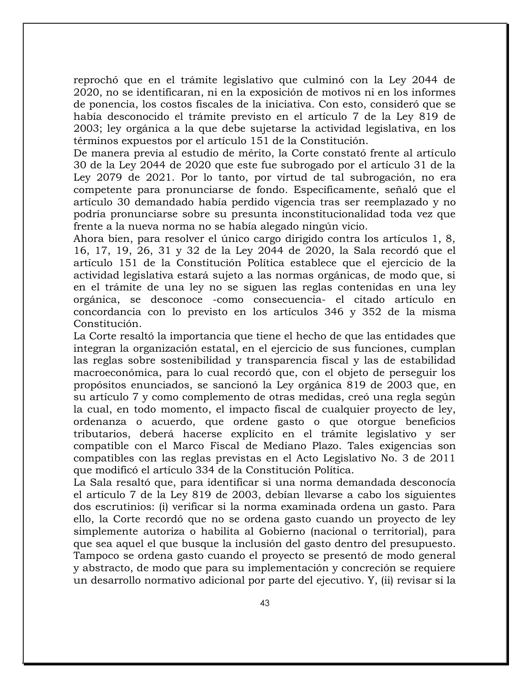reprochó que en el trámite legislativo que culminó con la Ley 2044 de 2020, no se identificaran, ni en la exposición de motivos ni en los informes de ponencia, los costos fiscales de la iniciativa. Con esto, consideró que se había desconocido el trámite previsto en el artículo 7 de la Ley 819 de 2003; ley orgánica a la que debe sujetarse la actividad legislativa, en los términos expuestos por el artículo 151 de la Constitución.

De manera previa al estudio de mérito, la Corte constató frente al artículo 30 de la Ley 2044 de 2020 que este fue subrogado por el artículo 31 de la Ley 2079 de 2021. Por lo tanto, por virtud de tal subrogación, no era competente para pronunciarse de fondo. Específicamente, señaló que el artículo 30 demandado había perdido vigencia tras ser reemplazado y no podría pronunciarse sobre su presunta inconstitucionalidad toda vez que frente a la nueva norma no se había alegado ningún vicio.

Ahora bien, para resolver el único cargo dirigido contra los artículos 1, 8, 16, 17, 19, 26, 31 y 32 de la Ley 2044 de 2020, la Sala recordó que el artículo 151 de la Constitución Política establece que el ejercicio de la actividad legislativa estará sujeto a las normas orgánicas, de modo que, si en el trámite de una ley no se siguen las reglas contenidas en una ley orgánica, se desconoce -como consecuencia- el citado artículo en concordancia con lo previsto en los artículos 346 y 352 de la misma Constitución.

La Corte resaltó la importancia que tiene el hecho de que las entidades que integran la organización estatal, en el ejercicio de sus funciones, cumplan las reglas sobre sostenibilidad y transparencia fiscal y las de estabilidad macroeconómica, para lo cual recordó que, con el objeto de perseguir los propósitos enunciados, se sancionó la Ley orgánica 819 de 2003 que, en su artículo 7 y como complemento de otras medidas, creó una regla según la cual, en todo momento, el impacto fiscal de cualquier proyecto de ley, ordenanza o acuerdo, que ordene gasto o que otorgue beneficios tributarios, deberá hacerse explícito en el trámite legislativo y ser compatible con el Marco Fiscal de Mediano Plazo. Tales exigencias son compatibles con las reglas previstas en el Acto Legislativo No. 3 de 2011 que modificó el artículo 334 de la Constitución Política.

La Sala resaltó que, para identificar si una norma demandada desconocía el artículo 7 de la Ley 819 de 2003, debían llevarse a cabo los siguientes dos escrutinios: (i) verificar si la norma examinada ordena un gasto. Para ello, la Corte recordó que no se ordena gasto cuando un proyecto de ley simplemente autoriza o habilita al Gobierno (nacional o territorial), para que sea aquel el que busque la inclusión del gasto dentro del presupuesto. Tampoco se ordena gasto cuando el proyecto se presentó de modo general y abstracto, de modo que para su implementación y concreción se requiere un desarrollo normativo adicional por parte del ejecutivo. Y, (ii) revisar si la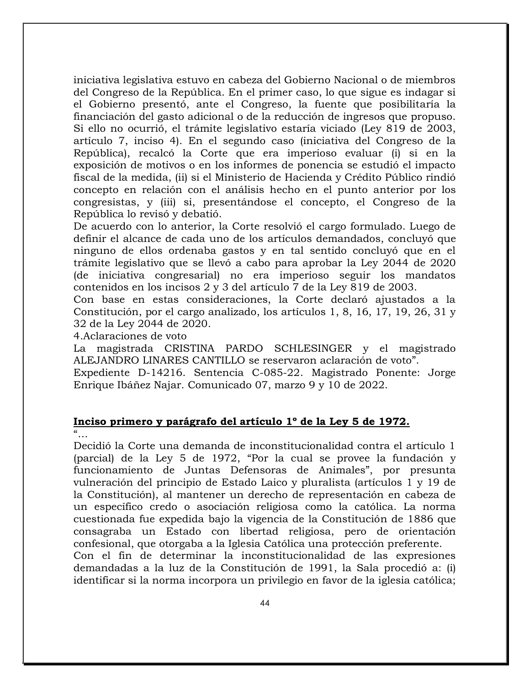iniciativa legislativa estuvo en cabeza del Gobierno Nacional o de miembros del Congreso de la República. En el primer caso, lo que sigue es indagar si el Gobierno presentó, ante el Congreso, la fuente que posibilitaría la financiación del gasto adicional o de la reducción de ingresos que propuso. Si ello no ocurrió, el trámite legislativo estaría viciado (Ley 819 de 2003, artículo 7, inciso 4). En el segundo caso (iniciativa del Congreso de la República), recalcó la Corte que era imperioso evaluar (i) si en la exposición de motivos o en los informes de ponencia se estudió el impacto fiscal de la medida, (ii) si el Ministerio de Hacienda y Crédito Público rindió concepto en relación con el análisis hecho en el punto anterior por los congresistas, y (iii) si, presentándose el concepto, el Congreso de la República lo revisó y debatió.

De acuerdo con lo anterior, la Corte resolvió el cargo formulado. Luego de definir el alcance de cada uno de los artículos demandados, concluyó que ninguno de ellos ordenaba gastos y en tal sentido concluyó que en el trámite legislativo que se llevó a cabo para aprobar la Ley 2044 de 2020 (de iniciativa congresarial) no era imperioso seguir los mandatos contenidos en los incisos 2 y 3 del artículo 7 de la Ley 819 de 2003.

Con base en estas consideraciones, la Corte declaró ajustados a la Constitución, por el cargo analizado, los artículos 1, 8, 16, 17, 19, 26, 31 y 32 de la Ley 2044 de 2020.

4.Aclaraciones de voto

La magistrada CRISTINA PARDO SCHLESINGER y el magistrado ALEJANDRO LINARES CANTILLO se reservaron aclaración de voto".

Expediente D-14216. Sentencia C-085-22. Magistrado Ponente: Jorge Enrique Ibáñez Najar. Comunicado 07, marzo 9 y 10 de 2022.

#### **Inciso primero y parágrafo del artículo 1º de la Ley 5 de 1972.**  $\alpha$

Decidió la Corte una demanda de inconstitucionalidad contra el artículo 1 (parcial) de la Ley 5 de 1972, "Por la cual se provee la fundación y funcionamiento de Juntas Defensoras de Animales", por presunta vulneración del principio de Estado Laico y pluralista (artículos 1 y 19 de la Constitución), al mantener un derecho de representación en cabeza de un específico credo o asociación religiosa como la católica. La norma cuestionada fue expedida bajo la vigencia de la Constitución de 1886 que consagraba un Estado con libertad religiosa, pero de orientación confesional, que otorgaba a la Iglesia Católica una protección preferente.

Con el fin de determinar la inconstitucionalidad de las expresiones demandadas a la luz de la Constitución de 1991, la Sala procedió a: (i) identificar si la norma incorpora un privilegio en favor de la iglesia católica;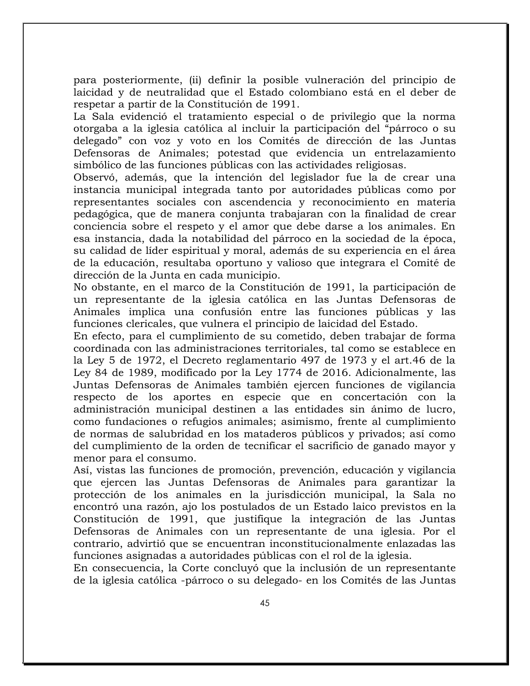para posteriormente, (ii) definir la posible vulneración del principio de laicidad y de neutralidad que el Estado colombiano está en el deber de respetar a partir de la Constitución de 1991.

La Sala evidenció el tratamiento especial o de privilegio que la norma otorgaba a la iglesia católica al incluir la participación del "párroco o su delegado" con voz y voto en los Comités de dirección de las Juntas Defensoras de Animales; potestad que evidencia un entrelazamiento simbólico de las funciones públicas con las actividades religiosas.

Observó, además, que la intención del legislador fue la de crear una instancia municipal integrada tanto por autoridades públicas como por representantes sociales con ascendencia y reconocimiento en materia pedagógica, que de manera conjunta trabajaran con la finalidad de crear conciencia sobre el respeto y el amor que debe darse a los animales. En esa instancia, dada la notabilidad del párroco en la sociedad de la época, su calidad de líder espiritual y moral, además de su experiencia en el área de la educación, resultaba oportuno y valioso que integrara el Comité de dirección de la Junta en cada municipio.

No obstante, en el marco de la Constitución de 1991, la participación de un representante de la iglesia católica en las Juntas Defensoras de Animales implica una confusión entre las funciones públicas y las funciones clericales, que vulnera el principio de laicidad del Estado.

En efecto, para el cumplimiento de su cometido, deben trabajar de forma coordinada con las administraciones territoriales, tal como se establece en la Ley 5 de 1972, el Decreto reglamentario 497 de 1973 y el art.46 de la Ley 84 de 1989, modificado por la Ley 1774 de 2016. Adicionalmente, las Juntas Defensoras de Animales también ejercen funciones de vigilancia respecto de los aportes en especie que en concertación con la administración municipal destinen a las entidades sin ánimo de lucro, como fundaciones o refugios animales; asimismo, frente al cumplimiento de normas de salubridad en los mataderos públicos y privados; así como del cumplimiento de la orden de tecnificar el sacrificio de ganado mayor y menor para el consumo.

Así, vistas las funciones de promoción, prevención, educación y vigilancia que ejercen las Juntas Defensoras de Animales para garantizar la protección de los animales en la jurisdicción municipal, la Sala no encontró una razón, ajo los postulados de un Estado laico previstos en la Constitución de 1991, que justifique la integración de las Juntas Defensoras de Animales con un representante de una iglesia. Por el contrario, advirtió que se encuentran inconstitucionalmente enlazadas las funciones asignadas a autoridades públicas con el rol de la iglesia.

En consecuencia, la Corte concluyó que la inclusión de un representante de la iglesia católica -párroco o su delegado- en los Comités de las Juntas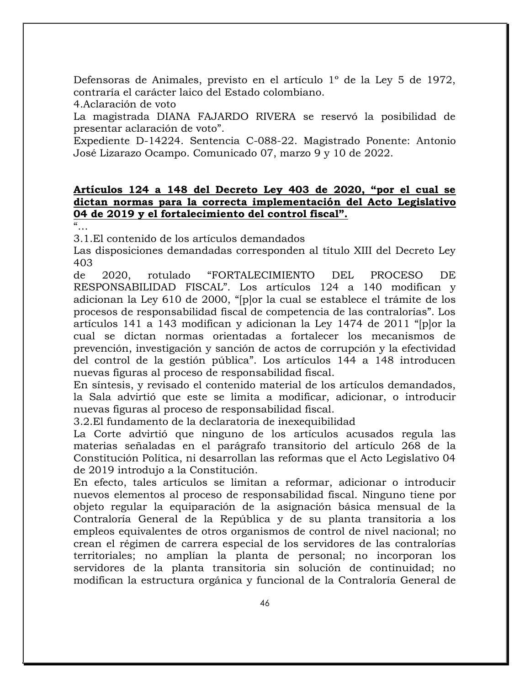Defensoras de Animales, previsto en el artículo 1º de la Ley 5 de 1972, contraría el carácter laico del Estado colombiano.

4.Aclaración de voto

La magistrada DIANA FAJARDO RIVERA se reservó la posibilidad de presentar aclaración de voto".

Expediente D-14224. Sentencia C-088-22. Magistrado Ponente: Antonio José Lizarazo Ocampo. Comunicado 07, marzo 9 y 10 de 2022.

### **Artículos 124 a 148 del Decreto Ley 403 de 2020, "por el cual se dictan normas para la correcta implementación del Acto Legislativo 04 de 2019 y el fortalecimiento del control fiscal".**

"…

3.1.El contenido de los artículos demandados

Las disposiciones demandadas corresponden al título XIII del Decreto Ley 403

de 2020, rotulado "FORTALECIMIENTO DEL PROCESO DE RESPONSABILIDAD FISCAL". Los artículos 124 a 140 modifican y adicionan la Ley 610 de 2000, "[p]or la cual se establece el trámite de los procesos de responsabilidad fiscal de competencia de las contralorías". Los artículos 141 a 143 modifican y adicionan la Ley 1474 de 2011 "[p]or la cual se dictan normas orientadas a fortalecer los mecanismos de prevención, investigación y sanción de actos de corrupción y la efectividad del control de la gestión pública". Los artículos 144 a 148 introducen nuevas figuras al proceso de responsabilidad fiscal.

En síntesis, y revisado el contenido material de los artículos demandados, la Sala advirtió que este se limita a modificar, adicionar, o introducir nuevas figuras al proceso de responsabilidad fiscal.

3.2.El fundamento de la declaratoria de inexequibilidad

La Corte advirtió que ninguno de los artículos acusados regula las materias señaladas en el parágrafo transitorio del artículo 268 de la Constitución Política, ni desarrollan las reformas que el Acto Legislativo 04 de 2019 introdujo a la Constitución.

En efecto, tales artículos se limitan a reformar, adicionar o introducir nuevos elementos al proceso de responsabilidad fiscal. Ninguno tiene por objeto regular la equiparación de la asignación básica mensual de la Contraloría General de la República y de su planta transitoria a los empleos equivalentes de otros organismos de control de nivel nacional; no crean el régimen de carrera especial de los servidores de las contralorías territoriales; no amplían la planta de personal; no incorporan los servidores de la planta transitoria sin solución de continuidad; no modifican la estructura orgánica y funcional de la Contraloría General de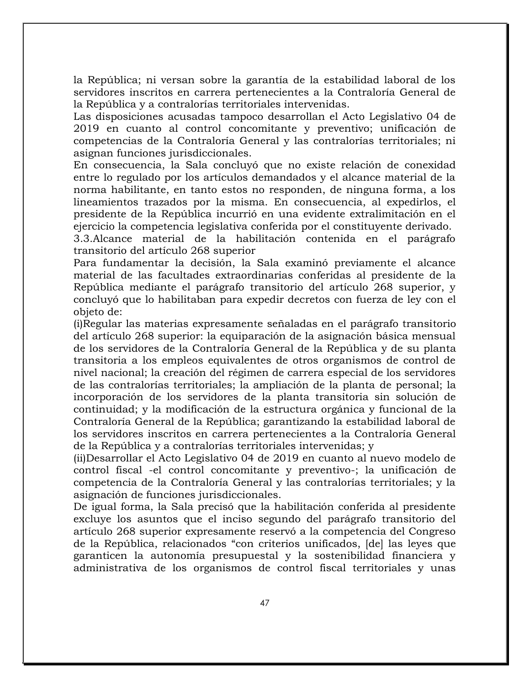la República; ni versan sobre la garantía de la estabilidad laboral de los servidores inscritos en carrera pertenecientes a la Contraloría General de la República y a contralorías territoriales intervenidas.

Las disposiciones acusadas tampoco desarrollan el Acto Legislativo 04 de 2019 en cuanto al control concomitante y preventivo; unificación de competencias de la Contraloría General y las contralorías territoriales; ni asignan funciones jurisdiccionales.

En consecuencia, la Sala concluyó que no existe relación de conexidad entre lo regulado por los artículos demandados y el alcance material de la norma habilitante, en tanto estos no responden, de ninguna forma, a los lineamientos trazados por la misma. En consecuencia, al expedirlos, el presidente de la República incurrió en una evidente extralimitación en el ejercicio la competencia legislativa conferida por el constituyente derivado.

3.3.Alcance material de la habilitación contenida en el parágrafo transitorio del artículo 268 superior

Para fundamentar la decisión, la Sala examinó previamente el alcance material de las facultades extraordinarias conferidas al presidente de la República mediante el parágrafo transitorio del artículo 268 superior, y concluyó que lo habilitaban para expedir decretos con fuerza de ley con el objeto de:

(i)Regular las materias expresamente señaladas en el parágrafo transitorio del artículo 268 superior: la equiparación de la asignación básica mensual de los servidores de la Contraloría General de la República y de su planta transitoria a los empleos equivalentes de otros organismos de control de nivel nacional; la creación del régimen de carrera especial de los servidores de las contralorías territoriales; la ampliación de la planta de personal; la incorporación de los servidores de la planta transitoria sin solución de continuidad; y la modificación de la estructura orgánica y funcional de la Contraloría General de la República; garantizando la estabilidad laboral de los servidores inscritos en carrera pertenecientes a la Contraloría General de la República y a contralorías territoriales intervenidas; y

(ii)Desarrollar el Acto Legislativo 04 de 2019 en cuanto al nuevo modelo de control fiscal -el control concomitante y preventivo-; la unificación de competencia de la Contraloría General y las contralorías territoriales; y la asignación de funciones jurisdiccionales.

De igual forma, la Sala precisó que la habilitación conferida al presidente excluye los asuntos que el inciso segundo del parágrafo transitorio del artículo 268 superior expresamente reservó a la competencia del Congreso de la República, relacionados "con criterios unificados, [de] las leyes que garanticen la autonomía presupuestal y la sostenibilidad financiera y administrativa de los organismos de control fiscal territoriales y unas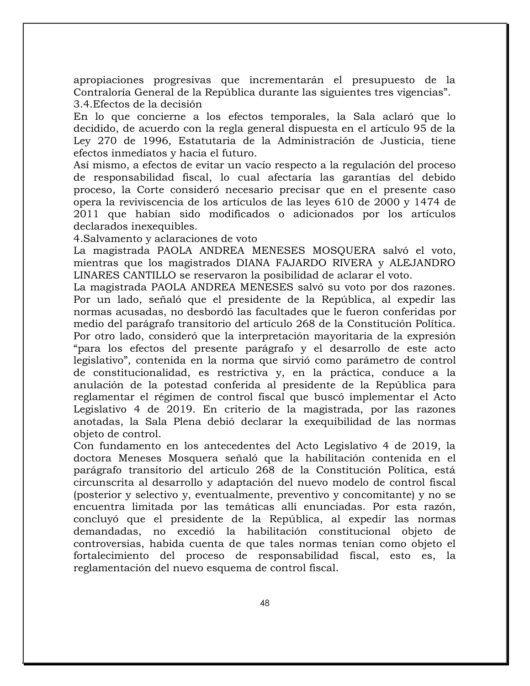apropiaciones progresivas que incrementarán el presupuesto de la Contraloría General de la República durante las siguientes tres vigencias". 3.4.Efectos de la decisión

En lo que concierne a los efectos temporales, la Sala aclaró que lo decidido, de acuerdo con la regla general dispuesta en el artículo 95 de la Ley 270 de 1996, Estatutaria de la Administración de Justicia, tiene efectos inmediatos y hacia el futuro.

Así mismo, a efectos de evitar un vacío respecto a la regulación del proceso de responsabilidad fiscal, lo cual afectaría las garantías del debido proceso, la Corte consideró necesario precisar que en el presente caso opera la reviviscencia de los artículos de las leyes 610 de 2000 y 1474 de 2011 que habían sido modificados o adicionados por los artículos declarados inexequibles.

4.Salvamento y aclaraciones de voto

La magistrada PAOLA ANDREA MENESES MOSQUERA salvó el voto, mientras que los magistrados DIANA FAJARDO RIVERA y ALEJANDRO LINARES CANTILLO se reservaron la posibilidad de aclarar el voto.

La magistrada PAOLA ANDREA MENESES salvó su voto por dos razones. Por un lado, señaló que el presidente de la República, al expedir las normas acusadas, no desbordó las facultades que le fueron conferidas por medio del parágrafo transitorio del artículo 268 de la Constitución Política. Por otro lado, consideró que la interpretación mayoritaria de la expresión "para los efectos del presente parágrafo y el desarrollo de este acto legislativo", contenida en la norma que sirvió como parámetro de control de constitucionalidad, es restrictiva y, en la práctica, conduce a la anulación de la potestad conferida al presidente de la República para reglamentar el régimen de control fiscal que buscó implementar el Acto Legislativo 4 de 2019. En criterio de la magistrada, por las razones anotadas, la Sala Plena debió declarar la exequibilidad de las normas objeto de control.

Con fundamento en los antecedentes del Acto Legislativo 4 de 2019, la doctora Meneses Mosquera señaló que la habilitación contenida en el parágrafo transitorio del artículo 268 de la Constitución Política, está circunscrita al desarrollo y adaptación del nuevo modelo de control fiscal (posterior y selectivo y, eventualmente, preventivo y concomitante) y no se encuentra limitada por las temáticas allí enunciadas. Por esta razón, concluyó que el presidente de la República, al expedir las normas demandadas, no excedió la habilitación constitucional objeto de controversias, habida cuenta de que tales normas tenían como objeto el fortalecimiento del proceso de responsabilidad fiscal, esto es, la reglamentación del nuevo esquema de control fiscal.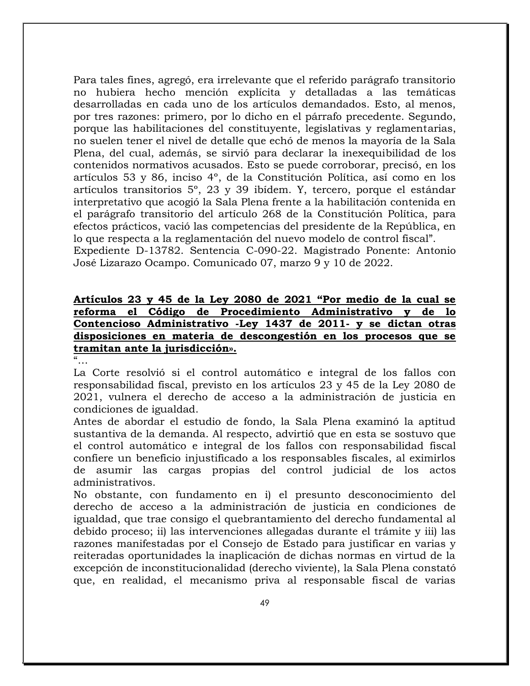Para tales fines, agregó, era irrelevante que el referido parágrafo transitorio no hubiera hecho mención explícita y detalladas a las temáticas desarrolladas en cada uno de los artículos demandados. Esto, al menos, por tres razones: primero, por lo dicho en el párrafo precedente. Segundo, porque las habilitaciones del constituyente, legislativas y reglamentarias, no suelen tener el nivel de detalle que echó de menos la mayoría de la Sala Plena, del cual, además, se sirvió para declarar la inexequibilidad de los contenidos normativos acusados. Esto se puede corroborar, precisó, en los artículos 53 y 86, inciso 4º, de la Constitución Política, así como en los artículos transitorios 5º, 23 y 39 ibídem. Y, tercero, porque el estándar interpretativo que acogió la Sala Plena frente a la habilitación contenida en el parágrafo transitorio del artículo 268 de la Constitución Política, para efectos prácticos, vació las competencias del presidente de la República, en lo que respecta a la reglamentación del nuevo modelo de control fiscal".

Expediente D-13782. Sentencia C-090-22. Magistrado Ponente: Antonio José Lizarazo Ocampo. Comunicado 07, marzo 9 y 10 de 2022.

### **Artículos 23 y 45 de la Ley 2080 de 2021 "Por medio de la cual se reforma el Código de Procedimiento Administrativo y de lo Contencioso Administrativo -Ley 1437 de 2011- y se dictan otras disposiciones en materia de descongestión en los procesos que se tramitan ante la jurisdicción».**

 $\alpha$ <sub>…</sub>

La Corte resolvió si el control automático e integral de los fallos con responsabilidad fiscal, previsto en los artículos 23 y 45 de la Ley 2080 de 2021, vulnera el derecho de acceso a la administración de justicia en condiciones de igualdad.

Antes de abordar el estudio de fondo, la Sala Plena examinó la aptitud sustantiva de la demanda. Al respecto, advirtió que en esta se sostuvo que el control automático e integral de los fallos con responsabilidad fiscal confiere un beneficio injustificado a los responsables fiscales, al eximirlos de asumir las cargas propias del control judicial de los actos administrativos.

No obstante, con fundamento en i) el presunto desconocimiento del derecho de acceso a la administración de justicia en condiciones de igualdad, que trae consigo el quebrantamiento del derecho fundamental al debido proceso; ii) las intervenciones allegadas durante el trámite y iii) las razones manifestadas por el Consejo de Estado para justificar en varias y reiteradas oportunidades la inaplicación de dichas normas en virtud de la excepción de inconstitucionalidad (derecho viviente), la Sala Plena constató que, en realidad, el mecanismo priva al responsable fiscal de varias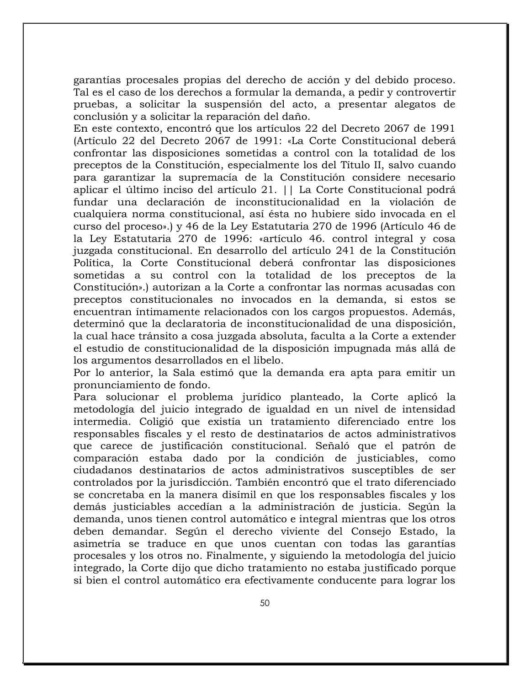garantías procesales propias del derecho de acción y del debido proceso. Tal es el caso de los derechos a formular la demanda, a pedir y controvertir pruebas, a solicitar la suspensión del acto, a presentar alegatos de conclusión y a solicitar la reparación del daño.

En este contexto, encontró que los artículos 22 del Decreto 2067 de 1991 (Artículo 22 del Decreto 2067 de 1991: «La Corte Constitucional deberá confrontar las disposiciones sometidas a control con la totalidad de los preceptos de la Constitución, especialmente los del Título II, salvo cuando para garantizar la supremacía de la Constitución considere necesario aplicar el último inciso del artículo 21. || La Corte Constitucional podrá fundar una declaración de inconstitucionalidad en la violación de cualquiera norma constitucional, así ésta no hubiere sido invocada en el curso del proceso».) y 46 de la Ley Estatutaria 270 de 1996 (Artículo 46 de la Ley Estatutaria 270 de 1996: «artículo 46. control integral y cosa juzgada constitucional. En desarrollo del artículo 241 de la Constitución Política, la Corte Constitucional deberá confrontar las disposiciones sometidas a su control con la totalidad de los preceptos de la Constitución».) autorizan a la Corte a confrontar las normas acusadas con preceptos constitucionales no invocados en la demanda, si estos se encuentran íntimamente relacionados con los cargos propuestos. Además, determinó que la declaratoria de inconstitucionalidad de una disposición, la cual hace tránsito a cosa juzgada absoluta, faculta a la Corte a extender el estudio de constitucionalidad de la disposición impugnada más allá de los argumentos desarrollados en el libelo.

Por lo anterior, la Sala estimó que la demanda era apta para emitir un pronunciamiento de fondo.

Para solucionar el problema jurídico planteado, la Corte aplicó la metodología del juicio integrado de igualdad en un nivel de intensidad intermedia. Coligió que existía un tratamiento diferenciado entre los responsables fiscales y el resto de destinatarios de actos administrativos que carece de justificación constitucional. Señaló que el patrón de comparación estaba dado por la condición de justiciables, como ciudadanos destinatarios de actos administrativos susceptibles de ser controlados por la jurisdicción. También encontró que el trato diferenciado se concretaba en la manera disímil en que los responsables fiscales y los demás justiciables accedían a la administración de justicia. Según la demanda, unos tienen control automático e integral mientras que los otros deben demandar. Según el derecho viviente del Consejo Estado, la asimetría se traduce en que unos cuentan con todas las garantías procesales y los otros no. Finalmente, y siguiendo la metodología del juicio integrado, la Corte dijo que dicho tratamiento no estaba justificado porque si bien el control automático era efectivamente conducente para lograr los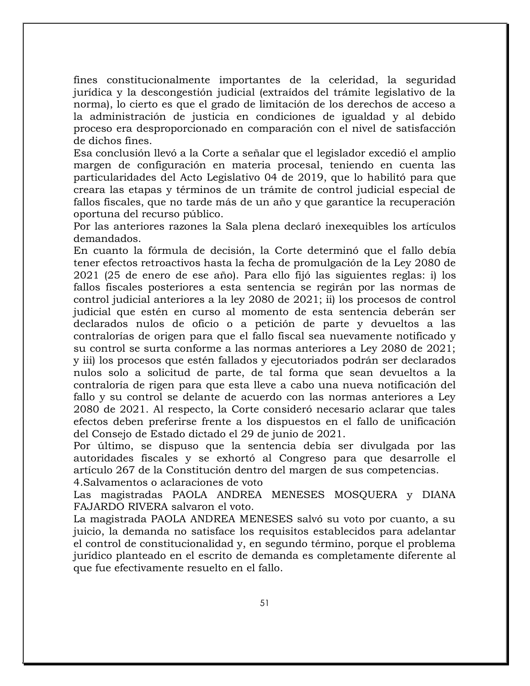fines constitucionalmente importantes de la celeridad, la seguridad jurídica y la descongestión judicial (extraídos del trámite legislativo de la norma), lo cierto es que el grado de limitación de los derechos de acceso a la administración de justicia en condiciones de igualdad y al debido proceso era desproporcionado en comparación con el nivel de satisfacción de dichos fines.

Esa conclusión llevó a la Corte a señalar que el legislador excedió el amplio margen de configuración en materia procesal, teniendo en cuenta las particularidades del Acto Legislativo 04 de 2019, que lo habilitó para que creara las etapas y términos de un trámite de control judicial especial de fallos fiscales, que no tarde más de un año y que garantice la recuperación oportuna del recurso público.

Por las anteriores razones la Sala plena declaró inexequibles los artículos demandados.

En cuanto la fórmula de decisión, la Corte determinó que el fallo debía tener efectos retroactivos hasta la fecha de promulgación de la Ley 2080 de 2021 (25 de enero de ese año). Para ello fijó las siguientes reglas: i) los fallos fiscales posteriores a esta sentencia se regirán por las normas de control judicial anteriores a la ley 2080 de 2021; ii) los procesos de control judicial que estén en curso al momento de esta sentencia deberán ser declarados nulos de oficio o a petición de parte y devueltos a las contralorías de origen para que el fallo fiscal sea nuevamente notificado y su control se surta conforme a las normas anteriores a Ley 2080 de 2021; y iii) los procesos que estén fallados y ejecutoriados podrán ser declarados nulos solo a solicitud de parte, de tal forma que sean devueltos a la contraloría de rigen para que esta lleve a cabo una nueva notificación del fallo y su control se delante de acuerdo con las normas anteriores a Ley 2080 de 2021. Al respecto, la Corte consideró necesario aclarar que tales efectos deben preferirse frente a los dispuestos en el fallo de unificación del Consejo de Estado dictado el 29 de junio de 2021.

Por último, se dispuso que la sentencia debía ser divulgada por las autoridades fiscales y se exhortó al Congreso para que desarrolle el artículo 267 de la Constitución dentro del margen de sus competencias. 4.Salvamentos o aclaraciones de voto

Las magistradas PAOLA ANDREA MENESES MOSQUERA y DIANA FAJARDO RIVERA salvaron el voto.

La magistrada PAOLA ANDREA MENESES salvó su voto por cuanto, a su juicio, la demanda no satisface los requisitos establecidos para adelantar el control de constitucionalidad y, en segundo término, porque el problema jurídico planteado en el escrito de demanda es completamente diferente al que fue efectivamente resuelto en el fallo.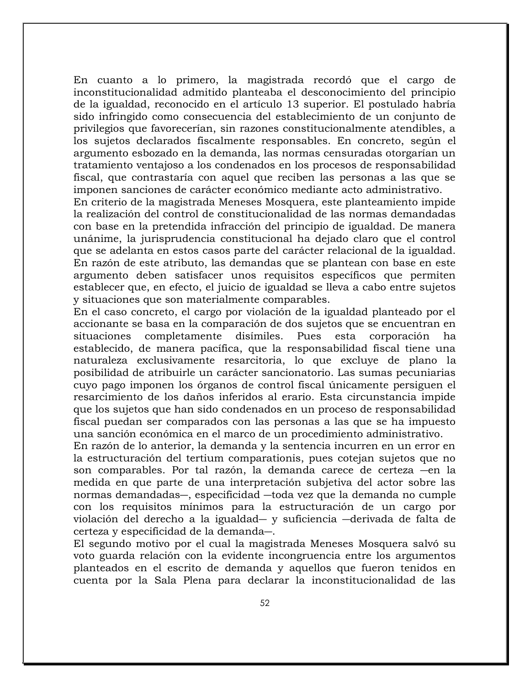En cuanto a lo primero, la magistrada recordó que el cargo de inconstitucionalidad admitido planteaba el desconocimiento del principio de la igualdad, reconocido en el artículo 13 superior. El postulado habría sido infringido como consecuencia del establecimiento de un conjunto de privilegios que favorecerían, sin razones constitucionalmente atendibles, a los sujetos declarados fiscalmente responsables. En concreto, según el argumento esbozado en la demanda, las normas censuradas otorgarían un tratamiento ventajoso a los condenados en los procesos de responsabilidad fiscal, que contrastaría con aquel que reciben las personas a las que se imponen sanciones de carácter económico mediante acto administrativo.

En criterio de la magistrada Meneses Mosquera, este planteamiento impide la realización del control de constitucionalidad de las normas demandadas con base en la pretendida infracción del principio de igualdad. De manera unánime, la jurisprudencia constitucional ha dejado claro que el control que se adelanta en estos casos parte del carácter relacional de la igualdad. En razón de este atributo, las demandas que se plantean con base en este argumento deben satisfacer unos requisitos específicos que permiten establecer que, en efecto, el juicio de igualdad se lleva a cabo entre sujetos y situaciones que son materialmente comparables.

En el caso concreto, el cargo por violación de la igualdad planteado por el accionante se basa en la comparación de dos sujetos que se encuentran en situaciones completamente disímiles. Pues esta corporación ha establecido, de manera pacífica, que la responsabilidad fiscal tiene una naturaleza exclusivamente resarcitoria, lo que excluye de plano la posibilidad de atribuirle un carácter sancionatorio. Las sumas pecuniarias cuyo pago imponen los órganos de control fiscal únicamente persiguen el resarcimiento de los daños inferidos al erario. Esta circunstancia impide que los sujetos que han sido condenados en un proceso de responsabilidad fiscal puedan ser comparados con las personas a las que se ha impuesto una sanción económica en el marco de un procedimiento administrativo.

En razón de lo anterior, la demanda y la sentencia incurren en un error en la estructuración del tertium comparationis, pues cotejan sujetos que no son comparables. Por tal razón, la demanda carece de certeza ―en la medida en que parte de una interpretación subjetiva del actor sobre las normas demandadas―, especificidad ―toda vez que la demanda no cumple con los requisitos mínimos para la estructuración de un cargo por violación del derecho a la igualdad― y suficiencia ―derivada de falta de certeza y especificidad de la demanda―.

El segundo motivo por el cual la magistrada Meneses Mosquera salvó su voto guarda relación con la evidente incongruencia entre los argumentos planteados en el escrito de demanda y aquellos que fueron tenidos en cuenta por la Sala Plena para declarar la inconstitucionalidad de las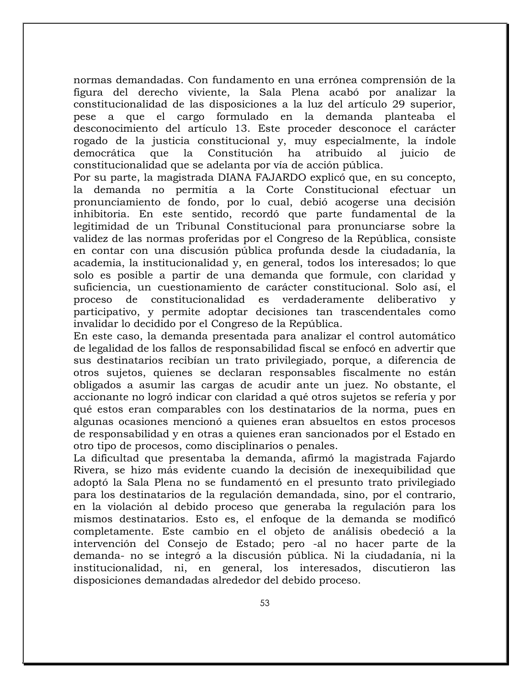normas demandadas. Con fundamento en una errónea comprensión de la figura del derecho viviente, la Sala Plena acabó por analizar la constitucionalidad de las disposiciones a la luz del artículo 29 superior, pese a que el cargo formulado en la demanda planteaba el desconocimiento del artículo 13. Este proceder desconoce el carácter rogado de la justicia constitucional y, muy especialmente, la índole democrática que la Constitución ha atribuido al juicio de constitucionalidad que se adelanta por vía de acción pública.

Por su parte, la magistrada DIANA FAJARDO explicó que, en su concepto, la demanda no permitía a la Corte Constitucional efectuar un pronunciamiento de fondo, por lo cual, debió acogerse una decisión inhibitoria. En este sentido, recordó que parte fundamental de la legitimidad de un Tribunal Constitucional para pronunciarse sobre la validez de las normas proferidas por el Congreso de la República, consiste en contar con una discusión pública profunda desde la ciudadanía, la academia, la institucionalidad y, en general, todos los interesados; lo que solo es posible a partir de una demanda que formule, con claridad y suficiencia, un cuestionamiento de carácter constitucional. Solo así, el proceso de constitucionalidad es verdaderamente deliberativo y participativo, y permite adoptar decisiones tan trascendentales como invalidar lo decidido por el Congreso de la República.

En este caso, la demanda presentada para analizar el control automático de legalidad de los fallos de responsabilidad fiscal se enfocó en advertir que sus destinatarios recibían un trato privilegiado, porque, a diferencia de otros sujetos, quienes se declaran responsables fiscalmente no están obligados a asumir las cargas de acudir ante un juez. No obstante, el accionante no logró indicar con claridad a qué otros sujetos se refería y por qué estos eran comparables con los destinatarios de la norma, pues en algunas ocasiones mencionó a quienes eran absueltos en estos procesos de responsabilidad y en otras a quienes eran sancionados por el Estado en otro tipo de procesos, como disciplinarios o penales.

La dificultad que presentaba la demanda, afirmó la magistrada Fajardo Rivera, se hizo más evidente cuando la decisión de inexequibilidad que adoptó la Sala Plena no se fundamentó en el presunto trato privilegiado para los destinatarios de la regulación demandada, sino, por el contrario, en la violación al debido proceso que generaba la regulación para los mismos destinatarios. Esto es, el enfoque de la demanda se modificó completamente. Este cambio en el objeto de análisis obedeció a la intervención del Consejo de Estado; pero -al no hacer parte de la demanda- no se integró a la discusión pública. Ni la ciudadanía, ni la institucionalidad, ni, en general, los interesados, discutieron las disposiciones demandadas alrededor del debido proceso.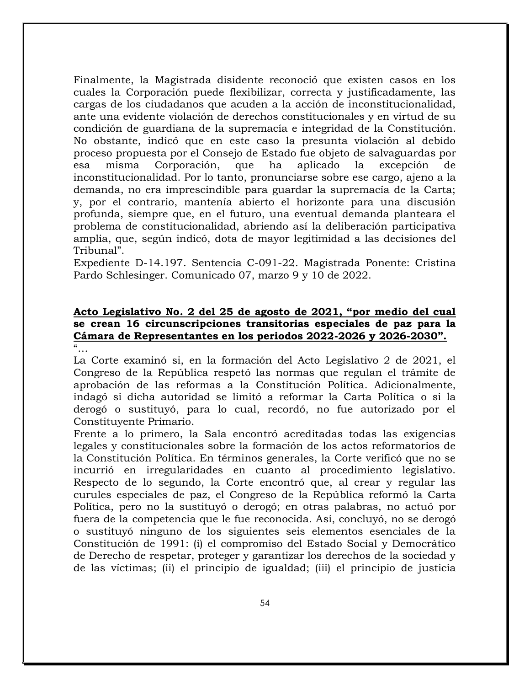Finalmente, la Magistrada disidente reconoció que existen casos en los cuales la Corporación puede flexibilizar, correcta y justificadamente, las cargas de los ciudadanos que acuden a la acción de inconstitucionalidad, ante una evidente violación de derechos constitucionales y en virtud de su condición de guardiana de la supremacía e integridad de la Constitución. No obstante, indicó que en este caso la presunta violación al debido proceso propuesta por el Consejo de Estado fue objeto de salvaguardas por esa misma Corporación, que ha aplicado la excepción de inconstitucionalidad. Por lo tanto, pronunciarse sobre ese cargo, ajeno a la demanda, no era imprescindible para guardar la supremacía de la Carta; y, por el contrario, mantenía abierto el horizonte para una discusión profunda, siempre que, en el futuro, una eventual demanda planteara el problema de constitucionalidad, abriendo así la deliberación participativa amplia, que, según indicó, dota de mayor legitimidad a las decisiones del Tribunal".

Expediente D-14.197. Sentencia C-091-22. Magistrada Ponente: Cristina Pardo Schlesinger. Comunicado 07, marzo 9 y 10 de 2022.

#### **Acto Legislativo No. 2 del 25 de agosto de 2021, "por medio del cual se crean 16 circunscripciones transitorias especiales de paz para la Cámara de Representantes en los periodos 2022-2026 y 2026-2030".**  $\frac{a}{\cdot}$

La Corte examinó si, en la formación del Acto Legislativo 2 de 2021, el Congreso de la República respetó las normas que regulan el trámite de aprobación de las reformas a la Constitución Política. Adicionalmente, indagó si dicha autoridad se limitó a reformar la Carta Política o si la derogó o sustituyó, para lo cual, recordó, no fue autorizado por el Constituyente Primario.

Frente a lo primero, la Sala encontró acreditadas todas las exigencias legales y constitucionales sobre la formación de los actos reformatorios de la Constitución Política. En términos generales, la Corte verificó que no se incurrió en irregularidades en cuanto al procedimiento legislativo. Respecto de lo segundo, la Corte encontró que, al crear y regular las curules especiales de paz, el Congreso de la República reformó la Carta Política, pero no la sustituyó o derogó; en otras palabras, no actuó por fuera de la competencia que le fue reconocida. Así, concluyó, no se derogó o sustituyó ninguno de los siguientes seis elementos esenciales de la Constitución de 1991: (i) el compromiso del Estado Social y Democrático de Derecho de respetar, proteger y garantizar los derechos de la sociedad y de las víctimas; (ii) el principio de igualdad; (iii) el principio de justicia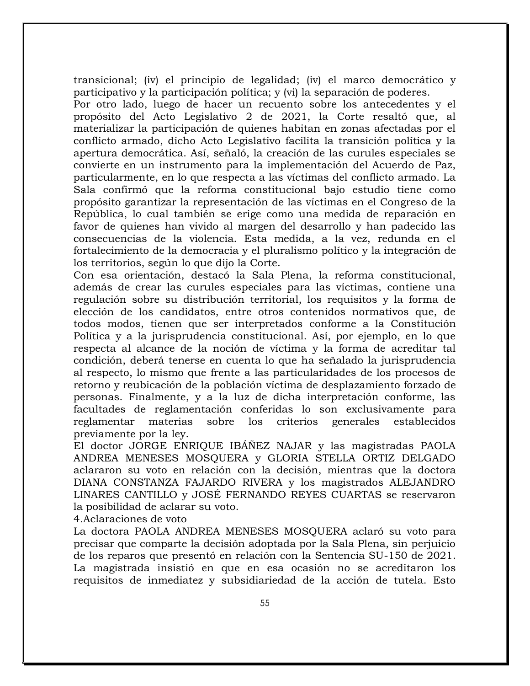transicional; (iv) el principio de legalidad; (iv) el marco democrático y participativo y la participación política; y (vi) la separación de poderes.

Por otro lado, luego de hacer un recuento sobre los antecedentes y el propósito del Acto Legislativo 2 de 2021, la Corte resaltó que, al materializar la participación de quienes habitan en zonas afectadas por el conflicto armado, dicho Acto Legislativo facilita la transición política y la apertura democrática. Así, señaló, la creación de las curules especiales se convierte en un instrumento para la implementación del Acuerdo de Paz, particularmente, en lo que respecta a las víctimas del conflicto armado. La Sala confirmó que la reforma constitucional bajo estudio tiene como propósito garantizar la representación de las víctimas en el Congreso de la República, lo cual también se erige como una medida de reparación en favor de quienes han vivido al margen del desarrollo y han padecido las consecuencias de la violencia. Esta medida, a la vez, redunda en el fortalecimiento de la democracia y el pluralismo político y la integración de los territorios, según lo que dijo la Corte.

Con esa orientación, destacó la Sala Plena, la reforma constitucional, además de crear las curules especiales para las víctimas, contiene una regulación sobre su distribución territorial, los requisitos y la forma de elección de los candidatos, entre otros contenidos normativos que, de todos modos, tienen que ser interpretados conforme a la Constitución Política y a la jurisprudencia constitucional. Así, por ejemplo, en lo que respecta al alcance de la noción de víctima y la forma de acreditar tal condición, deberá tenerse en cuenta lo que ha señalado la jurisprudencia al respecto, lo mismo que frente a las particularidades de los procesos de retorno y reubicación de la población víctima de desplazamiento forzado de personas. Finalmente, y a la luz de dicha interpretación conforme, las facultades de reglamentación conferidas lo son exclusivamente para reglamentar materias sobre los criterios generales establecidos previamente por la ley.

El doctor JORGE ENRIQUE IBÁÑEZ NAJAR y las magistradas PAOLA ANDREA MENESES MOSQUERA y GLORIA STELLA ORTIZ DELGADO aclararon su voto en relación con la decisión, mientras que la doctora DIANA CONSTANZA FAJARDO RIVERA y los magistrados ALEJANDRO LINARES CANTILLO y JOSÉ FERNANDO REYES CUARTAS se reservaron la posibilidad de aclarar su voto.

4.Aclaraciones de voto

La doctora PAOLA ANDREA MENESES MOSQUERA aclaró su voto para precisar que comparte la decisión adoptada por la Sala Plena, sin perjuicio de los reparos que presentó en relación con la Sentencia SU-150 de 2021. La magistrada insistió en que en esa ocasión no se acreditaron los requisitos de inmediatez y subsidiariedad de la acción de tutela. Esto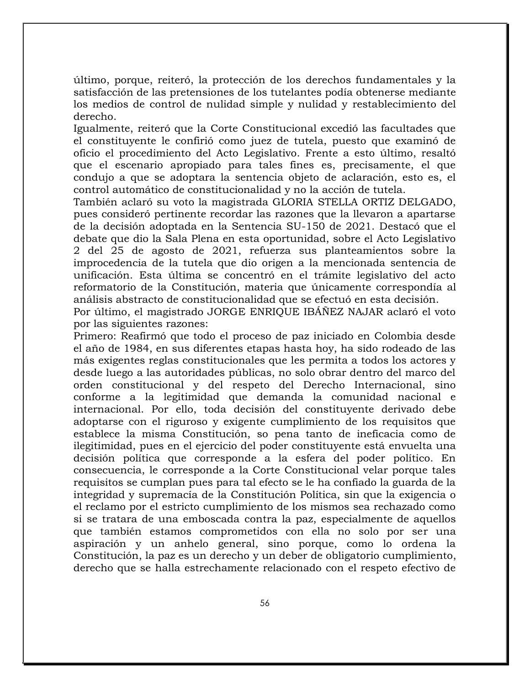último, porque, reiteró, la protección de los derechos fundamentales y la satisfacción de las pretensiones de los tutelantes podía obtenerse mediante los medios de control de nulidad simple y nulidad y restablecimiento del derecho.

Igualmente, reiteró que la Corte Constitucional excedió las facultades que el constituyente le confirió como juez de tutela, puesto que examinó de oficio el procedimiento del Acto Legislativo. Frente a esto último, resaltó que el escenario apropiado para tales fines es, precisamente, el que condujo a que se adoptara la sentencia objeto de aclaración, esto es, el control automático de constitucionalidad y no la acción de tutela.

También aclaró su voto la magistrada GLORIA STELLA ORTIZ DELGADO, pues consideró pertinente recordar las razones que la llevaron a apartarse de la decisión adoptada en la Sentencia SU-150 de 2021. Destacó que el debate que dio la Sala Plena en esta oportunidad, sobre el Acto Legislativo 2 del 25 de agosto de 2021, refuerza sus planteamientos sobre la improcedencia de la tutela que dio origen a la mencionada sentencia de unificación. Esta última se concentró en el trámite legislativo del acto reformatorio de la Constitución, materia que únicamente correspondía al análisis abstracto de constitucionalidad que se efectuó en esta decisión.

Por último, el magistrado JORGE ENRIQUE IBÁÑEZ NAJAR aclaró el voto por las siguientes razones:

Primero: Reafirmó que todo el proceso de paz iniciado en Colombia desde el año de 1984, en sus diferentes etapas hasta hoy, ha sido rodeado de las más exigentes reglas constitucionales que les permita a todos los actores y desde luego a las autoridades públicas, no solo obrar dentro del marco del orden constitucional y del respeto del Derecho Internacional, sino conforme a la legitimidad que demanda la comunidad nacional e internacional. Por ello, toda decisión del constituyente derivado debe adoptarse con el riguroso y exigente cumplimiento de los requisitos que establece la misma Constitución, so pena tanto de ineficacia como de ilegitimidad, pues en el ejercicio del poder constituyente está envuelta una decisión política que corresponde a la esfera del poder político. En consecuencia, le corresponde a la Corte Constitucional velar porque tales requisitos se cumplan pues para tal efecto se le ha confiado la guarda de la integridad y supremacía de la Constitución Política, sin que la exigencia o el reclamo por el estricto cumplimiento de los mismos sea rechazado como si se tratara de una emboscada contra la paz, especialmente de aquellos que también estamos comprometidos con ella no solo por ser una aspiración y un anhelo general, sino porque, como lo ordena la Constitución, la paz es un derecho y un deber de obligatorio cumplimiento, derecho que se halla estrechamente relacionado con el respeto efectivo de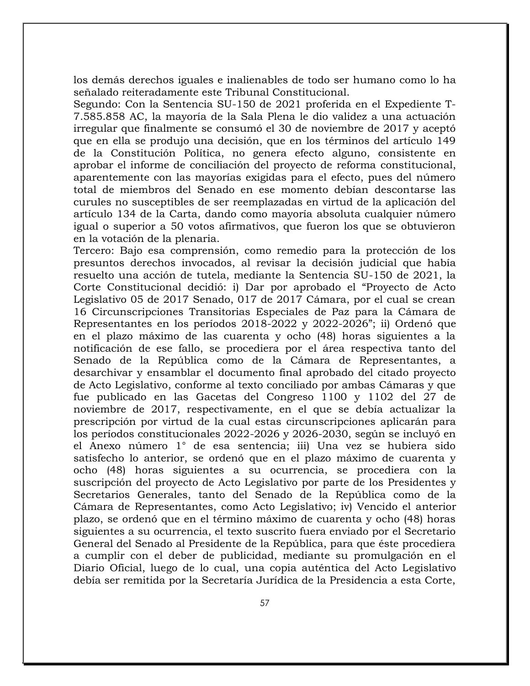los demás derechos iguales e inalienables de todo ser humano como lo ha señalado reiteradamente este Tribunal Constitucional.

Segundo: Con la Sentencia SU-150 de 2021 proferida en el Expediente T-7.585.858 AC, la mayoría de la Sala Plena le dio validez a una actuación irregular que finalmente se consumó el 30 de noviembre de 2017 y aceptó que en ella se produjo una decisión, que en los términos del artículo 149 de la Constitución Política, no genera efecto alguno, consistente en aprobar el informe de conciliación del proyecto de reforma constitucional, aparentemente con las mayorías exigidas para el efecto, pues del número total de miembros del Senado en ese momento debían descontarse las curules no susceptibles de ser reemplazadas en virtud de la aplicación del artículo 134 de la Carta, dando como mayoría absoluta cualquier número igual o superior a 50 votos afirmativos, que fueron los que se obtuvieron en la votación de la plenaria.

Tercero: Bajo esa comprensión, como remedio para la protección de los presuntos derechos invocados, al revisar la decisión judicial que había resuelto una acción de tutela, mediante la Sentencia SU-150 de 2021, la Corte Constitucional decidió: i) Dar por aprobado el "Proyecto de Acto Legislativo 05 de 2017 Senado, 017 de 2017 Cámara, por el cual se crean 16 Circunscripciones Transitorias Especiales de Paz para la Cámara de Representantes en los períodos 2018-2022 y 2022-2026"; ii) Ordenó que en el plazo máximo de las cuarenta y ocho (48) horas siguientes a la notificación de ese fallo, se procediera por el área respectiva tanto del Senado de la República como de la Cámara de Representantes, a desarchivar y ensamblar el documento final aprobado del citado proyecto de Acto Legislativo, conforme al texto conciliado por ambas Cámaras y que fue publicado en las Gacetas del Congreso 1100 y 1102 del 27 de noviembre de 2017, respectivamente, en el que se debía actualizar la prescripción por virtud de la cual estas circunscripciones aplicarán para los períodos constitucionales 2022-2026 y 2026-2030, según se incluyó en el Anexo número 1° de esa sentencia; iii) Una vez se hubiera sido satisfecho lo anterior, se ordenó que en el plazo máximo de cuarenta y ocho (48) horas siguientes a su ocurrencia, se procediera con la suscripción del proyecto de Acto Legislativo por parte de los Presidentes y Secretarios Generales, tanto del Senado de la República como de la Cámara de Representantes, como Acto Legislativo; iv) Vencido el anterior plazo, se ordenó que en el término máximo de cuarenta y ocho (48) horas siguientes a su ocurrencia, el texto suscrito fuera enviado por el Secretario General del Senado al Presidente de la República, para que éste procediera a cumplir con el deber de publicidad, mediante su promulgación en el Diario Oficial, luego de lo cual, una copia auténtica del Acto Legislativo debía ser remitida por la Secretaría Jurídica de la Presidencia a esta Corte,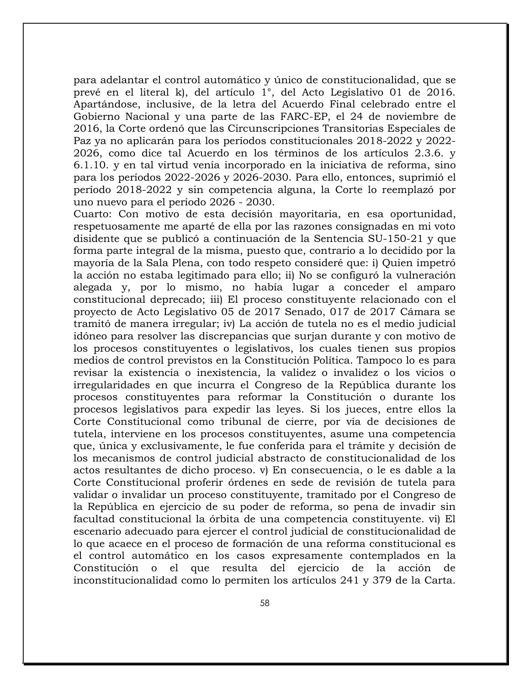para adelantar el control automático y único de constitucionalidad, que se prevé en el literal k), del artículo 1°, del Acto Legislativo 01 de 2016. Apartándose, inclusive, de la letra del Acuerdo Final celebrado entre el Gobierno Nacional y una parte de las FARC-EP, el 24 de noviembre de 2016, la Corte ordenó que las Circunscripciones Transitorias Especiales de Paz ya no aplicarán para los períodos constitucionales 2018-2022 y 2022- 2026, como dice tal Acuerdo en los términos de los artículos 2.3.6. y 6.1.10. y en tal virtud venía incorporado en la iniciativa de reforma, sino para los períodos 2022-2026 y 2026-2030. Para ello, entonces, suprimió el período 2018-2022 y sin competencia alguna, la Corte lo reemplazó por uno nuevo para el período 2026 - 2030.

Cuarto: Con motivo de esta decisión mayoritaria, en esa oportunidad, respetuosamente me aparté de ella por las razones consignadas en mi voto disidente que se publicó a continuación de la Sentencia SU-150-21 y que forma parte integral de la misma, puesto que, contrario a lo decidido por la mayoría de la Sala Plena, con todo respeto consideré que: i) Quien impetró la acción no estaba legitimado para ello; ii) No se configuró la vulneración alegada y, por lo mismo, no había lugar a conceder el amparo constitucional deprecado; iii) El proceso constituyente relacionado con el proyecto de Acto Legislativo 05 de 2017 Senado, 017 de 2017 Cámara se tramitó de manera irregular; iv) La acción de tutela no es el medio judicial idóneo para resolver las discrepancias que surjan durante y con motivo de los procesos constituyentes o legislativos, los cuales tienen sus propios medios de control previstos en la Constitución Política. Tampoco lo es para revisar la existencia o inexistencia, la validez o invalidez o los vicios o irregularidades en que incurra el Congreso de la República durante los procesos constituyentes para reformar la Constitución o durante los procesos legislativos para expedir las leyes. Si los jueces, entre ellos la Corte Constitucional como tribunal de cierre, por vía de decisiones de tutela, interviene en los procesos constituyentes, asume una competencia que, única y exclusivamente, le fue conferida para el trámite y decisión de los mecanismos de control judicial abstracto de constitucionalidad de los actos resultantes de dicho proceso. v) En consecuencia, o le es dable a la Corte Constitucional proferir órdenes en sede de revisión de tutela para validar o invalidar un proceso constituyente, tramitado por el Congreso de la República en ejercicio de su poder de reforma, so pena de invadir sin facultad constitucional la órbita de una competencia constituyente. vi) El escenario adecuado para ejercer el control judicial de constitucionalidad de lo que acaece en el proceso de formación de una reforma constitucional es el control automático en los casos expresamente contemplados en la Constitución o el que resulta del ejercicio de la acción de inconstitucionalidad como lo permiten los artículos 241 y 379 de la Carta.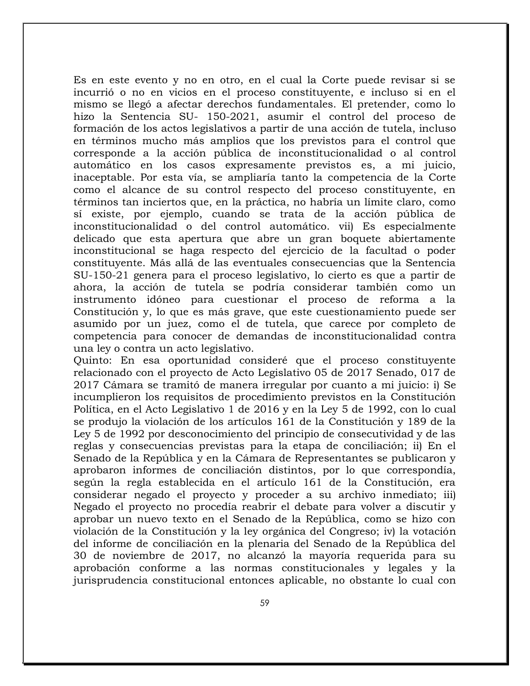Es en este evento y no en otro, en el cual la Corte puede revisar si se incurrió o no en vicios en el proceso constituyente, e incluso si en el mismo se llegó a afectar derechos fundamentales. El pretender, como lo hizo la Sentencia SU- 150-2021, asumir el control del proceso de formación de los actos legislativos a partir de una acción de tutela, incluso en términos mucho más amplios que los previstos para el control que corresponde a la acción pública de inconstitucionalidad o al control automático en los casos expresamente previstos es, a mi juicio, inaceptable. Por esta vía, se ampliaría tanto la competencia de la Corte como el alcance de su control respecto del proceso constituyente, en términos tan inciertos que, en la práctica, no habría un límite claro, como sí existe, por ejemplo, cuando se trata de la acción pública de inconstitucionalidad o del control automático. vii) Es especialmente delicado que esta apertura que abre un gran boquete abiertamente inconstitucional se haga respecto del ejercicio de la facultad o poder constituyente. Más allá de las eventuales consecuencias que la Sentencia SU-150-21 genera para el proceso legislativo, lo cierto es que a partir de ahora, la acción de tutela se podría considerar también como un instrumento idóneo para cuestionar el proceso de reforma a la Constitución y, lo que es más grave, que este cuestionamiento puede ser asumido por un juez, como el de tutela, que carece por completo de competencia para conocer de demandas de inconstitucionalidad contra una ley o contra un acto legislativo.

Quinto: En esa oportunidad consideré que el proceso constituyente relacionado con el proyecto de Acto Legislativo 05 de 2017 Senado, 017 de 2017 Cámara se tramitó de manera irregular por cuanto a mi juicio: i) Se incumplieron los requisitos de procedimiento previstos en la Constitución Política, en el Acto Legislativo 1 de 2016 y en la Ley 5 de 1992, con lo cual se produjo la violación de los artículos 161 de la Constitución y 189 de la Ley 5 de 1992 por desconocimiento del principio de consecutividad y de las reglas y consecuencias previstas para la etapa de conciliación; ii) En el Senado de la República y en la Cámara de Representantes se publicaron y aprobaron informes de conciliación distintos, por lo que correspondía, según la regla establecida en el artículo 161 de la Constitución, era considerar negado el proyecto y proceder a su archivo inmediato; iii) Negado el proyecto no procedía reabrir el debate para volver a discutir y aprobar un nuevo texto en el Senado de la República, como se hizo con violación de la Constitución y la ley orgánica del Congreso; iv) la votación del informe de conciliación en la plenaria del Senado de la República del 30 de noviembre de 2017, no alcanzó la mayoría requerida para su aprobación conforme a las normas constitucionales y legales y la jurisprudencia constitucional entonces aplicable, no obstante lo cual con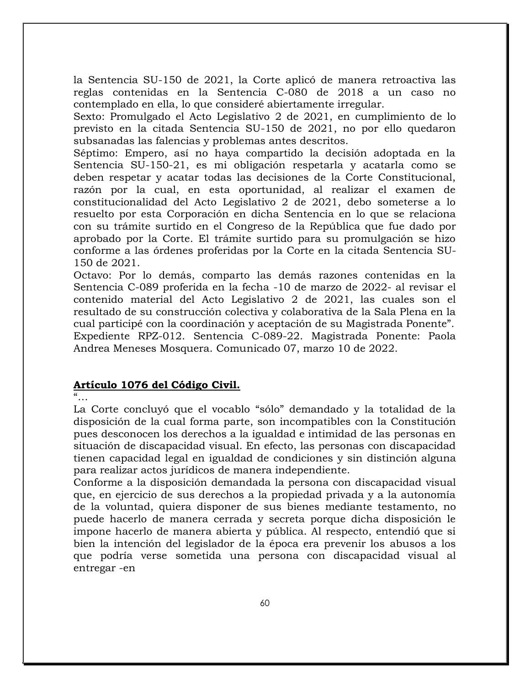la Sentencia SU-150 de 2021, la Corte aplicó de manera retroactiva las reglas contenidas en la Sentencia C-080 de 2018 a un caso no contemplado en ella, lo que consideré abiertamente irregular.

Sexto: Promulgado el Acto Legislativo 2 de 2021, en cumplimiento de lo previsto en la citada Sentencia SU-150 de 2021, no por ello quedaron subsanadas las falencias y problemas antes descritos.

Séptimo: Empero, así no haya compartido la decisión adoptada en la Sentencia SU-150-21, es mi obligación respetarla y acatarla como se deben respetar y acatar todas las decisiones de la Corte Constitucional, razón por la cual, en esta oportunidad, al realizar el examen de constitucionalidad del Acto Legislativo 2 de 2021, debo someterse a lo resuelto por esta Corporación en dicha Sentencia en lo que se relaciona con su trámite surtido en el Congreso de la República que fue dado por aprobado por la Corte. El trámite surtido para su promulgación se hizo conforme a las órdenes proferidas por la Corte en la citada Sentencia SU-150 de 2021.

Octavo: Por lo demás, comparto las demás razones contenidas en la Sentencia C-089 proferida en la fecha -10 de marzo de 2022- al revisar el contenido material del Acto Legislativo 2 de 2021, las cuales son el resultado de su construcción colectiva y colaborativa de la Sala Plena en la cual participé con la coordinación y aceptación de su Magistrada Ponente". Expediente RPZ-012. Sentencia C-089-22. Magistrada Ponente: Paola Andrea Meneses Mosquera. Comunicado 07, marzo 10 de 2022.

### **Artículo 1076 del Código Civil.**

"…

La Corte concluyó que el vocablo "sólo" demandado y la totalidad de la disposición de la cual forma parte, son incompatibles con la Constitución pues desconocen los derechos a la igualdad e intimidad de las personas en situación de discapacidad visual. En efecto, las personas con discapacidad tienen capacidad legal en igualdad de condiciones y sin distinción alguna para realizar actos jurídicos de manera independiente.

Conforme a la disposición demandada la persona con discapacidad visual que, en ejercicio de sus derechos a la propiedad privada y a la autonomía de la voluntad, quiera disponer de sus bienes mediante testamento, no puede hacerlo de manera cerrada y secreta porque dicha disposición le impone hacerlo de manera abierta y pública. Al respecto, entendió que si bien la intención del legislador de la época era prevenir los abusos a los que podría verse sometida una persona con discapacidad visual al entregar -en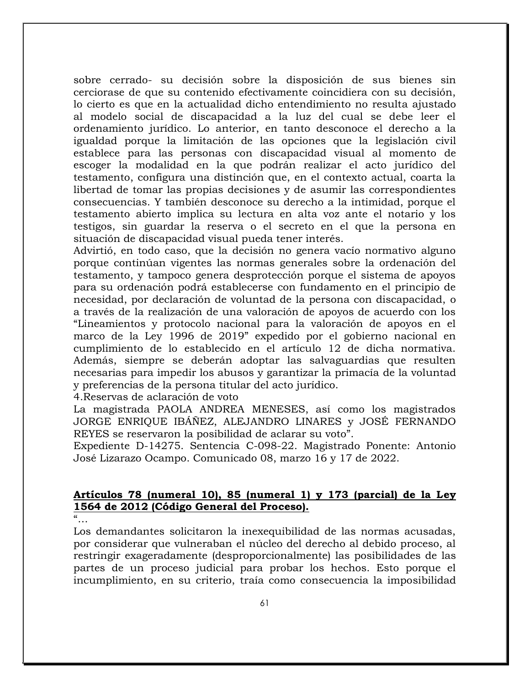sobre cerrado- su decisión sobre la disposición de sus bienes sin cerciorase de que su contenido efectivamente coincidiera con su decisión, lo cierto es que en la actualidad dicho entendimiento no resulta ajustado al modelo social de discapacidad a la luz del cual se debe leer el ordenamiento jurídico. Lo anterior, en tanto desconoce el derecho a la igualdad porque la limitación de las opciones que la legislación civil establece para las personas con discapacidad visual al momento de escoger la modalidad en la que podrán realizar el acto jurídico del testamento, configura una distinción que, en el contexto actual, coarta la libertad de tomar las propias decisiones y de asumir las correspondientes consecuencias. Y también desconoce su derecho a la intimidad, porque el testamento abierto implica su lectura en alta voz ante el notario y los testigos, sin guardar la reserva o el secreto en el que la persona en situación de discapacidad visual pueda tener interés.

Advirtió, en todo caso, que la decisión no genera vacío normativo alguno porque continúan vigentes las normas generales sobre la ordenación del testamento, y tampoco genera desprotección porque el sistema de apoyos para su ordenación podrá establecerse con fundamento en el principio de necesidad, por declaración de voluntad de la persona con discapacidad, o a través de la realización de una valoración de apoyos de acuerdo con los "Lineamientos y protocolo nacional para la valoración de apoyos en el marco de la Ley 1996 de 2019" expedido por el gobierno nacional en cumplimiento de lo establecido en el artículo 12 de dicha normativa. Además, siempre se deberán adoptar las salvaguardias que resulten necesarias para impedir los abusos y garantizar la primacía de la voluntad y preferencias de la persona titular del acto jurídico.

4.Reservas de aclaración de voto

La magistrada PAOLA ANDREA MENESES, así como los magistrados JORGE ENRIQUE IBÁÑEZ, ALEJANDRO LINARES y JOSÉ FERNANDO REYES se reservaron la posibilidad de aclarar su voto".

Expediente D-14275. Sentencia C-098-22. Magistrado Ponente: Antonio José Lizarazo Ocampo. Comunicado 08, marzo 16 y 17 de 2022.

### **Artículos 78 (numeral 10), 85 (numeral 1) y 173 (parcial) de la Ley 1564 de 2012 (Código General del Proceso).**

 $\alpha$ 

Los demandantes solicitaron la inexequibilidad de las normas acusadas, por considerar que vulneraban el núcleo del derecho al debido proceso, al restringir exageradamente (desproporcionalmente) las posibilidades de las partes de un proceso judicial para probar los hechos. Esto porque el incumplimiento, en su criterio, traía como consecuencia la imposibilidad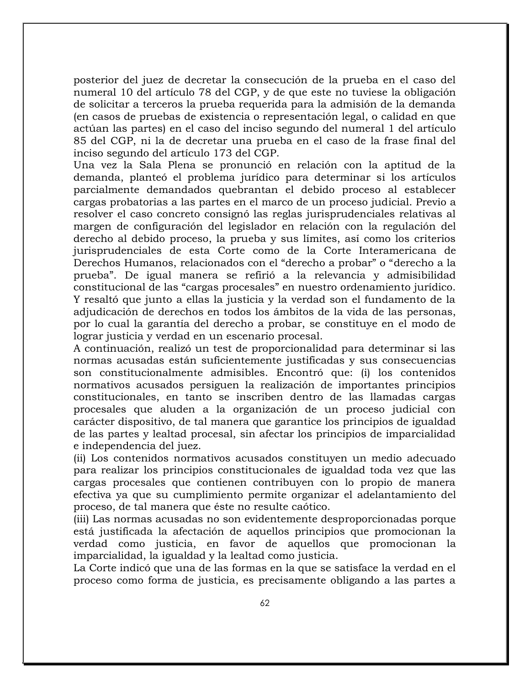posterior del juez de decretar la consecución de la prueba en el caso del numeral 10 del artículo 78 del CGP, y de que este no tuviese la obligación de solicitar a terceros la prueba requerida para la admisión de la demanda (en casos de pruebas de existencia o representación legal, o calidad en que actúan las partes) en el caso del inciso segundo del numeral 1 del artículo 85 del CGP, ni la de decretar una prueba en el caso de la frase final del inciso segundo del artículo 173 del CGP.

Una vez la Sala Plena se pronunció en relación con la aptitud de la demanda, planteó el problema jurídico para determinar si los artículos parcialmente demandados quebrantan el debido proceso al establecer cargas probatorias a las partes en el marco de un proceso judicial. Previo a resolver el caso concreto consignó las reglas jurisprudenciales relativas al margen de configuración del legislador en relación con la regulación del derecho al debido proceso, la prueba y sus límites, así como los criterios jurisprudenciales de esta Corte como de la Corte Interamericana de Derechos Humanos, relacionados con el "derecho a probar" o "derecho a la prueba". De igual manera se refirió a la relevancia y admisibilidad constitucional de las "cargas procesales" en nuestro ordenamiento jurídico. Y resaltó que junto a ellas la justicia y la verdad son el fundamento de la adjudicación de derechos en todos los ámbitos de la vida de las personas, por lo cual la garantía del derecho a probar, se constituye en el modo de lograr justicia y verdad en un escenario procesal.

A continuación, realizó un test de proporcionalidad para determinar si las normas acusadas están suficientemente justificadas y sus consecuencias son constitucionalmente admisibles. Encontró que: (i) los contenidos normativos acusados persiguen la realización de importantes principios constitucionales, en tanto se inscriben dentro de las llamadas cargas procesales que aluden a la organización de un proceso judicial con carácter dispositivo, de tal manera que garantice los principios de igualdad de las partes y lealtad procesal, sin afectar los principios de imparcialidad e independencia del juez.

(ii) Los contenidos normativos acusados constituyen un medio adecuado para realizar los principios constitucionales de igualdad toda vez que las cargas procesales que contienen contribuyen con lo propio de manera efectiva ya que su cumplimiento permite organizar el adelantamiento del proceso, de tal manera que éste no resulte caótico.

(iii) Las normas acusadas no son evidentemente desproporcionadas porque está justificada la afectación de aquellos principios que promocionan la verdad como justicia, en favor de aquellos que promocionan la imparcialidad, la igualdad y la lealtad como justicia.

La Corte indicó que una de las formas en la que se satisface la verdad en el proceso como forma de justicia, es precisamente obligando a las partes a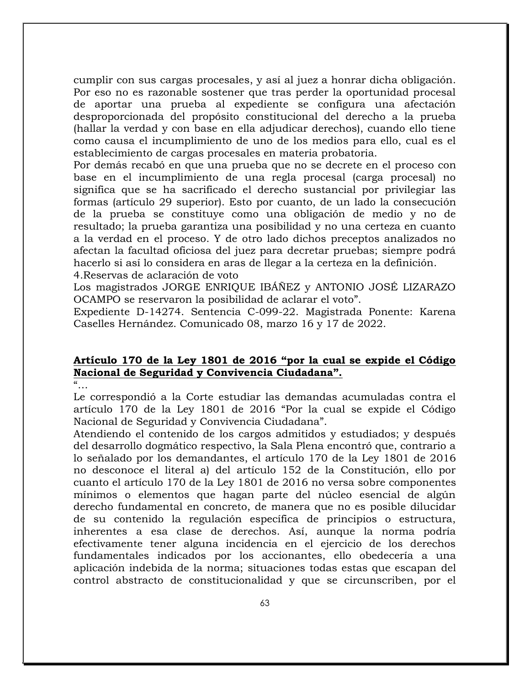cumplir con sus cargas procesales, y así al juez a honrar dicha obligación. Por eso no es razonable sostener que tras perder la oportunidad procesal de aportar una prueba al expediente se configura una afectación desproporcionada del propósito constitucional del derecho a la prueba (hallar la verdad y con base en ella adjudicar derechos), cuando ello tiene como causa el incumplimiento de uno de los medios para ello, cual es el establecimiento de cargas procesales en materia probatoria.

Por demás recabó en que una prueba que no se decrete en el proceso con base en el incumplimiento de una regla procesal (carga procesal) no significa que se ha sacrificado el derecho sustancial por privilegiar las formas (artículo 29 superior). Esto por cuanto, de un lado la consecución de la prueba se constituye como una obligación de medio y no de resultado; la prueba garantiza una posibilidad y no una certeza en cuanto a la verdad en el proceso. Y de otro lado dichos preceptos analizados no afectan la facultad oficiosa del juez para decretar pruebas; siempre podrá hacerlo si así lo considera en aras de llegar a la certeza en la definición.

4.Reservas de aclaración de voto

Los magistrados JORGE ENRIQUE IBÁÑEZ y ANTONIO JOSÉ LIZARAZO OCAMPO se reservaron la posibilidad de aclarar el voto".

Expediente D-14274. Sentencia C-099-22. Magistrada Ponente: Karena Caselles Hernández. Comunicado 08, marzo 16 y 17 de 2022.

# **Artículo 170 de la Ley 1801 de 2016 "por la cual se expide el Código Nacional de Seguridad y Convivencia Ciudadana".**

 $\frac{a}{\cdot}$ 

Le correspondió a la Corte estudiar las demandas acumuladas contra el artículo 170 de la Ley 1801 de 2016 "Por la cual se expide el Código Nacional de Seguridad y Convivencia Ciudadana".

Atendiendo el contenido de los cargos admitidos y estudiados; y después del desarrollo dogmático respectivo, la Sala Plena encontró que, contrario a lo señalado por los demandantes, el artículo 170 de la Ley 1801 de 2016 no desconoce el literal a) del artículo 152 de la Constitución, ello por cuanto el artículo 170 de la Ley 1801 de 2016 no versa sobre componentes mínimos o elementos que hagan parte del núcleo esencial de algún derecho fundamental en concreto, de manera que no es posible dilucidar de su contenido la regulación específica de principios o estructura, inherentes a esa clase de derechos. Así, aunque la norma podría efectivamente tener alguna incidencia en el ejercicio de los derechos fundamentales indicados por los accionantes, ello obedecería a una aplicación indebida de la norma; situaciones todas estas que escapan del control abstracto de constitucionalidad y que se circunscriben, por el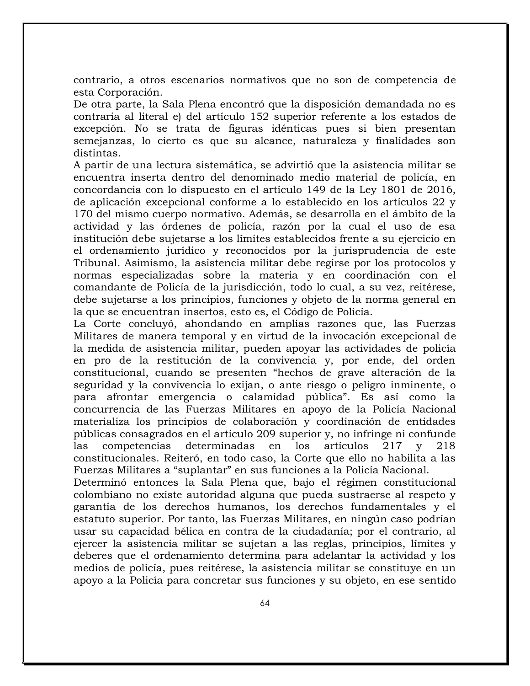contrario, a otros escenarios normativos que no son de competencia de esta Corporación.

De otra parte, la Sala Plena encontró que la disposición demandada no es contraria al literal e) del artículo 152 superior referente a los estados de excepción. No se trata de figuras idénticas pues si bien presentan semejanzas, lo cierto es que su alcance, naturaleza y finalidades son distintas.

A partir de una lectura sistemática, se advirtió que la asistencia militar se encuentra inserta dentro del denominado medio material de policía, en concordancia con lo dispuesto en el artículo 149 de la Ley 1801 de 2016, de aplicación excepcional conforme a lo establecido en los artículos 22 y 170 del mismo cuerpo normativo. Además, se desarrolla en el ámbito de la actividad y las órdenes de policía, razón por la cual el uso de esa institución debe sujetarse a los límites establecidos frente a su ejercicio en el ordenamiento jurídico y reconocidos por la jurisprudencia de este Tribunal. Asimismo, la asistencia militar debe regirse por los protocolos y normas especializadas sobre la materia y en coordinación con el comandante de Policía de la jurisdicción, todo lo cual, a su vez, reitérese, debe sujetarse a los principios, funciones y objeto de la norma general en la que se encuentran insertos, esto es, el Código de Policía.

La Corte concluyó, ahondando en amplias razones que, las Fuerzas Militares de manera temporal y en virtud de la invocación excepcional de la medida de asistencia militar, pueden apoyar las actividades de policía en pro de la restitución de la convivencia y, por ende, del orden constitucional, cuando se presenten "hechos de grave alteración de la seguridad y la convivencia lo exijan, o ante riesgo o peligro inminente, o para afrontar emergencia o calamidad pública". Es así como la concurrencia de las Fuerzas Militares en apoyo de la Policía Nacional materializa los principios de colaboración y coordinación de entidades públicas consagrados en el artículo 209 superior y, no infringe ni confunde las competencias determinadas en los artículos 217 y 218 constitucionales. Reiteró, en todo caso, la Corte que ello no habilita a las Fuerzas Militares a "suplantar" en sus funciones a la Policía Nacional.

Determinó entonces la Sala Plena que, bajo el régimen constitucional colombiano no existe autoridad alguna que pueda sustraerse al respeto y garantía de los derechos humanos, los derechos fundamentales y el estatuto superior. Por tanto, las Fuerzas Militares, en ningún caso podrían usar su capacidad bélica en contra de la ciudadanía; por el contrario, al ejercer la asistencia militar se sujetan a las reglas, principios, límites y deberes que el ordenamiento determina para adelantar la actividad y los medios de policía, pues reitérese, la asistencia militar se constituye en un apoyo a la Policía para concretar sus funciones y su objeto, en ese sentido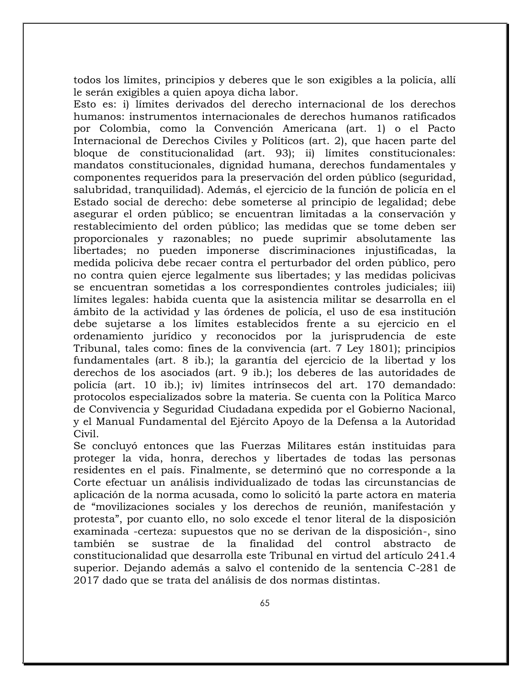todos los límites, principios y deberes que le son exigibles a la policía, allí le serán exigibles a quien apoya dicha labor.

Esto es: i) límites derivados del derecho internacional de los derechos humanos: instrumentos internacionales de derechos humanos ratificados por Colombia, como la Convención Americana (art. 1) o el Pacto Internacional de Derechos Civiles y Políticos (art. 2), que hacen parte del bloque de constitucionalidad (art. 93); ii) límites constitucionales: mandatos constitucionales, dignidad humana, derechos fundamentales y componentes requeridos para la preservación del orden público (seguridad, salubridad, tranquilidad). Además, el ejercicio de la función de policía en el Estado social de derecho: debe someterse al principio de legalidad; debe asegurar el orden público; se encuentran limitadas a la conservación y restablecimiento del orden público; las medidas que se tome deben ser proporcionales y razonables; no puede suprimir absolutamente las libertades; no pueden imponerse discriminaciones injustificadas, la medida policiva debe recaer contra el perturbador del orden público, pero no contra quien ejerce legalmente sus libertades; y las medidas policivas se encuentran sometidas a los correspondientes controles judiciales; iii) límites legales: habida cuenta que la asistencia militar se desarrolla en el ámbito de la actividad y las órdenes de policía, el uso de esa institución debe sujetarse a los límites establecidos frente a su ejercicio en el ordenamiento jurídico y reconocidos por la jurisprudencia de este Tribunal, tales como: fines de la convivencia (art. 7 Ley 1801); principios fundamentales (art. 8 ib.); la garantía del ejercicio de la libertad y los derechos de los asociados (art. 9 ib.); los deberes de las autoridades de policía (art. 10 ib.); iv) límites intrínsecos del art. 170 demandado: protocolos especializados sobre la materia. Se cuenta con la Política Marco de Convivencia y Seguridad Ciudadana expedida por el Gobierno Nacional, y el Manual Fundamental del Ejército Apoyo de la Defensa a la Autoridad Civil.

Se concluyó entonces que las Fuerzas Militares están instituidas para proteger la vida, honra, derechos y libertades de todas las personas residentes en el país. Finalmente, se determinó que no corresponde a la Corte efectuar un análisis individualizado de todas las circunstancias de aplicación de la norma acusada, como lo solicitó la parte actora en materia de "movilizaciones sociales y los derechos de reunión, manifestación y protesta", por cuanto ello, no solo excede el tenor literal de la disposición examinada -certeza: supuestos que no se derivan de la disposición-, sino también se sustrae de la finalidad del control abstracto de constitucionalidad que desarrolla este Tribunal en virtud del artículo 241.4 superior. Dejando además a salvo el contenido de la sentencia C-281 de 2017 dado que se trata del análisis de dos normas distintas.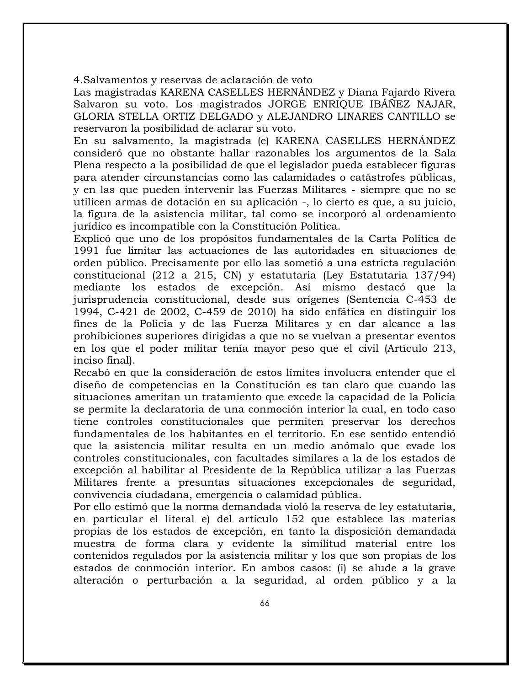4.Salvamentos y reservas de aclaración de voto

Las magistradas KARENA CASELLES HERNÁNDEZ y Diana Fajardo Rivera Salvaron su voto. Los magistrados JORGE ENRIQUE IBÁÑEZ NAJAR, GLORIA STELLA ORTIZ DELGADO y ALEJANDRO LINARES CANTILLO se reservaron la posibilidad de aclarar su voto.

En su salvamento, la magistrada (e) KARENA CASELLES HERNÁNDEZ consideró que no obstante hallar razonables los argumentos de la Sala Plena respecto a la posibilidad de que el legislador pueda establecer figuras para atender circunstancias como las calamidades o catástrofes públicas, y en las que pueden intervenir las Fuerzas Militares - siempre que no se utilicen armas de dotación en su aplicación -, lo cierto es que, a su juicio, la figura de la asistencia militar, tal como se incorporó al ordenamiento jurídico es incompatible con la Constitución Política.

Explicó que uno de los propósitos fundamentales de la Carta Política de 1991 fue limitar las actuaciones de las autoridades en situaciones de orden público. Precisamente por ello las sometió a una estricta regulación constitucional (212 a 215, CN) y estatutaria (Ley Estatutaria 137/94) mediante los estados de excepción. Así mismo destacó que la jurisprudencia constitucional, desde sus orígenes (Sentencia C-453 de 1994, C-421 de 2002, C-459 de 2010) ha sido enfática en distinguir los fines de la Policía y de las Fuerza Militares y en dar alcance a las prohibiciones superiores dirigidas a que no se vuelvan a presentar eventos en los que el poder militar tenía mayor peso que el civil (Artículo 213, inciso final).

Recabó en que la consideración de estos límites involucra entender que el diseño de competencias en la Constitución es tan claro que cuando las situaciones ameritan un tratamiento que excede la capacidad de la Policía se permite la declaratoria de una conmoción interior la cual, en todo caso tiene controles constitucionales que permiten preservar los derechos fundamentales de los habitantes en el territorio. En ese sentido entendió que la asistencia militar resulta en un medio anómalo que evade los controles constitucionales, con facultades similares a la de los estados de excepción al habilitar al Presidente de la República utilizar a las Fuerzas Militares frente a presuntas situaciones excepcionales de seguridad, convivencia ciudadana, emergencia o calamidad pública.

Por ello estimó que la norma demandada violó la reserva de ley estatutaria, en particular el literal e) del artículo 152 que establece las materias propias de los estados de excepción, en tanto la disposición demandada muestra de forma clara y evidente la similitud material entre los contenidos regulados por la asistencia militar y los que son propias de los estados de conmoción interior. En ambos casos: (i) se alude a la grave alteración o perturbación a la seguridad, al orden público y a la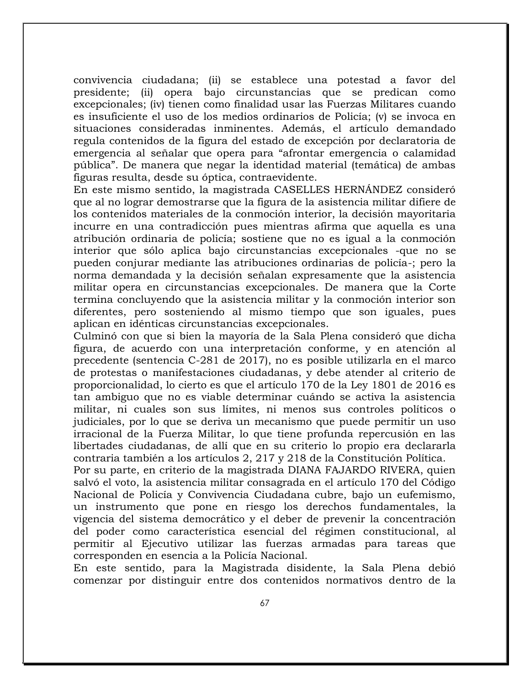convivencia ciudadana; (ii) se establece una potestad a favor del presidente; (ii) opera bajo circunstancias que se predican como excepcionales; (iv) tienen como finalidad usar las Fuerzas Militares cuando es insuficiente el uso de los medios ordinarios de Policía; (v) se invoca en situaciones consideradas inminentes. Además, el artículo demandado regula contenidos de la figura del estado de excepción por declaratoria de emergencia al señalar que opera para "afrontar emergencia o calamidad pública". De manera que negar la identidad material (temática) de ambas figuras resulta, desde su óptica, contraevidente.

En este mismo sentido, la magistrada CASELLES HERNÁNDEZ consideró que al no lograr demostrarse que la figura de la asistencia militar difiere de los contenidos materiales de la conmoción interior, la decisión mayoritaria incurre en una contradicción pues mientras afirma que aquella es una atribución ordinaria de policía; sostiene que no es igual a la conmoción interior que sólo aplica bajo circunstancias excepcionales -que no se pueden conjurar mediante las atribuciones ordinarias de policía-; pero la norma demandada y la decisión señalan expresamente que la asistencia militar opera en circunstancias excepcionales. De manera que la Corte termina concluyendo que la asistencia militar y la conmoción interior son diferentes, pero sosteniendo al mismo tiempo que son iguales, pues aplican en idénticas circunstancias excepcionales.

Culminó con que si bien la mayoría de la Sala Plena consideró que dicha figura, de acuerdo con una interpretación conforme, y en atención al precedente (sentencia C-281 de 2017), no es posible utilizarla en el marco de protestas o manifestaciones ciudadanas, y debe atender al criterio de proporcionalidad, lo cierto es que el artículo 170 de la Ley 1801 de 2016 es tan ambiguo que no es viable determinar cuándo se activa la asistencia militar, ni cuales son sus límites, ni menos sus controles políticos o judiciales, por lo que se deriva un mecanismo que puede permitir un uso irracional de la Fuerza Militar, lo que tiene profunda repercusión en las libertades ciudadanas, de allí que en su criterio lo propio era declararla contraria también a los artículos 2, 217 y 218 de la Constitución Política.

Por su parte, en criterio de la magistrada DIANA FAJARDO RIVERA, quien salvó el voto, la asistencia militar consagrada en el artículo 170 del Código Nacional de Policía y Convivencia Ciudadana cubre, bajo un eufemismo, un instrumento que pone en riesgo los derechos fundamentales, la vigencia del sistema democrático y el deber de prevenir la concentración del poder como característica esencial del régimen constitucional, al permitir al Ejecutivo utilizar las fuerzas armadas para tareas que corresponden en esencia a la Policía Nacional.

En este sentido, para la Magistrada disidente, la Sala Plena debió comenzar por distinguir entre dos contenidos normativos dentro de la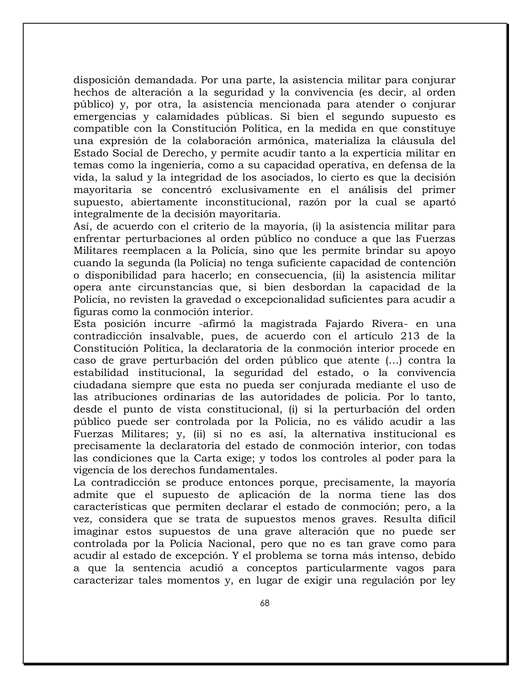disposición demandada. Por una parte, la asistencia militar para conjurar hechos de alteración a la seguridad y la convivencia (es decir, al orden público) y, por otra, la asistencia mencionada para atender o conjurar emergencias y calamidades públicas. Si bien el segundo supuesto es compatible con la Constitución Política, en la medida en que constituye una expresión de la colaboración armónica, materializa la cláusula del Estado Social de Derecho, y permite acudir tanto a la experticia militar en temas como la ingeniería, como a su capacidad operativa, en defensa de la vida, la salud y la integridad de los asociados, lo cierto es que la decisión mayoritaria se concentró exclusivamente en el análisis del primer supuesto, abiertamente inconstitucional, razón por la cual se apartó integralmente de la decisión mayoritaria.

Así, de acuerdo con el criterio de la mayoría, (i) la asistencia militar para enfrentar perturbaciones al orden público no conduce a que las Fuerzas Militares reemplacen a la Policía, sino que les permite brindar su apoyo cuando la segunda (la Policía) no tenga suficiente capacidad de contención o disponibilidad para hacerlo; en consecuencia, (ii) la asistencia militar opera ante circunstancias que, si bien desbordan la capacidad de la Policía, no revisten la gravedad o excepcionalidad suficientes para acudir a figuras como la conmoción interior.

Esta posición incurre -afirmó la magistrada Fajardo Rivera- en una contradicción insalvable, pues, de acuerdo con el artículo 213 de la Constitución Política, la declaratoria de la conmoción interior procede en caso de grave perturbación del orden público que atente (…) contra la estabilidad institucional, la seguridad del estado, o la convivencia ciudadana siempre que esta no pueda ser conjurada mediante el uso de las atribuciones ordinarias de las autoridades de policía. Por lo tanto, desde el punto de vista constitucional, (i) si la perturbación del orden público puede ser controlada por la Policía, no es válido acudir a las Fuerzas Militares; y, (ii) si no es así, la alternativa institucional es precisamente la declaratoria del estado de conmoción interior, con todas las condiciones que la Carta exige; y todos los controles al poder para la vigencia de los derechos fundamentales.

La contradicción se produce entonces porque, precisamente, la mayoría admite que el supuesto de aplicación de la norma tiene las dos características que permiten declarar el estado de conmoción; pero, a la vez, considera que se trata de supuestos menos graves. Resulta difícil imaginar estos supuestos de una grave alteración que no puede ser controlada por la Policía Nacional, pero que no es tan grave como para acudir al estado de excepción. Y el problema se torna más intenso, debido a que la sentencia acudió a conceptos particularmente vagos para caracterizar tales momentos y, en lugar de exigir una regulación por ley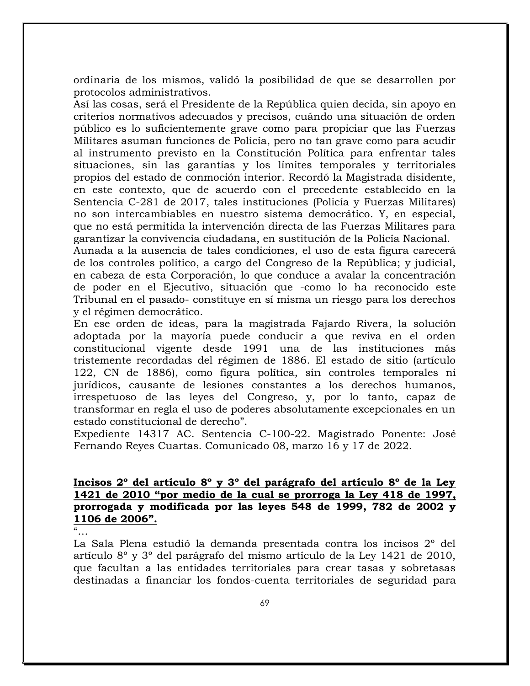ordinaria de los mismos, validó la posibilidad de que se desarrollen por protocolos administrativos.

Así las cosas, será el Presidente de la República quien decida, sin apoyo en criterios normativos adecuados y precisos, cuándo una situación de orden público es lo suficientemente grave como para propiciar que las Fuerzas Militares asuman funciones de Policía, pero no tan grave como para acudir al instrumento previsto en la Constitución Política para enfrentar tales situaciones, sin las garantías y los límites temporales y territoriales propios del estado de conmoción interior. Recordó la Magistrada disidente, en este contexto, que de acuerdo con el precedente establecido en la Sentencia C-281 de 2017, tales instituciones (Policía y Fuerzas Militares) no son intercambiables en nuestro sistema democrático. Y, en especial, que no está permitida la intervención directa de las Fuerzas Militares para garantizar la convivencia ciudadana, en sustitución de la Policía Nacional.

Aunada a la ausencia de tales condiciones, el uso de esta figura carecerá de los controles político, a cargo del Congreso de la República; y judicial, en cabeza de esta Corporación, lo que conduce a avalar la concentración de poder en el Ejecutivo, situación que -como lo ha reconocido este Tribunal en el pasado- constituye en sí misma un riesgo para los derechos y el régimen democrático.

En ese orden de ideas, para la magistrada Fajardo Rivera, la solución adoptada por la mayoría puede conducir a que reviva en el orden constitucional vigente desde 1991 una de las instituciones más tristemente recordadas del régimen de 1886. El estado de sitio (artículo 122, CN de 1886), como figura política, sin controles temporales ni jurídicos, causante de lesiones constantes a los derechos humanos, irrespetuoso de las leyes del Congreso, y, por lo tanto, capaz de transformar en regla el uso de poderes absolutamente excepcionales en un estado constitucional de derecho".

Expediente 14317 AC. Sentencia C-100-22. Magistrado Ponente: José Fernando Reyes Cuartas. Comunicado 08, marzo 16 y 17 de 2022.

### **Incisos 2º del artículo 8º y 3º del parágrafo del artículo 8º de la Ley 1421 de 2010 "por medio de la cual se prorroga la Ley 418 de 1997, prorrogada y modificada por las leyes 548 de 1999, 782 de 2002 y 1106 de 2006".**

"…

La Sala Plena estudió la demanda presentada contra los incisos 2º del artículo 8º y 3º del parágrafo del mismo artículo de la Ley 1421 de 2010, que facultan a las entidades territoriales para crear tasas y sobretasas destinadas a financiar los fondos-cuenta territoriales de seguridad para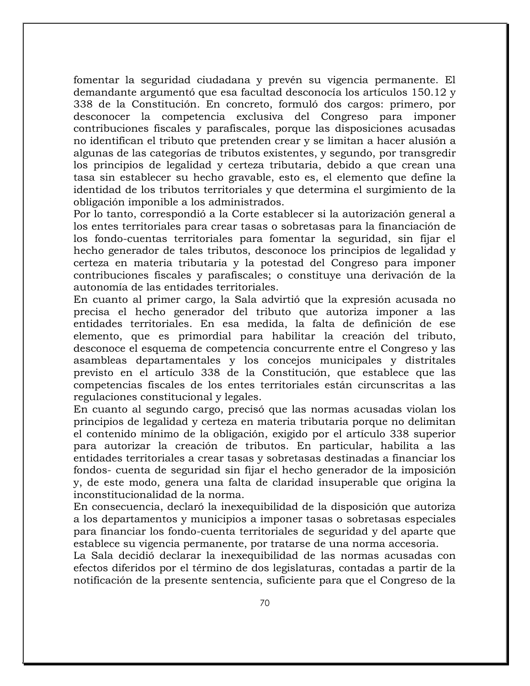fomentar la seguridad ciudadana y prevén su vigencia permanente. El demandante argumentó que esa facultad desconocía los artículos 150.12 y 338 de la Constitución. En concreto, formuló dos cargos: primero, por desconocer la competencia exclusiva del Congreso para imponer contribuciones fiscales y parafiscales, porque las disposiciones acusadas no identifican el tributo que pretenden crear y se limitan a hacer alusión a algunas de las categorías de tributos existentes, y segundo, por transgredir los principios de legalidad y certeza tributaria, debido a que crean una tasa sin establecer su hecho gravable, esto es, el elemento que define la identidad de los tributos territoriales y que determina el surgimiento de la obligación imponible a los administrados.

Por lo tanto, correspondió a la Corte establecer si la autorización general a los entes territoriales para crear tasas o sobretasas para la financiación de los fondo-cuentas territoriales para fomentar la seguridad, sin fijar el hecho generador de tales tributos, desconoce los principios de legalidad y certeza en materia tributaria y la potestad del Congreso para imponer contribuciones fiscales y parafiscales; o constituye una derivación de la autonomía de las entidades territoriales.

En cuanto al primer cargo, la Sala advirtió que la expresión acusada no precisa el hecho generador del tributo que autoriza imponer a las entidades territoriales. En esa medida, la falta de definición de ese elemento, que es primordial para habilitar la creación del tributo, desconoce el esquema de competencia concurrente entre el Congreso y las asambleas departamentales y los concejos municipales y distritales previsto en el artículo 338 de la Constitución, que establece que las competencias fiscales de los entes territoriales están circunscritas a las regulaciones constitucional y legales.

En cuanto al segundo cargo, precisó que las normas acusadas violan los principios de legalidad y certeza en materia tributaria porque no delimitan el contenido mínimo de la obligación, exigido por el artículo 338 superior para autorizar la creación de tributos. En particular, habilita a las entidades territoriales a crear tasas y sobretasas destinadas a financiar los fondos- cuenta de seguridad sin fijar el hecho generador de la imposición y, de este modo, genera una falta de claridad insuperable que origina la inconstitucionalidad de la norma.

En consecuencia, declaró la inexequibilidad de la disposición que autoriza a los departamentos y municipios a imponer tasas o sobretasas especiales para financiar los fondo-cuenta territoriales de seguridad y del aparte que establece su vigencia permanente, por tratarse de una norma accesoria.

La Sala decidió declarar la inexequibilidad de las normas acusadas con efectos diferidos por el término de dos legislaturas, contadas a partir de la notificación de la presente sentencia, suficiente para que el Congreso de la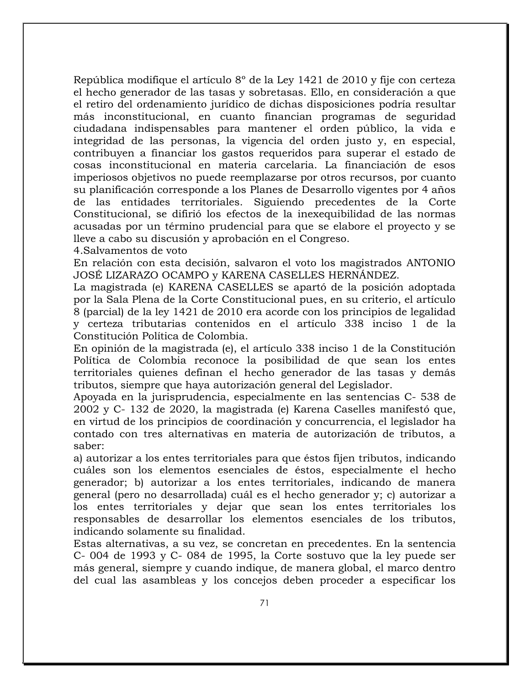República modifique el artículo 8º de la Ley 1421 de 2010 y fije con certeza el hecho generador de las tasas y sobretasas. Ello, en consideración a que el retiro del ordenamiento jurídico de dichas disposiciones podría resultar más inconstitucional, en cuanto financian programas de seguridad ciudadana indispensables para mantener el orden público, la vida e integridad de las personas, la vigencia del orden justo y, en especial, contribuyen a financiar los gastos requeridos para superar el estado de cosas inconstitucional en materia carcelaria. La financiación de esos imperiosos objetivos no puede reemplazarse por otros recursos, por cuanto su planificación corresponde a los Planes de Desarrollo vigentes por 4 años de las entidades territoriales. Siguiendo precedentes de la Corte Constitucional, se difirió los efectos de la inexequibilidad de las normas acusadas por un término prudencial para que se elabore el proyecto y se lleve a cabo su discusión y aprobación en el Congreso.

4.Salvamentos de voto

En relación con esta decisión, salvaron el voto los magistrados ANTONIO JOSÉ LIZARAZO OCAMPO y KARENA CASELLES HERNÁNDEZ.

La magistrada (e) KARENA CASELLES se apartó de la posición adoptada por la Sala Plena de la Corte Constitucional pues, en su criterio, el artículo 8 (parcial) de la ley 1421 de 2010 era acorde con los principios de legalidad y certeza tributarias contenidos en el artículo 338 inciso 1 de la Constitución Política de Colombia.

En opinión de la magistrada (e), el artículo 338 inciso 1 de la Constitución Política de Colombia reconoce la posibilidad de que sean los entes territoriales quienes definan el hecho generador de las tasas y demás tributos, siempre que haya autorización general del Legislador.

Apoyada en la jurisprudencia, especialmente en las sentencias C- 538 de 2002 y C- 132 de 2020, la magistrada (e) Karena Caselles manifestó que, en virtud de los principios de coordinación y concurrencia, el legislador ha contado con tres alternativas en materia de autorización de tributos, a saber:

a) autorizar a los entes territoriales para que éstos fijen tributos, indicando cuáles son los elementos esenciales de éstos, especialmente el hecho generador; b) autorizar a los entes territoriales, indicando de manera general (pero no desarrollada) cuál es el hecho generador y; c) autorizar a los entes territoriales y dejar que sean los entes territoriales los responsables de desarrollar los elementos esenciales de los tributos, indicando solamente su finalidad.

Estas alternativas, a su vez, se concretan en precedentes. En la sentencia C- 004 de 1993 y C- 084 de 1995, la Corte sostuvo que la ley puede ser más general, siempre y cuando indique, de manera global, el marco dentro del cual las asambleas y los concejos deben proceder a especificar los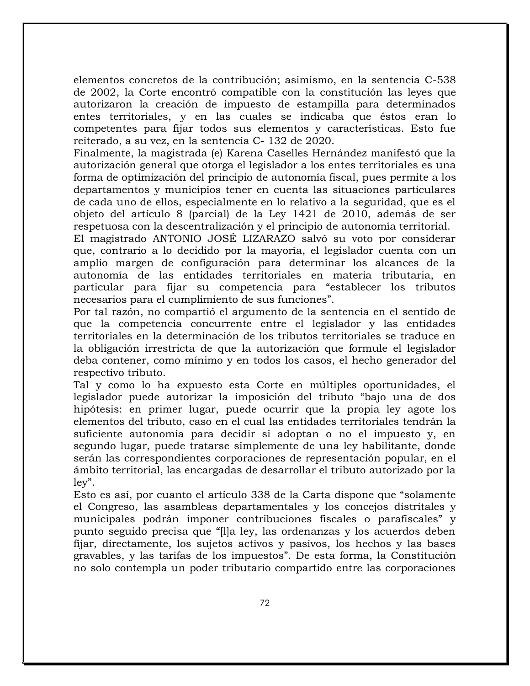elementos concretos de la contribución; asimismo, en la sentencia C-538 de 2002, la Corte encontró compatible con la constitución las leyes que autorizaron la creación de impuesto de estampilla para determinados entes territoriales, y en las cuales se indicaba que éstos eran lo competentes para fijar todos sus elementos y características. Esto fue reiterado, a su vez, en la sentencia C- 132 de 2020.

Finalmente, la magistrada (e) Karena Caselles Hernández manifestó que la autorización general que otorga el legislador a los entes territoriales es una forma de optimización del principio de autonomía fiscal, pues permite a los departamentos y municipios tener en cuenta las situaciones particulares de cada uno de ellos, especialmente en lo relativo a la seguridad, que es el objeto del artículo 8 (parcial) de la Ley 1421 de 2010, además de ser respetuosa con la descentralización y el principio de autonomía territorial.

El magistrado ANTONIO JOSÉ LIZARAZO salvó su voto por considerar que, contrario a lo decidido por la mayoría, el legislador cuenta con un amplio margen de configuración para determinar los alcances de la autonomía de las entidades territoriales en materia tributaria, en particular para fijar su competencia para "establecer los tributos necesarios para el cumplimiento de sus funciones".

Por tal razón, no compartió el argumento de la sentencia en el sentido de que la competencia concurrente entre el legislador y las entidades territoriales en la determinación de los tributos territoriales se traduce en la obligación irrestricta de que la autorización que formule el legislador deba contener, como mínimo y en todos los casos, el hecho generador del respectivo tributo.

Tal y como lo ha expuesto esta Corte en múltiples oportunidades, el legislador puede autorizar la imposición del tributo "bajo una de dos hipótesis: en primer lugar, puede ocurrir que la propia ley agote los elementos del tributo, caso en el cual las entidades territoriales tendrán la suficiente autonomía para decidir si adoptan o no el impuesto y, en segundo lugar, puede tratarse simplemente de una ley habilitante, donde serán las correspondientes corporaciones de representación popular, en el ámbito territorial, las encargadas de desarrollar el tributo autorizado por la ley".

Esto es así, por cuanto el artículo 338 de la Carta dispone que "solamente el Congreso, las asambleas departamentales y los concejos distritales y municipales podrán imponer contribuciones fiscales o parafiscales" y punto seguido precisa que "[l]a ley, las ordenanzas y los acuerdos deben fijar, directamente, los sujetos activos y pasivos, los hechos y las bases gravables, y las tarifas de los impuestos". De esta forma, la Constitución no solo contempla un poder tributario compartido entre las corporaciones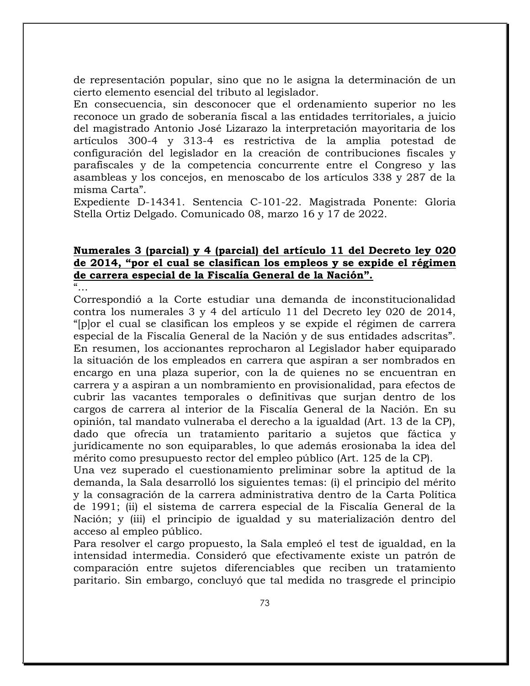de representación popular, sino que no le asigna la determinación de un cierto elemento esencial del tributo al legislador.

En consecuencia, sin desconocer que el ordenamiento superior no les reconoce un grado de soberanía fiscal a las entidades territoriales, a juicio del magistrado Antonio José Lizarazo la interpretación mayoritaria de los artículos 300-4 y 313-4 es restrictiva de la amplia potestad de configuración del legislador en la creación de contribuciones fiscales y parafiscales y de la competencia concurrente entre el Congreso y las asambleas y los concejos, en menoscabo de los artículos 338 y 287 de la misma Carta".

Expediente D-14341. Sentencia C-101-22. Magistrada Ponente: Gloria Stella Ortiz Delgado. Comunicado 08, marzo 16 y 17 de 2022.

# **Numerales 3 (parcial) y 4 (parcial) del artículo 11 del Decreto ley 020 de 2014, "por el cual se clasifican los empleos y se expide el régimen de carrera especial de la Fiscalía General de la Nación".**

 $\alpha$ 

Correspondió a la Corte estudiar una demanda de inconstitucionalidad contra los numerales 3 y 4 del artículo 11 del Decreto ley 020 de 2014, "[p]or el cual se clasifican los empleos y se expide el régimen de carrera especial de la Fiscalía General de la Nación y de sus entidades adscritas". En resumen, los accionantes reprocharon al Legislador haber equiparado la situación de los empleados en carrera que aspiran a ser nombrados en encargo en una plaza superior, con la de quienes no se encuentran en carrera y a aspiran a un nombramiento en provisionalidad, para efectos de cubrir las vacantes temporales o definitivas que surjan dentro de los cargos de carrera al interior de la Fiscalía General de la Nación. En su opinión, tal mandato vulneraba el derecho a la igualdad (Art. 13 de la CP), dado que ofrecía un tratamiento paritario a sujetos que fáctica y jurídicamente no son equiparables, lo que además erosionaba la idea del mérito como presupuesto rector del empleo público (Art. 125 de la CP).

Una vez superado el cuestionamiento preliminar sobre la aptitud de la demanda, la Sala desarrolló los siguientes temas: (i) el principio del mérito y la consagración de la carrera administrativa dentro de la Carta Política de 1991; (ii) el sistema de carrera especial de la Fiscalía General de la Nación; y (iii) el principio de igualdad y su materialización dentro del acceso al empleo público.

Para resolver el cargo propuesto, la Sala empleó el test de igualdad, en la intensidad intermedia. Consideró que efectivamente existe un patrón de comparación entre sujetos diferenciables que reciben un tratamiento paritario. Sin embargo, concluyó que tal medida no trasgrede el principio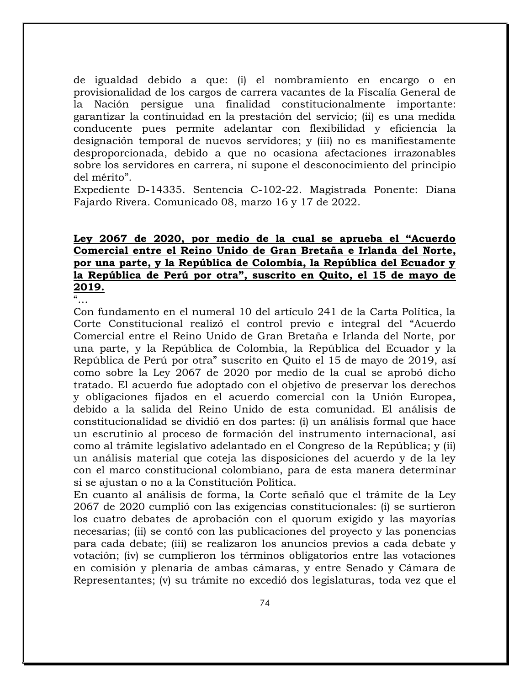de igualdad debido a que: (i) el nombramiento en encargo o en provisionalidad de los cargos de carrera vacantes de la Fiscalía General de la Nación persigue una finalidad constitucionalmente importante: garantizar la continuidad en la prestación del servicio; (ii) es una medida conducente pues permite adelantar con flexibilidad y eficiencia la designación temporal de nuevos servidores; y (iii) no es manifiestamente desproporcionada, debido a que no ocasiona afectaciones irrazonables sobre los servidores en carrera, ni supone el desconocimiento del principio del mérito".

Expediente D-14335. Sentencia C-102-22. Magistrada Ponente: Diana Fajardo Rivera. Comunicado 08, marzo 16 y 17 de 2022.

# **Ley 2067 de 2020, por medio de la cual se aprueba el "Acuerdo Comercial entre el Reino Unido de Gran Bretaña e Irlanda del Norte, por una parte, y la República de Colombia, la República del Ecuador y la República de Perú por otra", suscrito en Quito, el 15 de mayo de 2019.**

"…

Con fundamento en el numeral 10 del artículo 241 de la Carta Política, la Corte Constitucional realizó el control previo e integral del "Acuerdo Comercial entre el Reino Unido de Gran Bretaña e Irlanda del Norte, por una parte, y la República de Colombia, la República del Ecuador y la República de Perú por otra" suscrito en Quito el 15 de mayo de 2019, así como sobre la Ley 2067 de 2020 por medio de la cual se aprobó dicho tratado. El acuerdo fue adoptado con el objetivo de preservar los derechos y obligaciones fijados en el acuerdo comercial con la Unión Europea, debido a la salida del Reino Unido de esta comunidad. El análisis de constitucionalidad se dividió en dos partes: (i) un análisis formal que hace un escrutinio al proceso de formación del instrumento internacional, así como al trámite legislativo adelantado en el Congreso de la República; y (ii) un análisis material que coteja las disposiciones del acuerdo y de la ley con el marco constitucional colombiano, para de esta manera determinar si se ajustan o no a la Constitución Política.

En cuanto al análisis de forma, la Corte señaló que el trámite de la Ley 2067 de 2020 cumplió con las exigencias constitucionales: (i) se surtieron los cuatro debates de aprobación con el quorum exigido y las mayorías necesarias; (ii) se contó con las publicaciones del proyecto y las ponencias para cada debate; (iii) se realizaron los anuncios previos a cada debate y votación; (iv) se cumplieron los términos obligatorios entre las votaciones en comisión y plenaria de ambas cámaras, y entre Senado y Cámara de Representantes; (v) su trámite no excedió dos legislaturas, toda vez que el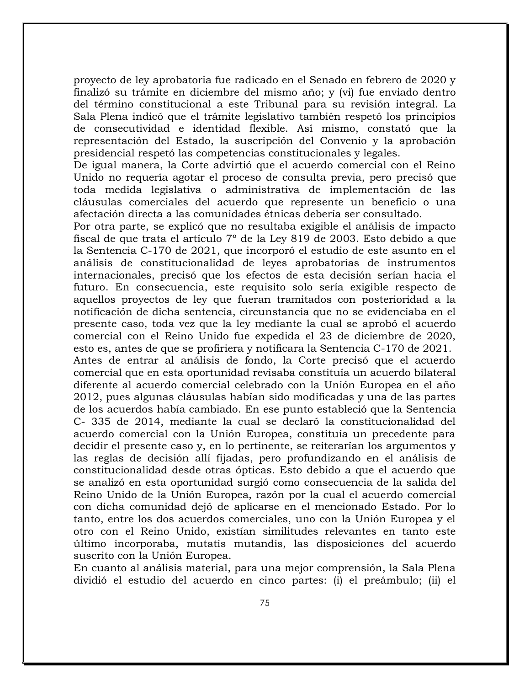proyecto de ley aprobatoria fue radicado en el Senado en febrero de 2020 y finalizó su trámite en diciembre del mismo año; y (vi) fue enviado dentro del término constitucional a este Tribunal para su revisión integral. La Sala Plena indicó que el trámite legislativo también respetó los principios de consecutividad e identidad flexible. Así mismo, constató que la representación del Estado, la suscripción del Convenio y la aprobación presidencial respetó las competencias constitucionales y legales.

De igual manera, la Corte advirtió que el acuerdo comercial con el Reino Unido no requería agotar el proceso de consulta previa, pero precisó que toda medida legislativa o administrativa de implementación de las cláusulas comerciales del acuerdo que represente un beneficio o una afectación directa a las comunidades étnicas debería ser consultado.

Por otra parte, se explicó que no resultaba exigible el análisis de impacto fiscal de que trata el artículo 7º de la Ley 819 de 2003. Esto debido a que la Sentencia C-170 de 2021, que incorporó el estudio de este asunto en el análisis de constitucionalidad de leyes aprobatorias de instrumentos internacionales, precisó que los efectos de esta decisión serían hacia el futuro. En consecuencia, este requisito solo sería exigible respecto de aquellos proyectos de ley que fueran tramitados con posterioridad a la notificación de dicha sentencia, circunstancia que no se evidenciaba en el presente caso, toda vez que la ley mediante la cual se aprobó el acuerdo comercial con el Reino Unido fue expedida el 23 de diciembre de 2020, esto es, antes de que se profiriera y notificara la Sentencia C-170 de 2021.

Antes de entrar al análisis de fondo, la Corte precisó que el acuerdo comercial que en esta oportunidad revisaba constituía un acuerdo bilateral diferente al acuerdo comercial celebrado con la Unión Europea en el año 2012, pues algunas cláusulas habían sido modificadas y una de las partes de los acuerdos había cambiado. En ese punto estableció que la Sentencia C- 335 de 2014, mediante la cual se declaró la constitucionalidad del acuerdo comercial con la Unión Europea, constituía un precedente para decidir el presente caso y, en lo pertinente, se reiterarían los argumentos y las reglas de decisión allí fijadas, pero profundizando en el análisis de constitucionalidad desde otras ópticas. Esto debido a que el acuerdo que se analizó en esta oportunidad surgió como consecuencia de la salida del Reino Unido de la Unión Europea, razón por la cual el acuerdo comercial con dicha comunidad dejó de aplicarse en el mencionado Estado. Por lo tanto, entre los dos acuerdos comerciales, uno con la Unión Europea y el otro con el Reino Unido, existían similitudes relevantes en tanto este último incorporaba, mutatis mutandis, las disposiciones del acuerdo suscrito con la Unión Europea.

En cuanto al análisis material, para una mejor comprensión, la Sala Plena dividió el estudio del acuerdo en cinco partes: (i) el preámbulo; (ii) el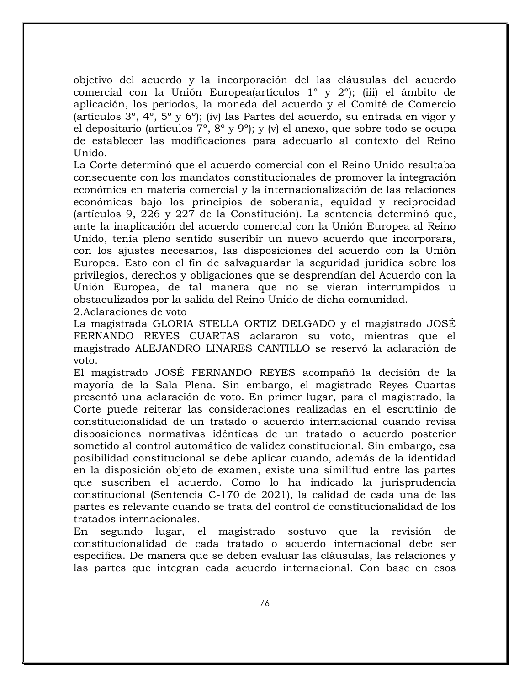objetivo del acuerdo y la incorporación del las cláusulas del acuerdo comercial con la Unión Europea(artículos 1º y 2º); (iii) el ámbito de aplicación, los periodos, la moneda del acuerdo y el Comité de Comercio (artículos  $3^\circ$ ,  $4^\circ$ ,  $5^\circ$  y  $6^\circ$ ); (iv) las Partes del acuerdo, su entrada en vigor y el depositario (artículos 7º, 8º y 9º); y (v) el anexo, que sobre todo se ocupa de establecer las modificaciones para adecuarlo al contexto del Reino Unido.

La Corte determinó que el acuerdo comercial con el Reino Unido resultaba consecuente con los mandatos constitucionales de promover la integración económica en materia comercial y la internacionalización de las relaciones económicas bajo los principios de soberanía, equidad y reciprocidad (artículos 9, 226 y 227 de la Constitución). La sentencia determinó que, ante la inaplicación del acuerdo comercial con la Unión Europea al Reino Unido, tenía pleno sentido suscribir un nuevo acuerdo que incorporara, con los ajustes necesarios, las disposiciones del acuerdo con la Unión Europea. Esto con el fin de salvaguardar la seguridad jurídica sobre los privilegios, derechos y obligaciones que se desprendían del Acuerdo con la Unión Europea, de tal manera que no se vieran interrumpidos u obstaculizados por la salida del Reino Unido de dicha comunidad.

2.Aclaraciones de voto

La magistrada GLORIA STELLA ORTIZ DELGADO y el magistrado JOSÉ FERNANDO REYES CUARTAS aclararon su voto, mientras que el magistrado ALEJANDRO LINARES CANTILLO se reservó la aclaración de voto.

El magistrado JOSÉ FERNANDO REYES acompañó la decisión de la mayoría de la Sala Plena. Sin embargo, el magistrado Reyes Cuartas presentó una aclaración de voto. En primer lugar, para el magistrado, la Corte puede reiterar las consideraciones realizadas en el escrutinio de constitucionalidad de un tratado o acuerdo internacional cuando revisa disposiciones normativas idénticas de un tratado o acuerdo posterior sometido al control automático de validez constitucional. Sin embargo, esa posibilidad constitucional se debe aplicar cuando, además de la identidad en la disposición objeto de examen, existe una similitud entre las partes que suscriben el acuerdo. Como lo ha indicado la jurisprudencia constitucional (Sentencia C-170 de 2021), la calidad de cada una de las partes es relevante cuando se trata del control de constitucionalidad de los tratados internacionales.

En segundo lugar, el magistrado sostuvo que la revisión de constitucionalidad de cada tratado o acuerdo internacional debe ser específica. De manera que se deben evaluar las cláusulas, las relaciones y las partes que integran cada acuerdo internacional. Con base en esos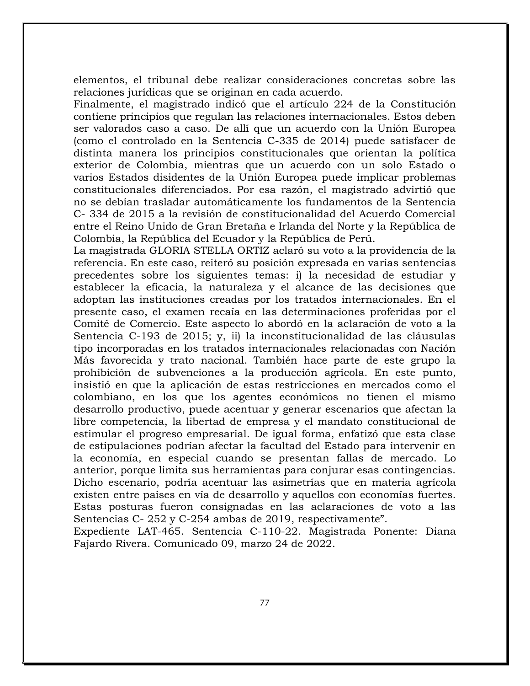elementos, el tribunal debe realizar consideraciones concretas sobre las relaciones jurídicas que se originan en cada acuerdo.

Finalmente, el magistrado indicó que el artículo 224 de la Constitución contiene principios que regulan las relaciones internacionales. Estos deben ser valorados caso a caso. De allí que un acuerdo con la Unión Europea (como el controlado en la Sentencia C-335 de 2014) puede satisfacer de distinta manera los principios constitucionales que orientan la política exterior de Colombia, mientras que un acuerdo con un solo Estado o varios Estados disidentes de la Unión Europea puede implicar problemas constitucionales diferenciados. Por esa razón, el magistrado advirtió que no se debían trasladar automáticamente los fundamentos de la Sentencia C- 334 de 2015 a la revisión de constitucionalidad del Acuerdo Comercial entre el Reino Unido de Gran Bretaña e Irlanda del Norte y la República de Colombia, la República del Ecuador y la República de Perú.

La magistrada GLORIA STELLA ORTIZ aclaró su voto a la providencia de la referencia. En este caso, reiteró su posición expresada en varias sentencias precedentes sobre los siguientes temas: i) la necesidad de estudiar y establecer la eficacia, la naturaleza y el alcance de las decisiones que adoptan las instituciones creadas por los tratados internacionales. En el presente caso, el examen recaía en las determinaciones proferidas por el Comité de Comercio. Este aspecto lo abordó en la aclaración de voto a la Sentencia C-193 de 2015; y, ii) la inconstitucionalidad de las cláusulas tipo incorporadas en los tratados internacionales relacionadas con Nación Más favorecida y trato nacional. También hace parte de este grupo la prohibición de subvenciones a la producción agrícola. En este punto, insistió en que la aplicación de estas restricciones en mercados como el colombiano, en los que los agentes económicos no tienen el mismo desarrollo productivo, puede acentuar y generar escenarios que afectan la libre competencia, la libertad de empresa y el mandato constitucional de estimular el progreso empresarial. De igual forma, enfatizó que esta clase de estipulaciones podrían afectar la facultad del Estado para intervenir en la economía, en especial cuando se presentan fallas de mercado. Lo anterior, porque limita sus herramientas para conjurar esas contingencias. Dicho escenario, podría acentuar las asimetrías que en materia agrícola existen entre países en vía de desarrollo y aquellos con economías fuertes. Estas posturas fueron consignadas en las aclaraciones de voto a las Sentencias C- 252 y C-254 ambas de 2019, respectivamente".

Expediente LAT-465. Sentencia C-110-22. Magistrada Ponente: Diana Fajardo Rivera. Comunicado 09, marzo 24 de 2022.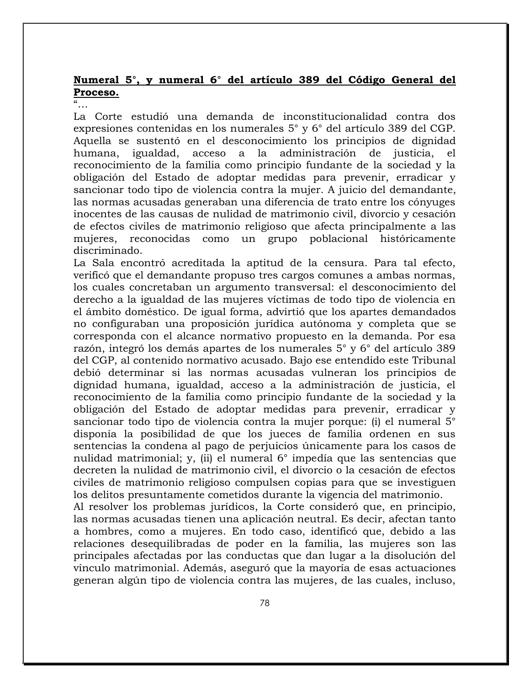# **Numeral 5°, y numeral 6° del artículo 389 del Código General del Proceso.**

La Corte estudió una demanda de inconstitucionalidad contra dos expresiones contenidas en los numerales 5° y 6° del artículo 389 del CGP. Aquella se sustentó en el desconocimiento los principios de dignidad humana, igualdad, acceso a la administración de justicia, el reconocimiento de la familia como principio fundante de la sociedad y la obligación del Estado de adoptar medidas para prevenir, erradicar y sancionar todo tipo de violencia contra la mujer. A juicio del demandante, las normas acusadas generaban una diferencia de trato entre los cónyuges inocentes de las causas de nulidad de matrimonio civil, divorcio y cesación de efectos civiles de matrimonio religioso que afecta principalmente a las mujeres, reconocidas como un grupo poblacional históricamente discriminado.

La Sala encontró acreditada la aptitud de la censura. Para tal efecto, verificó que el demandante propuso tres cargos comunes a ambas normas, los cuales concretaban un argumento transversal: el desconocimiento del derecho a la igualdad de las mujeres víctimas de todo tipo de violencia en el ámbito doméstico. De igual forma, advirtió que los apartes demandados no configuraban una proposición jurídica autónoma y completa que se corresponda con el alcance normativo propuesto en la demanda. Por esa razón, integró los demás apartes de los numerales 5° y 6° del artículo 389 del CGP, al contenido normativo acusado. Bajo ese entendido este Tribunal debió determinar si las normas acusadas vulneran los principios de dignidad humana, igualdad, acceso a la administración de justicia, el reconocimiento de la familia como principio fundante de la sociedad y la obligación del Estado de adoptar medidas para prevenir, erradicar y sancionar todo tipo de violencia contra la mujer porque: (i) el numeral 5° disponía la posibilidad de que los jueces de familia ordenen en sus sentencias la condena al pago de perjuicios únicamente para los casos de nulidad matrimonial; y, (ii) el numeral 6° impedía que las sentencias que decreten la nulidad de matrimonio civil, el divorcio o la cesación de efectos civiles de matrimonio religioso compulsen copias para que se investiguen los delitos presuntamente cometidos durante la vigencia del matrimonio.

Al resolver los problemas jurídicos, la Corte consideró que, en principio, las normas acusadas tienen una aplicación neutral. Es decir, afectan tanto a hombres, como a mujeres. En todo caso, identificó que, debido a las relaciones desequilibradas de poder en la familia, las mujeres son las principales afectadas por las conductas que dan lugar a la disolución del vínculo matrimonial. Además, aseguró que la mayoría de esas actuaciones generan algún tipo de violencia contra las mujeres, de las cuales, incluso,

 $\alpha$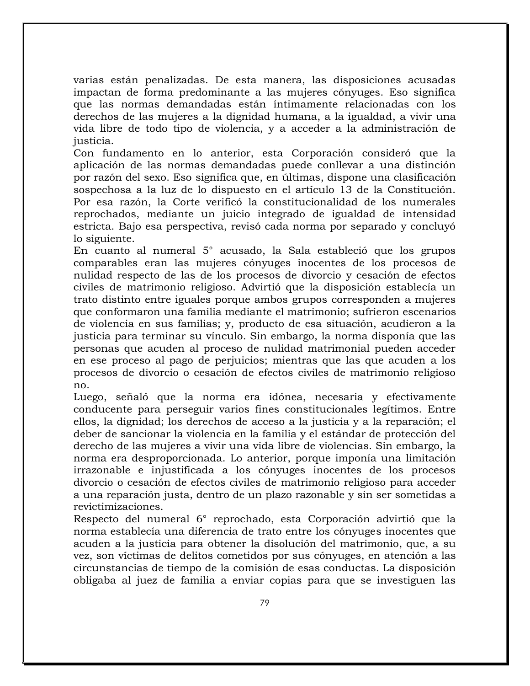varias están penalizadas. De esta manera, las disposiciones acusadas impactan de forma predominante a las mujeres cónyuges. Eso significa que las normas demandadas están íntimamente relacionadas con los derechos de las mujeres a la dignidad humana, a la igualdad, a vivir una vida libre de todo tipo de violencia, y a acceder a la administración de justicia.

Con fundamento en lo anterior, esta Corporación consideró que la aplicación de las normas demandadas puede conllevar a una distinción por razón del sexo. Eso significa que, en últimas, dispone una clasificación sospechosa a la luz de lo dispuesto en el artículo 13 de la Constitución. Por esa razón, la Corte verificó la constitucionalidad de los numerales reprochados, mediante un juicio integrado de igualdad de intensidad estricta. Bajo esa perspectiva, revisó cada norma por separado y concluyó lo siguiente.

En cuanto al numeral 5° acusado, la Sala estableció que los grupos comparables eran las mujeres cónyuges inocentes de los procesos de nulidad respecto de las de los procesos de divorcio y cesación de efectos civiles de matrimonio religioso. Advirtió que la disposición establecía un trato distinto entre iguales porque ambos grupos corresponden a mujeres que conformaron una familia mediante el matrimonio; sufrieron escenarios de violencia en sus familias; y, producto de esa situación, acudieron a la justicia para terminar su vínculo. Sin embargo, la norma disponía que las personas que acuden al proceso de nulidad matrimonial pueden acceder en ese proceso al pago de perjuicios; mientras que las que acuden a los procesos de divorcio o cesación de efectos civiles de matrimonio religioso no.

Luego, señaló que la norma era idónea, necesaria y efectivamente conducente para perseguir varios fines constitucionales legítimos. Entre ellos, la dignidad; los derechos de acceso a la justicia y a la reparación; el deber de sancionar la violencia en la familia y el estándar de protección del derecho de las mujeres a vivir una vida libre de violencias. Sin embargo, la norma era desproporcionada. Lo anterior, porque imponía una limitación irrazonable e injustificada a los cónyuges inocentes de los procesos divorcio o cesación de efectos civiles de matrimonio religioso para acceder a una reparación justa, dentro de un plazo razonable y sin ser sometidas a revictimizaciones.

Respecto del numeral 6° reprochado, esta Corporación advirtió que la norma establecía una diferencia de trato entre los cónyuges inocentes que acuden a la justicia para obtener la disolución del matrimonio, que, a su vez, son víctimas de delitos cometidos por sus cónyuges, en atención a las circunstancias de tiempo de la comisión de esas conductas. La disposición obligaba al juez de familia a enviar copias para que se investiguen las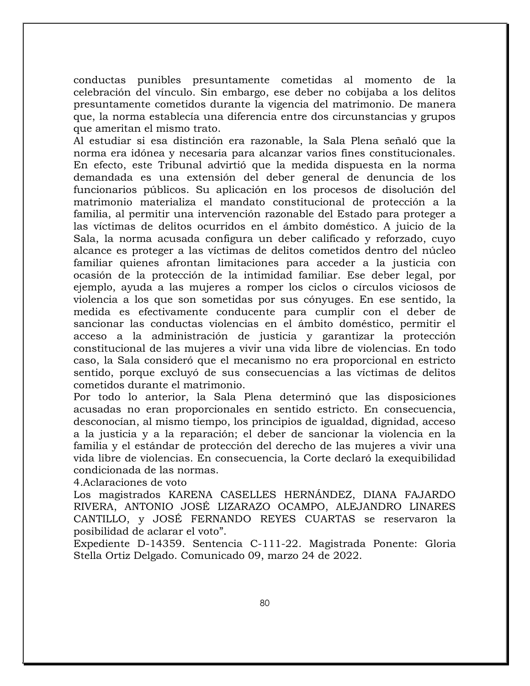conductas punibles presuntamente cometidas al momento de la celebración del vínculo. Sin embargo, ese deber no cobijaba a los delitos presuntamente cometidos durante la vigencia del matrimonio. De manera que, la norma establecía una diferencia entre dos circunstancias y grupos que ameritan el mismo trato.

Al estudiar si esa distinción era razonable, la Sala Plena señaló que la norma era idónea y necesaria para alcanzar varios fines constitucionales. En efecto, este Tribunal advirtió que la medida dispuesta en la norma demandada es una extensión del deber general de denuncia de los funcionarios públicos. Su aplicación en los procesos de disolución del matrimonio materializa el mandato constitucional de protección a la familia, al permitir una intervención razonable del Estado para proteger a las víctimas de delitos ocurridos en el ámbito doméstico. A juicio de la Sala, la norma acusada configura un deber calificado y reforzado, cuyo alcance es proteger a las víctimas de delitos cometidos dentro del núcleo familiar quienes afrontan limitaciones para acceder a la justicia con ocasión de la protección de la intimidad familiar. Ese deber legal, por ejemplo, ayuda a las mujeres a romper los ciclos o círculos viciosos de violencia a los que son sometidas por sus cónyuges. En ese sentido, la medida es efectivamente conducente para cumplir con el deber de sancionar las conductas violencias en el ámbito doméstico, permitir el acceso a la administración de justicia y garantizar la protección constitucional de las mujeres a vivir una vida libre de violencias. En todo caso, la Sala consideró que el mecanismo no era proporcional en estricto sentido, porque excluyó de sus consecuencias a las víctimas de delitos cometidos durante el matrimonio.

Por todo lo anterior, la Sala Plena determinó que las disposiciones acusadas no eran proporcionales en sentido estricto. En consecuencia, desconocían, al mismo tiempo, los principios de igualdad, dignidad, acceso a la justicia y a la reparación; el deber de sancionar la violencia en la familia y el estándar de protección del derecho de las mujeres a vivir una vida libre de violencias. En consecuencia, la Corte declaró la exequibilidad condicionada de las normas.

4.Aclaraciones de voto

Los magistrados KARENA CASELLES HERNÁNDEZ, DIANA FAJARDO RIVERA, ANTONIO JOSÉ LIZARAZO OCAMPO, ALEJANDRO LINARES CANTILLO, y JOSÉ FERNANDO REYES CUARTAS se reservaron la posibilidad de aclarar el voto".

Expediente D-14359. Sentencia C-111-22. Magistrada Ponente: Gloria Stella Ortiz Delgado. Comunicado 09, marzo 24 de 2022.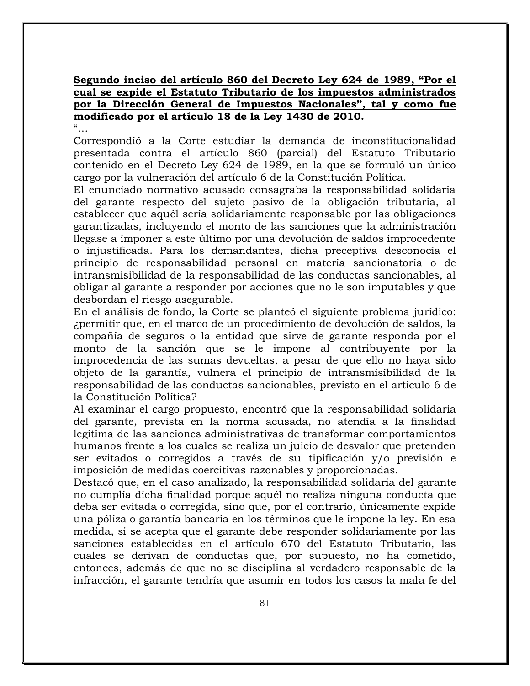**Segundo inciso del artículo 860 del Decreto Ley 624 de 1989, "Por el cual se expide el Estatuto Tributario de los impuestos administrados por la Dirección General de Impuestos Nacionales", tal y como fue modificado por el artículo 18 de la Ley 1430 de 2010.**

 $\alpha$ ...

Correspondió a la Corte estudiar la demanda de inconstitucionalidad presentada contra el artículo 860 (parcial) del Estatuto Tributario contenido en el Decreto Ley 624 de 1989, en la que se formuló un único cargo por la vulneración del artículo 6 de la Constitución Política.

El enunciado normativo acusado consagraba la responsabilidad solidaria del garante respecto del sujeto pasivo de la obligación tributaria, al establecer que aquél sería solidariamente responsable por las obligaciones garantizadas, incluyendo el monto de las sanciones que la administración llegase a imponer a este último por una devolución de saldos improcedente o injustificada. Para los demandantes, dicha preceptiva desconocía el principio de responsabilidad personal en materia sancionatoria o de intransmisibilidad de la responsabilidad de las conductas sancionables, al obligar al garante a responder por acciones que no le son imputables y que desbordan el riesgo asegurable.

En el análisis de fondo, la Corte se planteó el siguiente problema jurídico: ¿permitir que, en el marco de un procedimiento de devolución de saldos, la compañía de seguros o la entidad que sirve de garante responda por el monto de la sanción que se le impone al contribuyente por la improcedencia de las sumas devueltas, a pesar de que ello no haya sido objeto de la garantía, vulnera el principio de intransmisibilidad de la responsabilidad de las conductas sancionables, previsto en el artículo 6 de la Constitución Política?

Al examinar el cargo propuesto, encontró que la responsabilidad solidaria del garante, prevista en la norma acusada, no atendía a la finalidad legítima de las sanciones administrativas de transformar comportamientos humanos frente a los cuales se realiza un juicio de desvalor que pretenden ser evitados o corregidos a través de su tipificación y/o previsión e imposición de medidas coercitivas razonables y proporcionadas.

Destacó que, en el caso analizado, la responsabilidad solidaria del garante no cumplía dicha finalidad porque aquél no realiza ninguna conducta que deba ser evitada o corregida, sino que, por el contrario, únicamente expide una póliza o garantía bancaria en los términos que le impone la ley. En esa medida, si se acepta que el garante debe responder solidariamente por las sanciones establecidas en el artículo 670 del Estatuto Tributario, las cuales se derivan de conductas que, por supuesto, no ha cometido, entonces, además de que no se disciplina al verdadero responsable de la infracción, el garante tendría que asumir en todos los casos la mala fe del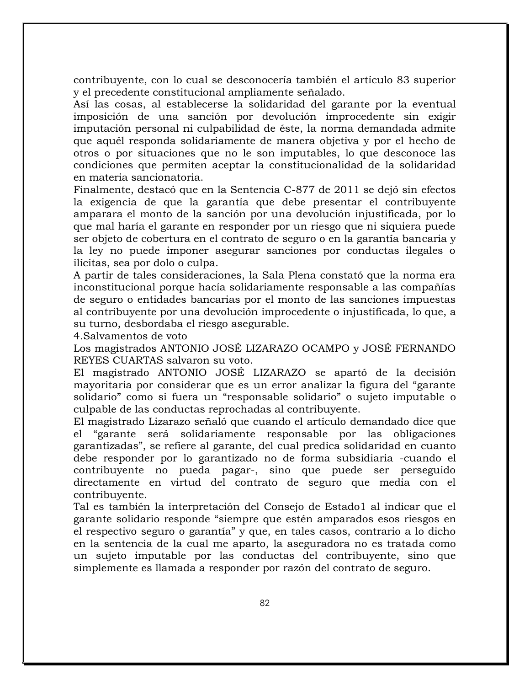contribuyente, con lo cual se desconocería también el artículo 83 superior y el precedente constitucional ampliamente señalado.

Así las cosas, al establecerse la solidaridad del garante por la eventual imposición de una sanción por devolución improcedente sin exigir imputación personal ni culpabilidad de éste, la norma demandada admite que aquél responda solidariamente de manera objetiva y por el hecho de otros o por situaciones que no le son imputables, lo que desconoce las condiciones que permiten aceptar la constitucionalidad de la solidaridad en materia sancionatoria.

Finalmente, destacó que en la Sentencia C-877 de 2011 se dejó sin efectos la exigencia de que la garantía que debe presentar el contribuyente amparara el monto de la sanción por una devolución injustificada, por lo que mal haría el garante en responder por un riesgo que ni siquiera puede ser objeto de cobertura en el contrato de seguro o en la garantía bancaria y la ley no puede imponer asegurar sanciones por conductas ilegales o ilícitas, sea por dolo o culpa.

A partir de tales consideraciones, la Sala Plena constató que la norma era inconstitucional porque hacía solidariamente responsable a las compañías de seguro o entidades bancarias por el monto de las sanciones impuestas al contribuyente por una devolución improcedente o injustificada, lo que, a su turno, desbordaba el riesgo asegurable.

4.Salvamentos de voto

Los magistrados ANTONIO JOSÉ LIZARAZO OCAMPO y JOSÉ FERNANDO REYES CUARTAS salvaron su voto.

El magistrado ANTONIO JOSÉ LIZARAZO se apartó de la decisión mayoritaria por considerar que es un error analizar la figura del "garante solidario" como si fuera un "responsable solidario" o sujeto imputable o culpable de las conductas reprochadas al contribuyente.

El magistrado Lizarazo señaló que cuando el artículo demandado dice que el "garante será solidariamente responsable por las obligaciones garantizadas", se refiere al garante, del cual predica solidaridad en cuanto debe responder por lo garantizado no de forma subsidiaria -cuando el contribuyente no pueda pagar-, sino que puede ser perseguido directamente en virtud del contrato de seguro que media con el contribuyente.

Tal es también la interpretación del Consejo de Estado1 al indicar que el garante solidario responde "siempre que estén amparados esos riesgos en el respectivo seguro o garantía" y que, en tales casos, contrario a lo dicho en la sentencia de la cual me aparto, la aseguradora no es tratada como un sujeto imputable por las conductas del contribuyente, sino que simplemente es llamada a responder por razón del contrato de seguro.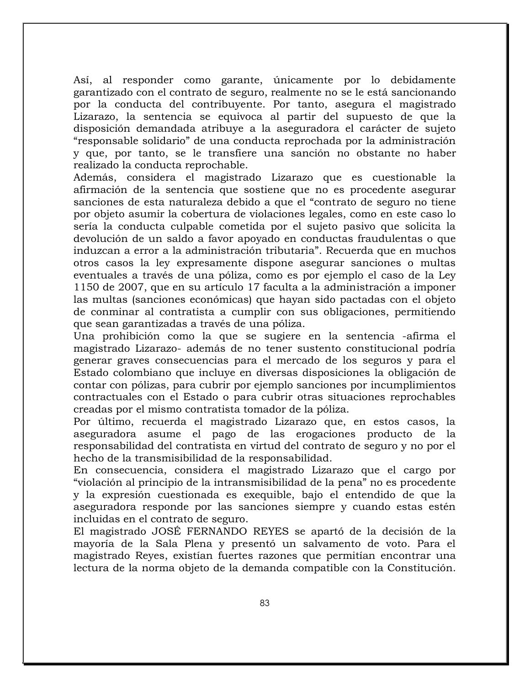Así, al responder como garante, únicamente por lo debidamente garantizado con el contrato de seguro, realmente no se le está sancionando por la conducta del contribuyente. Por tanto, asegura el magistrado Lizarazo, la sentencia se equivoca al partir del supuesto de que la disposición demandada atribuye a la aseguradora el carácter de sujeto "responsable solidario" de una conducta reprochada por la administración y que, por tanto, se le transfiere una sanción no obstante no haber realizado la conducta reprochable.

Además, considera el magistrado Lizarazo que es cuestionable la afirmación de la sentencia que sostiene que no es procedente asegurar sanciones de esta naturaleza debido a que el "contrato de seguro no tiene por objeto asumir la cobertura de violaciones legales, como en este caso lo sería la conducta culpable cometida por el sujeto pasivo que solicita la devolución de un saldo a favor apoyado en conductas fraudulentas o que induzcan a error a la administración tributaria". Recuerda que en muchos otros casos la ley expresamente dispone asegurar sanciones o multas eventuales a través de una póliza, como es por ejemplo el caso de la Ley 1150 de 2007, que en su artículo 17 faculta a la administración a imponer las multas (sanciones económicas) que hayan sido pactadas con el objeto de conminar al contratista a cumplir con sus obligaciones, permitiendo que sean garantizadas a través de una póliza.

Una prohibición como la que se sugiere en la sentencia -afirma el magistrado Lizarazo- además de no tener sustento constitucional podría generar graves consecuencias para el mercado de los seguros y para el Estado colombiano que incluye en diversas disposiciones la obligación de contar con pólizas, para cubrir por ejemplo sanciones por incumplimientos contractuales con el Estado o para cubrir otras situaciones reprochables creadas por el mismo contratista tomador de la póliza.

Por último, recuerda el magistrado Lizarazo que, en estos casos, la aseguradora asume el pago de las erogaciones producto de la responsabilidad del contratista en virtud del contrato de seguro y no por el hecho de la transmisibilidad de la responsabilidad.

En consecuencia, considera el magistrado Lizarazo que el cargo por "violación al principio de la intransmisibilidad de la pena" no es procedente y la expresión cuestionada es exequible, bajo el entendido de que la aseguradora responde por las sanciones siempre y cuando estas estén incluidas en el contrato de seguro.

El magistrado JOSÉ FERNANDO REYES se apartó de la decisión de la mayoría de la Sala Plena y presentó un salvamento de voto. Para el magistrado Reyes, existían fuertes razones que permitían encontrar una lectura de la norma objeto de la demanda compatible con la Constitución.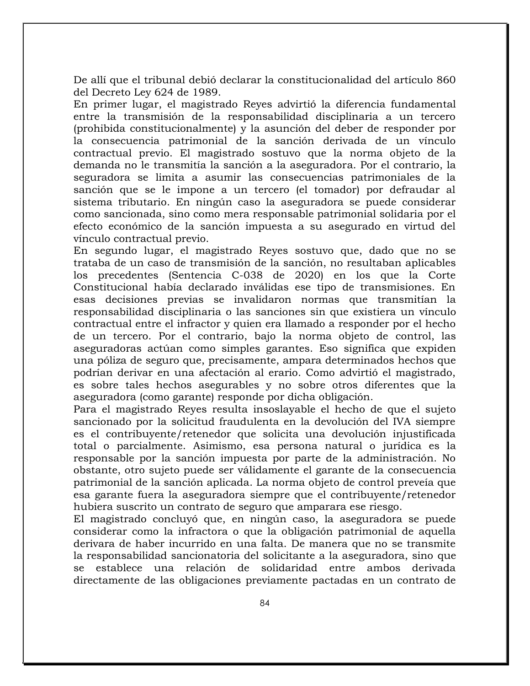De allí que el tribunal debió declarar la constitucionalidad del artículo 860 del Decreto Ley 624 de 1989.

En primer lugar, el magistrado Reyes advirtió la diferencia fundamental entre la transmisión de la responsabilidad disciplinaria a un tercero (prohibida constitucionalmente) y la asunción del deber de responder por la consecuencia patrimonial de la sanción derivada de un vínculo contractual previo. El magistrado sostuvo que la norma objeto de la demanda no le transmitía la sanción a la aseguradora. Por el contrario, la seguradora se limita a asumir las consecuencias patrimoniales de la sanción que se le impone a un tercero (el tomador) por defraudar al sistema tributario. En ningún caso la aseguradora se puede considerar como sancionada, sino como mera responsable patrimonial solidaria por el efecto económico de la sanción impuesta a su asegurado en virtud del vínculo contractual previo.

En segundo lugar, el magistrado Reyes sostuvo que, dado que no se trataba de un caso de transmisión de la sanción, no resultaban aplicables los precedentes (Sentencia C-038 de 2020) en los que la Corte Constitucional había declarado inválidas ese tipo de transmisiones. En esas decisiones previas se invalidaron normas que transmitían la responsabilidad disciplinaria o las sanciones sin que existiera un vínculo contractual entre el infractor y quien era llamado a responder por el hecho de un tercero. Por el contrario, bajo la norma objeto de control, las aseguradoras actúan como simples garantes. Eso significa que expiden una póliza de seguro que, precisamente, ampara determinados hechos que podrían derivar en una afectación al erario. Como advirtió el magistrado, es sobre tales hechos asegurables y no sobre otros diferentes que la aseguradora (como garante) responde por dicha obligación.

Para el magistrado Reyes resulta insoslayable el hecho de que el sujeto sancionado por la solicitud fraudulenta en la devolución del IVA siempre es el contribuyente/retenedor que solicita una devolución injustificada total o parcialmente. Asimismo, esa persona natural o jurídica es la responsable por la sanción impuesta por parte de la administración. No obstante, otro sujeto puede ser válidamente el garante de la consecuencia patrimonial de la sanción aplicada. La norma objeto de control preveía que esa garante fuera la aseguradora siempre que el contribuyente/retenedor hubiera suscrito un contrato de seguro que amparara ese riesgo.

El magistrado concluyó que, en ningún caso, la aseguradora se puede considerar como la infractora o que la obligación patrimonial de aquella derivara de haber incurrido en una falta. De manera que no se transmite la responsabilidad sancionatoria del solicitante a la aseguradora, sino que se establece una relación de solidaridad entre ambos derivada directamente de las obligaciones previamente pactadas en un contrato de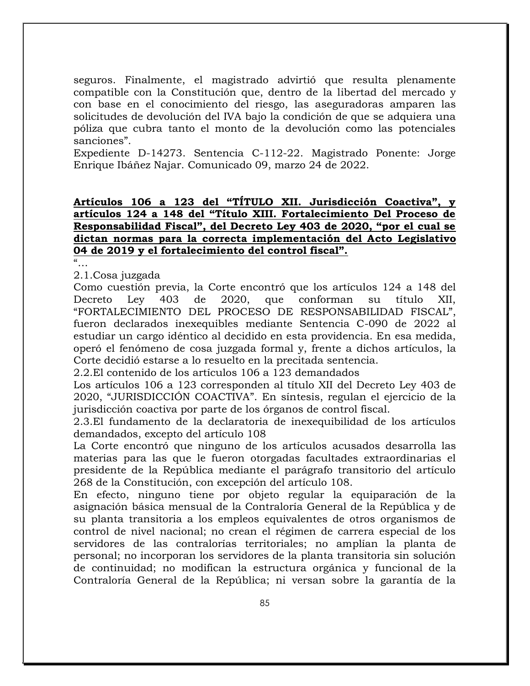seguros. Finalmente, el magistrado advirtió que resulta plenamente compatible con la Constitución que, dentro de la libertad del mercado y con base en el conocimiento del riesgo, las aseguradoras amparen las solicitudes de devolución del IVA bajo la condición de que se adquiera una póliza que cubra tanto el monto de la devolución como las potenciales sanciones".

Expediente D-14273. Sentencia C-112-22. Magistrado Ponente: Jorge Enrique Ibáñez Najar. Comunicado 09, marzo 24 de 2022.

# **Artículos 106 a 123 del "TÍTULO XII. Jurisdicción Coactiva", y artículos 124 a 148 del "Título XIII. Fortalecimiento Del Proceso de Responsabilidad Fiscal", del Decreto Ley 403 de 2020, "por el cual se dictan normas para la correcta implementación del Acto Legislativo 04 de 2019 y el fortalecimiento del control fiscal".**

"…

2.1.Cosa juzgada

Como cuestión previa, la Corte encontró que los artículos 124 a 148 del Decreto Ley 403 de 2020, que conforman su título XII, "FORTALECIMIENTO DEL PROCESO DE RESPONSABILIDAD FISCAL", fueron declarados inexequibles mediante Sentencia C-090 de 2022 al estudiar un cargo idéntico al decidido en esta providencia. En esa medida, operó el fenómeno de cosa juzgada formal y, frente a dichos artículos, la Corte decidió estarse a lo resuelto en la precitada sentencia.

2.2.El contenido de los artículos 106 a 123 demandados

Los artículos 106 a 123 corresponden al título XII del Decreto Ley 403 de 2020, "JURISDICCIÓN COACTIVA". En síntesis, regulan el ejercicio de la jurisdicción coactiva por parte de los órganos de control fiscal.

2.3.El fundamento de la declaratoria de inexequibilidad de los artículos demandados, excepto del artículo 108

La Corte encontró que ninguno de los artículos acusados desarrolla las materias para las que le fueron otorgadas facultades extraordinarias el presidente de la República mediante el parágrafo transitorio del artículo 268 de la Constitución, con excepción del artículo 108.

En efecto, ninguno tiene por objeto regular la equiparación de la asignación básica mensual de la Contraloría General de la República y de su planta transitoria a los empleos equivalentes de otros organismos de control de nivel nacional; no crean el régimen de carrera especial de los servidores de las contralorías territoriales; no amplían la planta de personal; no incorporan los servidores de la planta transitoria sin solución de continuidad; no modifican la estructura orgánica y funcional de la Contraloría General de la República; ni versan sobre la garantía de la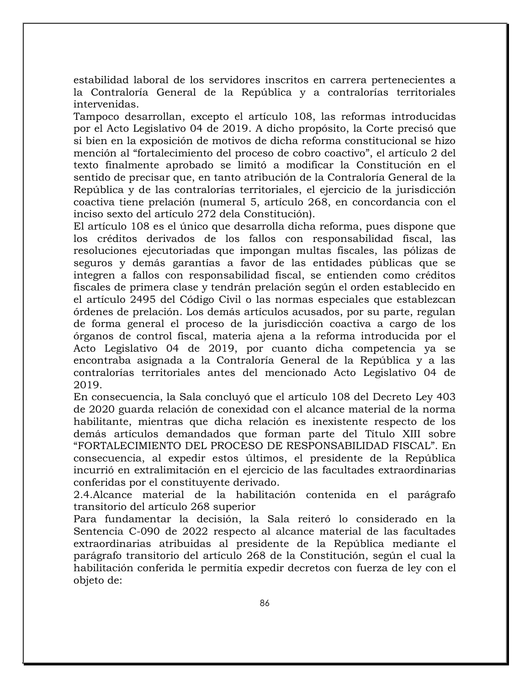estabilidad laboral de los servidores inscritos en carrera pertenecientes a la Contraloría General de la República y a contralorías territoriales intervenidas.

Tampoco desarrollan, excepto el artículo 108, las reformas introducidas por el Acto Legislativo 04 de 2019. A dicho propósito, la Corte precisó que si bien en la exposición de motivos de dicha reforma constitucional se hizo mención al "fortalecimiento del proceso de cobro coactivo", el artículo 2 del texto finalmente aprobado se limitó a modificar la Constitución en el sentido de precisar que, en tanto atribución de la Contraloría General de la República y de las contralorías territoriales, el ejercicio de la jurisdicción coactiva tiene prelación (numeral 5, artículo 268, en concordancia con el inciso sexto del artículo 272 dela Constitución).

El artículo 108 es el único que desarrolla dicha reforma, pues dispone que los créditos derivados de los fallos con responsabilidad fiscal, las resoluciones ejecutoriadas que impongan multas fiscales, las pólizas de seguros y demás garantías a favor de las entidades públicas que se integren a fallos con responsabilidad fiscal, se entienden como créditos fiscales de primera clase y tendrán prelación según el orden establecido en el artículo 2495 del Código Civil o las normas especiales que establezcan órdenes de prelación. Los demás artículos acusados, por su parte, regulan de forma general el proceso de la jurisdicción coactiva a cargo de los órganos de control fiscal, materia ajena a la reforma introducida por el Acto Legislativo 04 de 2019, por cuanto dicha competencia ya se encontraba asignada a la Contraloría General de la República y a las contralorías territoriales antes del mencionado Acto Legislativo 04 de 2019.

En consecuencia, la Sala concluyó que el artículo 108 del Decreto Ley 403 de 2020 guarda relación de conexidad con el alcance material de la norma habilitante, mientras que dicha relación es inexistente respecto de los demás artículos demandados que forman parte del Título XIII sobre "FORTALECIMIENTO DEL PROCESO DE RESPONSABILIDAD FISCAL". En consecuencia, al expedir estos últimos, el presidente de la República incurrió en extralimitación en el ejercicio de las facultades extraordinarias conferidas por el constituyente derivado.

2.4.Alcance material de la habilitación contenida en el parágrafo transitorio del artículo 268 superior

Para fundamentar la decisión, la Sala reiteró lo considerado en la Sentencia C-090 de 2022 respecto al alcance material de las facultades extraordinarias atribuidas al presidente de la República mediante el parágrafo transitorio del artículo 268 de la Constitución, según el cual la habilitación conferida le permitía expedir decretos con fuerza de ley con el objeto de: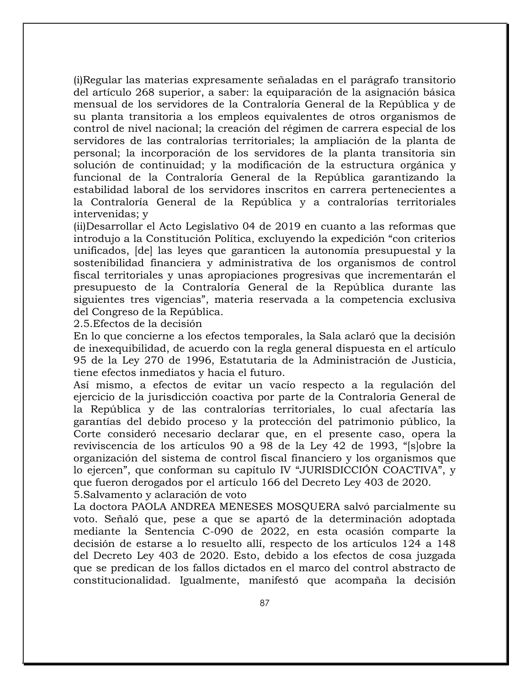(i)Regular las materias expresamente señaladas en el parágrafo transitorio del artículo 268 superior, a saber: la equiparación de la asignación básica mensual de los servidores de la Contraloría General de la República y de su planta transitoria a los empleos equivalentes de otros organismos de control de nivel nacional; la creación del régimen de carrera especial de los servidores de las contralorías territoriales; la ampliación de la planta de personal; la incorporación de los servidores de la planta transitoria sin solución de continuidad; y la modificación de la estructura orgánica y funcional de la Contraloría General de la República garantizando la estabilidad laboral de los servidores inscritos en carrera pertenecientes a la Contraloría General de la República y a contralorías territoriales intervenidas; y

(ii)Desarrollar el Acto Legislativo 04 de 2019 en cuanto a las reformas que introdujo a la Constitución Política, excluyendo la expedición "con criterios unificados, [de] las leyes que garanticen la autonomía presupuestal y la sostenibilidad financiera y administrativa de los organismos de control fiscal territoriales y unas apropiaciones progresivas que incrementarán el presupuesto de la Contraloría General de la República durante las siguientes tres vigencias", materia reservada a la competencia exclusiva del Congreso de la República.

2.5.Efectos de la decisión

En lo que concierne a los efectos temporales, la Sala aclaró que la decisión de inexequibilidad, de acuerdo con la regla general dispuesta en el artículo 95 de la Ley 270 de 1996, Estatutaria de la Administración de Justicia, tiene efectos inmediatos y hacia el futuro.

Así mismo, a efectos de evitar un vacío respecto a la regulación del ejercicio de la jurisdicción coactiva por parte de la Contraloría General de la República y de las contralorías territoriales, lo cual afectaría las garantías del debido proceso y la protección del patrimonio público, la Corte consideró necesario declarar que, en el presente caso, opera la reviviscencia de los artículos 90 a 98 de la Ley 42 de 1993, "[s]obre la organización del sistema de control fiscal financiero y los organismos que lo ejercen", que conforman su capítulo IV "JURISDICCIÓN COACTIVA", y que fueron derogados por el artículo 166 del Decreto Ley 403 de 2020. 5.Salvamento y aclaración de voto

La doctora PAOLA ANDREA MENESES MOSQUERA salvó parcialmente su voto. Señaló que, pese a que se apartó de la determinación adoptada mediante la Sentencia C-090 de 2022, en esta ocasión comparte la decisión de estarse a lo resuelto allí, respecto de los artículos 124 a 148 del Decreto Ley 403 de 2020. Esto, debido a los efectos de cosa juzgada que se predican de los fallos dictados en el marco del control abstracto de constitucionalidad. Igualmente, manifestó que acompaña la decisión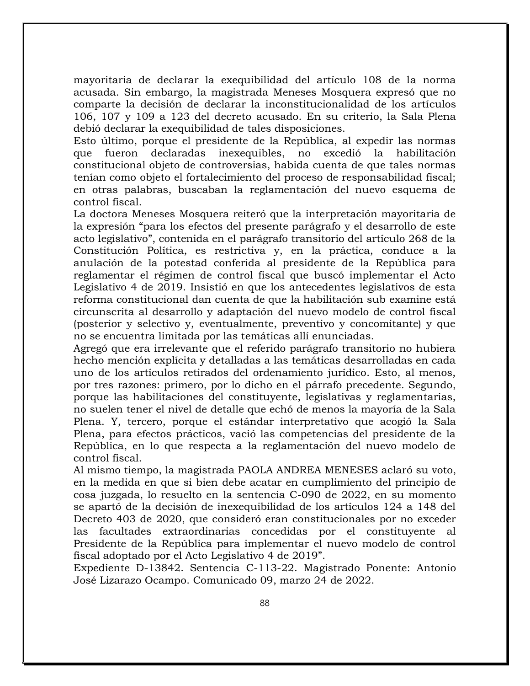mayoritaria de declarar la exequibilidad del artículo 108 de la norma acusada. Sin embargo, la magistrada Meneses Mosquera expresó que no comparte la decisión de declarar la inconstitucionalidad de los artículos 106, 107 y 109 a 123 del decreto acusado. En su criterio, la Sala Plena debió declarar la exequibilidad de tales disposiciones.

Esto último, porque el presidente de la República, al expedir las normas que fueron declaradas inexequibles, no excedió la habilitación constitucional objeto de controversias, habida cuenta de que tales normas tenían como objeto el fortalecimiento del proceso de responsabilidad fiscal; en otras palabras, buscaban la reglamentación del nuevo esquema de control fiscal.

La doctora Meneses Mosquera reiteró que la interpretación mayoritaria de la expresión "para los efectos del presente parágrafo y el desarrollo de este acto legislativo", contenida en el parágrafo transitorio del artículo 268 de la Constitución Política, es restrictiva y, en la práctica, conduce a la anulación de la potestad conferida al presidente de la República para reglamentar el régimen de control fiscal que buscó implementar el Acto Legislativo 4 de 2019. Insistió en que los antecedentes legislativos de esta reforma constitucional dan cuenta de que la habilitación sub examine está circunscrita al desarrollo y adaptación del nuevo modelo de control fiscal (posterior y selectivo y, eventualmente, preventivo y concomitante) y que no se encuentra limitada por las temáticas allí enunciadas.

Agregó que era irrelevante que el referido parágrafo transitorio no hubiera hecho mención explícita y detalladas a las temáticas desarrolladas en cada uno de los artículos retirados del ordenamiento jurídico. Esto, al menos, por tres razones: primero, por lo dicho en el párrafo precedente. Segundo, porque las habilitaciones del constituyente, legislativas y reglamentarias, no suelen tener el nivel de detalle que echó de menos la mayoría de la Sala Plena. Y, tercero, porque el estándar interpretativo que acogió la Sala Plena, para efectos prácticos, vació las competencias del presidente de la República, en lo que respecta a la reglamentación del nuevo modelo de control fiscal.

Al mismo tiempo, la magistrada PAOLA ANDREA MENESES aclaró su voto, en la medida en que si bien debe acatar en cumplimiento del principio de cosa juzgada, lo resuelto en la sentencia C-090 de 2022, en su momento se apartó de la decisión de inexequibilidad de los artículos 124 a 148 del Decreto 403 de 2020, que consideró eran constitucionales por no exceder las facultades extraordinarias concedidas por el constituyente al Presidente de la República para implementar el nuevo modelo de control fiscal adoptado por el Acto Legislativo 4 de 2019".

Expediente D-13842. Sentencia C-113-22. Magistrado Ponente: Antonio José Lizarazo Ocampo. Comunicado 09, marzo 24 de 2022.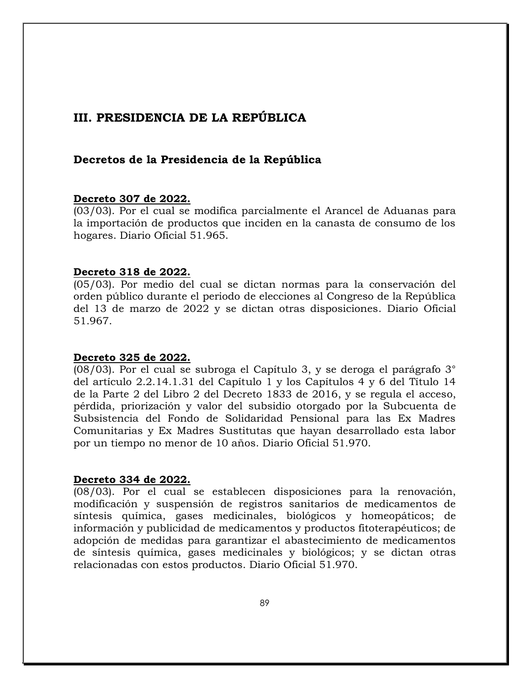# **III. PRESIDENCIA DE LA REPÚBLICA**

# **Decretos de la Presidencia de la República**

# **Decreto 307 de 2022.**

(03/03). Por el cual se modifica parcialmente el Arancel de Aduanas para la importación de productos que inciden en la canasta de consumo de los hogares. Diario Oficial 51.965.

# **Decreto 318 de 2022.**

(05/03). Por medio del cual se dictan normas para la conservación del orden público durante el periodo de elecciones al Congreso de la República del 13 de marzo de 2022 y se dictan otras disposiciones. Diario Oficial 51.967.

# **Decreto 325 de 2022.**

(08/03). Por el cual se subroga el Capítulo 3, y se deroga el parágrafo 3° del artículo 2.2.14.1.31 del Capítulo 1 y los Capítulos 4 y 6 del Título 14 de la Parte 2 del Libro 2 del Decreto 1833 de 2016, y se regula el acceso, pérdida, priorización y valor del subsidio otorgado por la Subcuenta de Subsistencia del Fondo de Solidaridad Pensional para las Ex Madres Comunitarias y Ex Madres Sustitutas que hayan desarrollado esta labor por un tiempo no menor de 10 años. Diario Oficial 51.970.

# **Decreto 334 de 2022.**

(08/03). Por el cual se establecen disposiciones para la renovación, modificación y suspensión de registros sanitarios de medicamentos de síntesis química, gases medicinales, biológicos y homeopáticos; de información y publicidad de medicamentos y productos fitoterapéuticos; de adopción de medidas para garantizar el abastecimiento de medicamentos de síntesis química, gases medicinales y biológicos; y se dictan otras relacionadas con estos productos. Diario Oficial 51.970.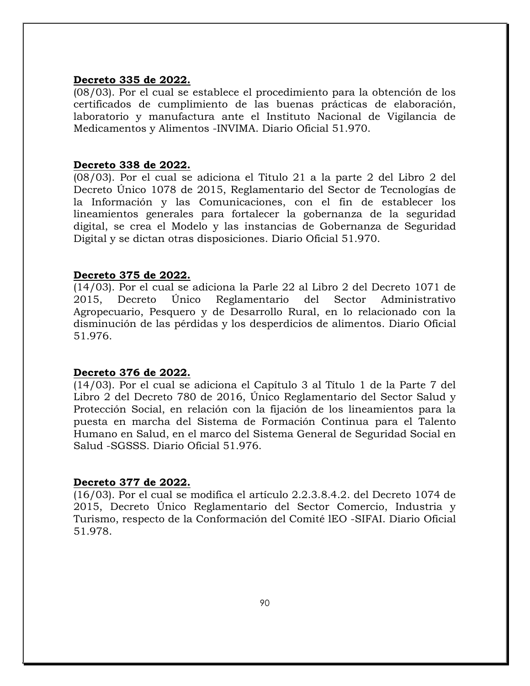#### **Decreto 335 de 2022.**

(08/03). Por el cual se establece el procedimiento para la obtención de los certificados de cumplimiento de las buenas prácticas de elaboración, laboratorio y manufactura ante el Instituto Nacional de Vigilancia de Medicamentos y Alimentos -INVIMA. Diario Oficial 51.970.

#### **Decreto 338 de 2022.**

(08/03). Por el cual se adiciona el Titulo 21 a la parte 2 del Libro 2 del Decreto Único 1078 de 2015, Reglamentario del Sector de Tecnologías de la Información y las Comunicaciones, con el fin de establecer los lineamientos generales para fortalecer la gobernanza de la seguridad digital, se crea el Modelo y las instancias de Gobernanza de Seguridad Digital y se dictan otras disposiciones. Diario Oficial 51.970.

#### **Decreto 375 de 2022.**

(14/03). Por el cual se adiciona la Parle 22 al Libro 2 del Decreto 1071 de 2015, Decreto Único Reglamentario del Sector Administrativo Agropecuario, Pesquero y de Desarrollo Rural, en lo relacionado con la disminución de las pérdidas y los desperdicios de alimentos. Diario Oficial 51.976.

#### **Decreto 376 de 2022.**

(14/03). Por el cual se adiciona el Capítulo 3 al Título 1 de la Parte 7 del Libro 2 del Decreto 780 de 2016, Único Reglamentario del Sector Salud y Protección Social, en relación con la fijación de los lineamientos para la puesta en marcha del Sistema de Formación Continua para el Talento Humano en Salud, en el marco del Sistema General de Seguridad Social en Salud -SGSSS. Diario Oficial 51.976.

#### **Decreto 377 de 2022.**

(16/03). Por el cual se modifica el artículo 2.2.3.8.4.2. del Decreto 1074 de 2015, Decreto Único Reglamentario del Sector Comercio, Industria y Turismo, respecto de la Conformación del Comité lEO -SIFAI. Diario Oficial 51.978.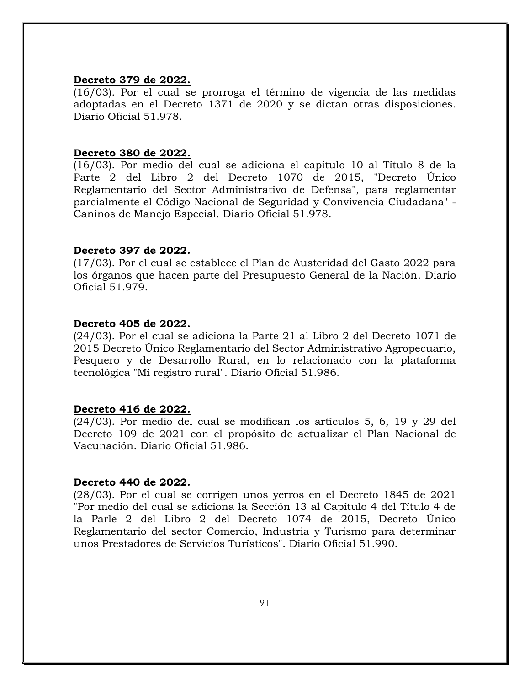#### **Decreto 379 de 2022.**

(16/03). Por el cual se prorroga el término de vigencia de las medidas adoptadas en el Decreto 1371 de 2020 y se dictan otras disposiciones. Diario Oficial 51.978.

#### **Decreto 380 de 2022.**

(16/03). Por medio del cual se adiciona el capítulo 10 al Título 8 de la Parte 2 del Libro 2 del Decreto 1070 de 2015, "Decreto Único Reglamentario del Sector Administrativo de Defensa", para reglamentar parcialmente el Código Nacional de Seguridad y Convivencia Ciudadana" - Caninos de Manejo Especial. Diario Oficial 51.978.

#### **Decreto 397 de 2022.**

(17/03). Por el cual se establece el Plan de Austeridad del Gasto 2022 para los órganos que hacen parte del Presupuesto General de la Nación. Diario Oficial 51.979.

#### **Decreto 405 de 2022.**

(24/03). Por el cual se adiciona la Parte 21 al Libro 2 del Decreto 1071 de 2015 Decreto Único Reglamentario del Sector Administrativo Agropecuario, Pesquero y de Desarrollo Rural, en lo relacionado con la plataforma tecnológica "Mi registro rural". Diario Oficial 51.986.

#### **Decreto 416 de 2022.**

(24/03). Por medio del cual se modifican los artículos 5, 6, 19 y 29 del Decreto 109 de 2021 con el propósito de actualizar el Plan Nacional de Vacunación. Diario Oficial 51.986.

#### **Decreto 440 de 2022.**

(28/03). Por el cual se corrigen unos yerros en el Decreto 1845 de 2021 "Por medio del cual se adiciona la Sección 13 al Capítulo 4 del Título 4 de la Parle 2 del Libro 2 del Decreto 1074 de 2015, Decreto Único Reglamentario del sector Comercio, Industria y Turismo para determinar unos Prestadores de Servicios Turísticos". Diario Oficial 51.990.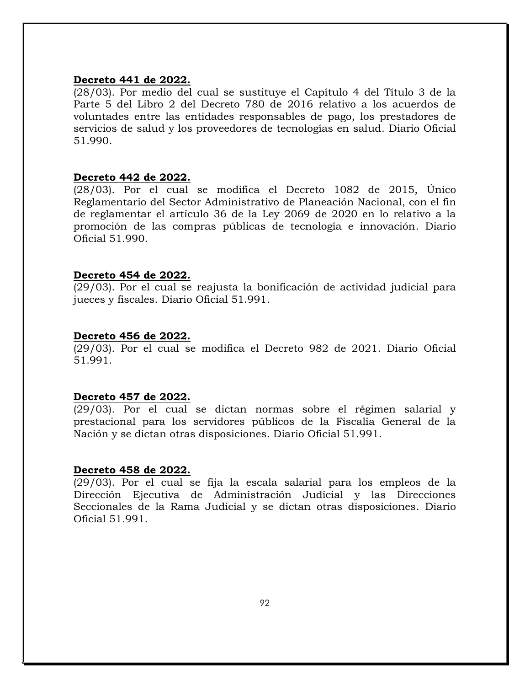#### **Decreto 441 de 2022.**

(28/03). Por medio del cual se sustituye el Capítulo 4 del Título 3 de la Parte 5 del Libro 2 del Decreto 780 de 2016 relativo a los acuerdos de voluntades entre las entidades responsables de pago, los prestadores de servicios de salud y los proveedores de tecnologías en salud. Diario Oficial 51.990.

## **Decreto 442 de 2022.**

(28/03). Por el cual se modifica el Decreto 1082 de 2015, Único Reglamentario del Sector Administrativo de Planeación Nacional, con el fin de reglamentar el artículo 36 de la Ley 2069 de 2020 en lo relativo a la promoción de las compras públicas de tecnología e innovación. Diario Oficial 51.990.

#### **Decreto 454 de 2022.**

(29/03). Por el cual se reajusta la bonificación de actividad judicial para jueces y fiscales. Diario Oficial 51.991.

## **Decreto 456 de 2022.**

(29/03). Por el cual se modifica el Decreto 982 de 2021. Diario Oficial 51.991.

# **Decreto 457 de 2022.**

(29/03). Por el cual se dictan normas sobre el régimen salarial y prestacional para los servidores públicos de la Fiscalía General de la Nación y se dictan otras disposiciones. Diario Oficial 51.991.

# **Decreto 458 de 2022.**

(29/03). Por el cual se fija la escala salarial para los empleos de la Dirección Ejecutiva de Administración Judicial y las Direcciones Seccionales de la Rama Judicial y se dictan otras disposiciones. Diario Oficial 51.991.